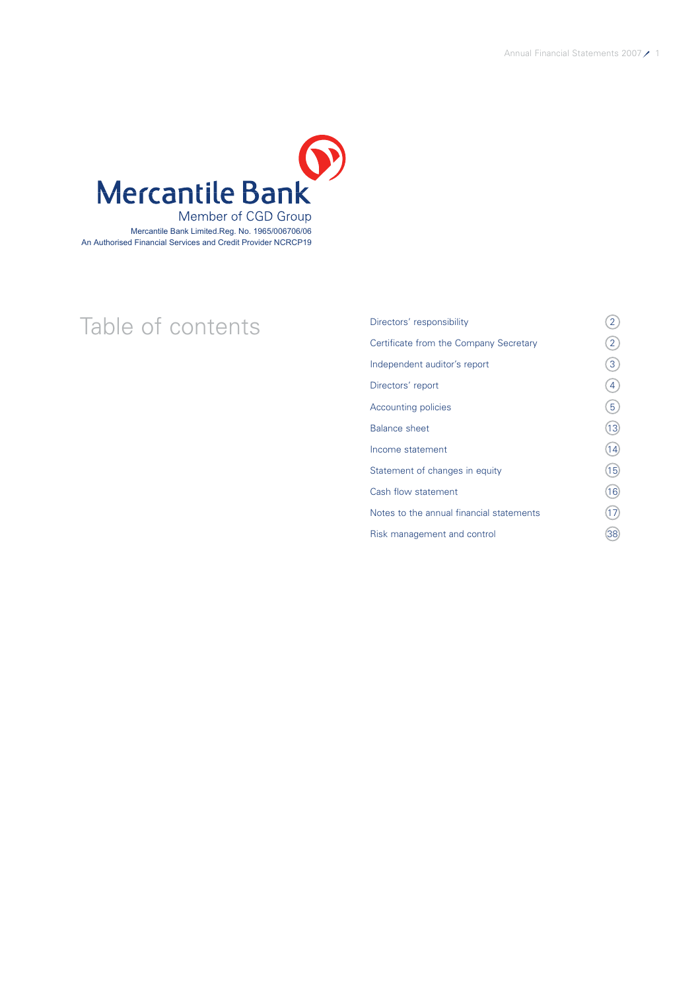

# Table of contents<br>
<sup>Directors' responsibility</sup><br>
Certificate from the Company Secretary (2) Certificate from the Company Secretary Independent auditor's report  $(3)$ Directors' report (4)  $\sqrt{5}$ Balance sheet (13)  $Income statement$  (14) Statement of changes in equity (15) Cash flow statement (16) Notes to the annual financial statements  $(17)$ Risk management and control 38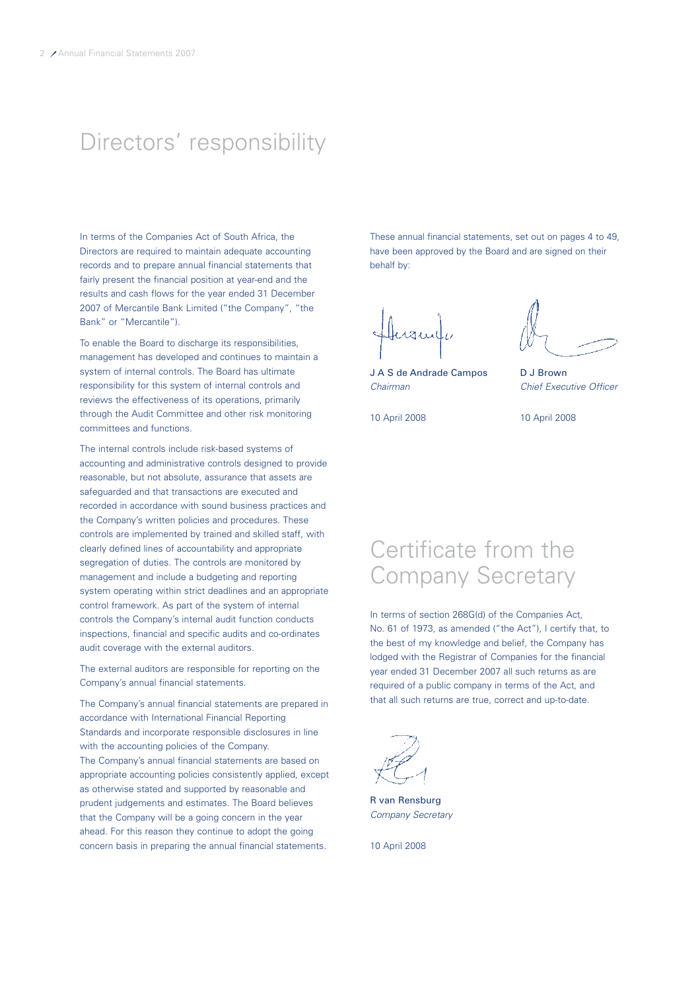# Directors' responsibility

In terms of the Companies Act of South Africa, the Directors are required to maintain adequate accounting records and to prepare annual financial statements that fairly present the financial position at year-end and the results and cash flows for the year ended 31 December 2007 of Mercantile Bank Limited ("the Company", "the Bank" or "Mercantile").

To enable the Board to discharge its responsibilities, management has developed and continues to maintain a system of internal controls. The Board has ultimate responsibility for this system of internal controls and reviews the effectiveness of its operations, primarily through the Audit Committee and other risk monitoring committees and functions.

The internal controls include risk-based systems of accounting and administrative controls designed to provide reasonable, but not absolute, assurance that assets are safeguarded and that transactions are executed and recorded in accordance with sound business practices and the Company's written policies and procedures. These controls are implemented by trained and skilled staff, with clearly defined lines of accountability and appropriate segregation of duties. The controls are monitored by management and include a budgeting and reporting system operating within strict deadlines and an appropriate control framework. As part of the system of internal controls the Company's internal audit function conducts inspections, financial and specific audits and co-ordinates audit coverage with the external auditors.

The external auditors are responsible for reporting on the Company's annual financial statements.

The Company's annual financial statements are prepared in accordance with International Financial Reporting Standards and incorporate responsible disclosures in line with the accounting policies of the Company. The Company's annual financial statements are based on appropriate accounting policies consistently applied, except as otherwise stated and supported by reasonable and prudent judgements and estimates. The Board believes that the Company will be a going concern in the year ahead. For this reason they continue to adopt the going concern basis in preparing the annual financial statements.

These annual financial statements, set out on pages 4 to 49, have been approved by the Board and are signed on their behalf by:

Inamili

J A S de Andrade Campos D J Brown Chairman Chief Executive Officer

10 April 2008 10 April 2008

# Certificate from the Company Secretary

In terms of section 268G(d) of the Companies Act, No. 61 of 1973, as amended ("the Act"), I certify that, to the best of my knowledge and belief, the Company has lodged with the Registrar of Companies for the financial year ended 31 December 2007 all such returns as are required of a public company in terms of the Act, and that all such returns are true, correct and up-to-date.

R van Rensburg Company Secretary

10 April 2008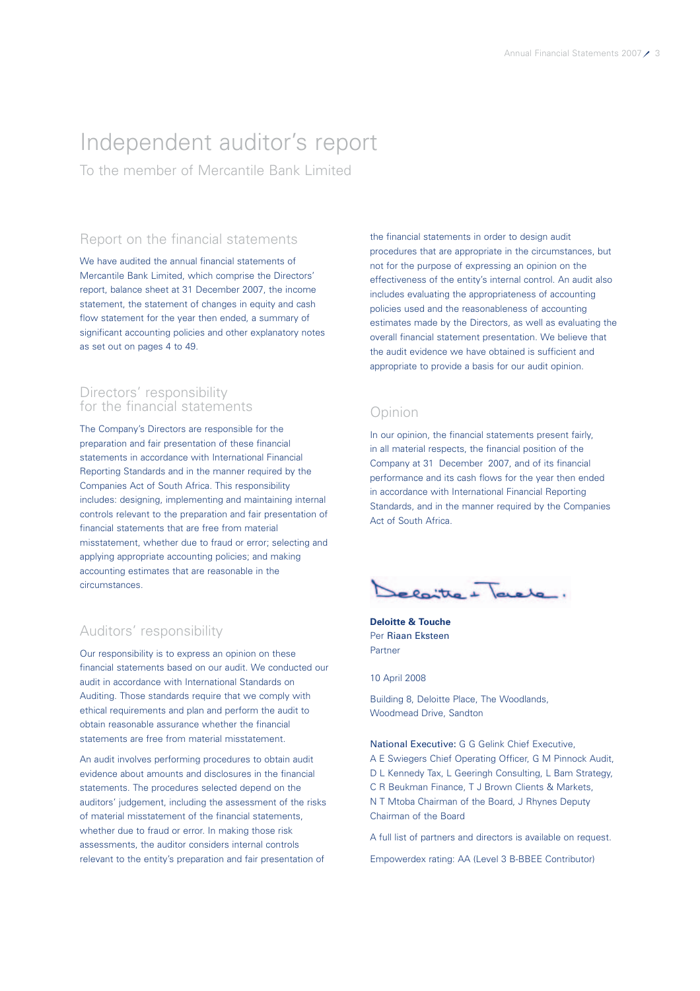# Independent auditor's report

To the member of Mercantile Bank Limited

# Report on the financial statements

We have audited the annual financial statements of Mercantile Bank Limited, which comprise the Directors' report, balance sheet at 31 December 2007, the income statement, the statement of changes in equity and cash flow statement for the year then ended, a summary of significant accounting policies and other explanatory notes as set out on pages 4 to 49.

# Directors' responsibility for the financial statements

The Company's Directors are responsible for the preparation and fair presentation of these financial statements in accordance with International Financial Reporting Standards and in the manner required by the Companies Act of South Africa. This responsibility includes: designing, implementing and maintaining internal controls relevant to the preparation and fair presentation of financial statements that are free from material misstatement, whether due to fraud or error; selecting and applying appropriate accounting policies; and making accounting estimates that are reasonable in the circumstances.

# Auditors' responsibility

Our responsibility is to express an opinion on these financial statements based on our audit. We conducted our audit in accordance with International Standards on Auditing. Those standards require that we comply with ethical requirements and plan and perform the audit to obtain reasonable assurance whether the financial statements are free from material misstatement.

An audit involves performing procedures to obtain audit evidence about amounts and disclosures in the financial statements. The procedures selected depend on the auditors' judgement, including the assessment of the risks of material misstatement of the financial statements, whether due to fraud or error. In making those risk assessments, the auditor considers internal controls relevant to the entity's preparation and fair presentation of

the financial statements in order to design audit procedures that are appropriate in the circumstances, but not for the purpose of expressing an opinion on the effectiveness of the entity's internal control. An audit also includes evaluating the appropriateness of accounting policies used and the reasonableness of accounting estimates made by the Directors, as well as evaluating the overall financial statement presentation. We believe that the audit evidence we have obtained is sufficient and appropriate to provide a basis for our audit opinion.

# Opinion

In our opinion, the financial statements present fairly, in all material respects, the financial position of the Company at 31 December 2007, and of its financial performance and its cash flows for the year then ended in accordance with International Financial Reporting Standards, and in the manner required by the Companies Act of South Africa.

relaite + lavele.

**Deloitte & Touche** Per Riaan Eksteen Partner

10 April 2008

Building 8, Deloitte Place, The Woodlands, Woodmead Drive, Sandton

National Executive: G G Gelink Chief Executive, A E Swiegers Chief Operating Officer, G M Pinnock Audit, D L Kennedy Tax, L Geeringh Consulting, L Bam Strategy, C R Beukman Finance, T J Brown Clients & Markets, N T Mtoba Chairman of the Board, J Rhynes Deputy Chairman of the Board

A full list of partners and directors is available on request.

Empowerdex rating: AA (Level 3 B-BBEE Contributor)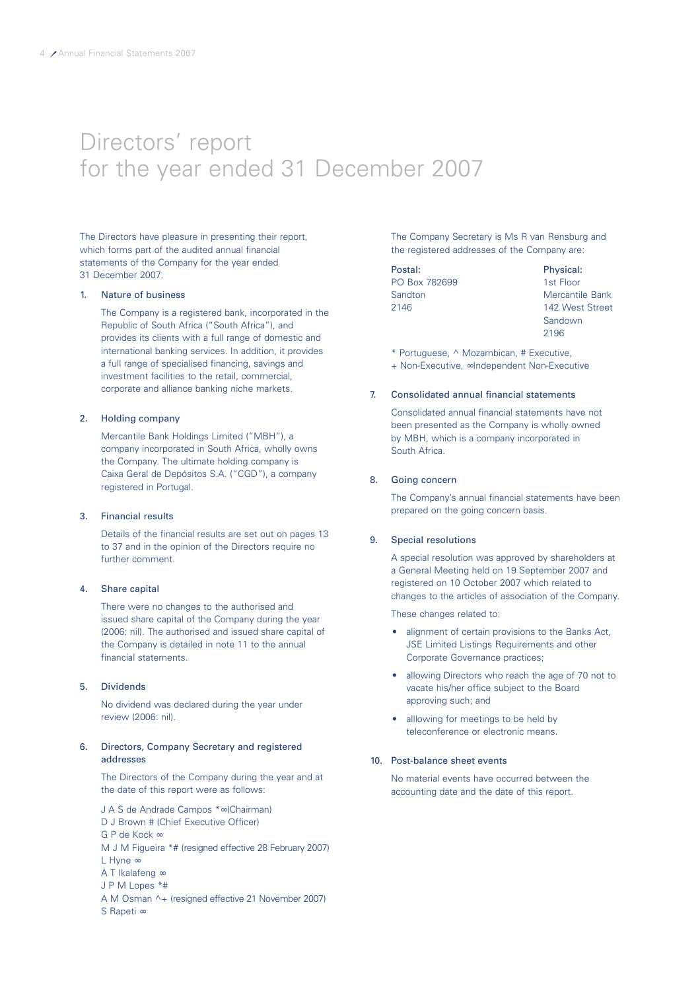# Directors' report for the year ended 31 December 2007

The Directors have pleasure in presenting their report, which forms part of the audited annual financial statements of the Company for the year ended 31 December 2007.

#### 1. Nature of business

The Company is a registered bank, incorporated in the Republic of South Africa ("South Africa"), and provides its clients with a full range of domestic and international banking services. In addition, it provides a full range of specialised financing, savings and investment facilities to the retail, commercial, corporate and alliance banking niche markets.

#### 2. Holding company

Mercantile Bank Holdings Limited ("MBH"), a company incorporated in South Africa, wholly owns the Company. The ultimate holding company is Caixa Geral de Depósitos S.A. ("CGD"), a company registered in Portugal.

#### 3. Financial results

Details of the financial results are set out on pages 13 to 37 and in the opinion of the Directors require no further comment.

### 4. Share capital

There were no changes to the authorised and issued share capital of the Company during the year (2006: nil). The authorised and issued share capital of the Company is detailed in note 11 to the annual financial statements.

### 5. Dividends

No dividend was declared during the year under review (2006: nil).

#### 6. Directors, Company Secretary and registered addresses

The Directors of the Company during the year and at the date of this report were as follows:

J A S de Andrade Campos \*∞(Chairman) D J Brown # (Chief Executive Officer) G P de Kock ∞ M J M Figueira \*# (resigned effective 28 February 2007) L Hyne ∞ A T Ikalafeng ∞ J P M Lopes \*# A M Osman ^+ (resigned effective 21 November 2007) S Rapeti ∞

The Company Secretary is Ms R van Rensburg and the registered addresses of the Company are:

| Postal:       | Physical:       |
|---------------|-----------------|
| PO Box 782699 | 1st Floor       |
| Sandton       | Mercantile Bank |
| 2146          | 142 West Street |
|               | Sandown         |

2196

\* Portuguese, ^ Mozambican, # Executive,

+ Non-Executive, ∞Independent Non-Executive

### 7. Consolidated annual financial statements

Consolidated annual financial statements have not been presented as the Company is wholly owned by MBH, which is a company incorporated in South Africa.

#### 8. Going concern

The Company's annual financial statements have been prepared on the going concern basis.

#### 9. Special resolutions

A special resolution was approved by shareholders at a General Meeting held on 19 September 2007 and registered on 10 October 2007 which related to changes to the articles of association of the Company.

These changes related to:

- alignment of certain provisions to the Banks Act, JSE Limited Listings Requirements and other Corporate Governance practices;
- allowing Directors who reach the age of 70 not to vacate his/her office subject to the Board approving such; and
- alllowing for meetings to be held by teleconference or electronic means.

#### 10. Post-balance sheet events

No material events have occurred between the accounting date and the date of this report.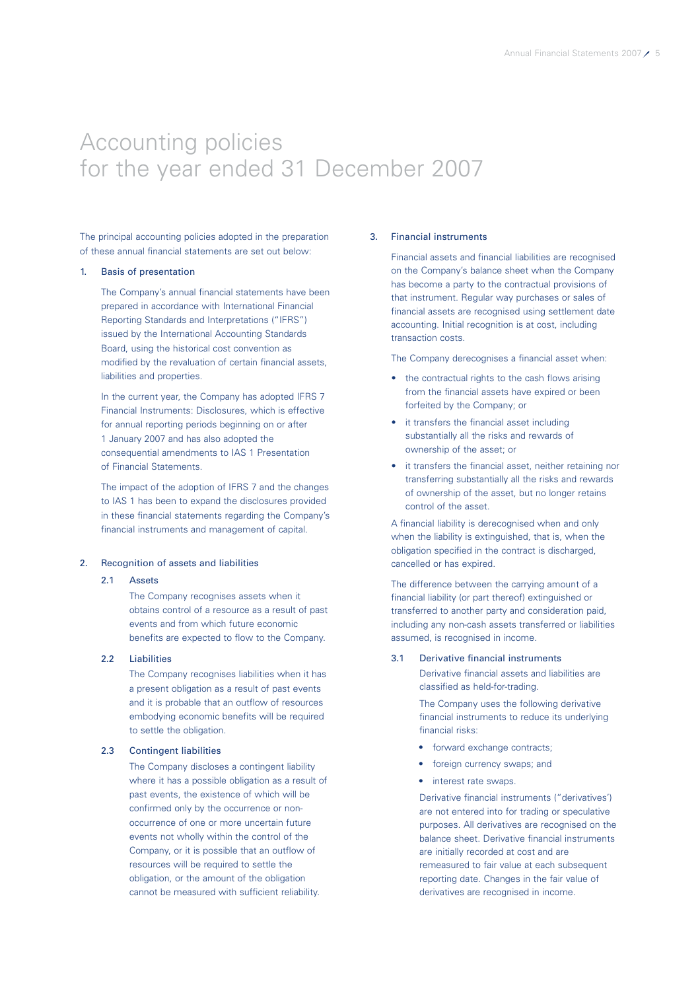# Accounting policies for the year ended 31 December 2007

The principal accounting policies adopted in the preparation of these annual financial statements are set out below:

#### 1. Basis of presentation

The Company's annual financial statements have been prepared in accordance with International Financial Reporting Standards and Interpretations ("IFRS") issued by the International Accounting Standards Board, using the historical cost convention as modified by the revaluation of certain financial assets, liabilities and properties.

In the current year, the Company has adopted IFRS 7 Financial Instruments: Disclosures, which is effective for annual reporting periods beginning on or after 1 January 2007 and has also adopted the consequential amendments to IAS 1 Presentation of Financial Statements.

The impact of the adoption of IFRS 7 and the changes to IAS 1 has been to expand the disclosures provided in these financial statements regarding the Company's financial instruments and management of capital.

#### 2. Recognition of assets and liabilities

#### 2.1 Assets

The Company recognises assets when it obtains control of a resource as a result of past events and from which future economic benefits are expected to flow to the Company.

### 2.2 Liabilities

The Company recognises liabilities when it has a present obligation as a result of past events and it is probable that an outflow of resources embodying economic benefits will be required to settle the obligation.

### 2.3 Contingent liabilities

The Company discloses a contingent liability where it has a possible obligation as a result of past events, the existence of which will be confirmed only by the occurrence or nonoccurrence of one or more uncertain future events not wholly within the control of the Company, or it is possible that an outflow of resources will be required to settle the obligation, or the amount of the obligation cannot be measured with sufficient reliability.

### 3. Financial instruments

Financial assets and financial liabilities are recognised on the Company's balance sheet when the Company has become a party to the contractual provisions of that instrument. Regular way purchases or sales of financial assets are recognised using settlement date accounting. Initial recognition is at cost, including transaction costs.

The Company derecognises a financial asset when:

- the contractual rights to the cash flows arising from the financial assets have expired or been forfeited by the Company; or
- it transfers the financial asset including substantially all the risks and rewards of ownership of the asset; or
- it transfers the financial asset, neither retaining nor transferring substantially all the risks and rewards of ownership of the asset, but no longer retains control of the asset.

A financial liability is derecognised when and only when the liability is extinguished, that is, when the obligation specified in the contract is discharged, cancelled or has expired.

The difference between the carrying amount of a financial liability (or part thereof) extinguished or transferred to another party and consideration paid, including any non-cash assets transferred or liabilities assumed, is recognised in income.

### 3.1 Derivative financial instruments

Derivative financial assets and liabilities are classified as held-for-trading.

The Company uses the following derivative financial instruments to reduce its underlying financial risks:

- forward exchange contracts;
- foreign currency swaps; and
- interest rate swaps.

Derivative financial instruments ("derivatives') are not entered into for trading or speculative purposes. All derivatives are recognised on the balance sheet. Derivative financial instruments are initially recorded at cost and are remeasured to fair value at each subsequent reporting date. Changes in the fair value of derivatives are recognised in income.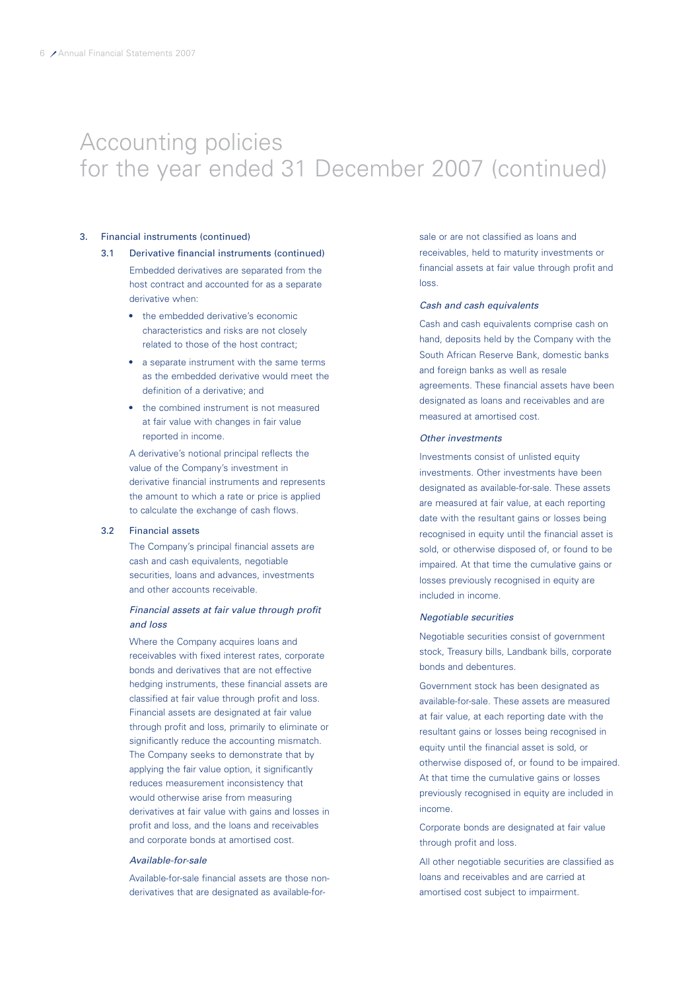### 3. Financial instruments (continued)

- Embedded derivatives are separated from the host contract and accounted for as a separate derivative when: 3.1 Derivative financial instruments (continued)
	- the embedded derivative's economic characteristics and risks are not closely related to those of the host contract;
	- a separate instrument with the same terms as the embedded derivative would meet the definition of a derivative; and
	- the combined instrument is not measured at fair value with changes in fair value reported in income.

A derivative's notional principal reflects the value of the Company's investment in derivative financial instruments and represents the amount to which a rate or price is applied to calculate the exchange of cash flows.

#### 3.2 Financial assets

The Company's principal financial assets are cash and cash equivalents, negotiable securities, loans and advances, investments and other accounts receivable.

### Financial assets at fair value through profit and loss

Where the Company acquires loans and receivables with fixed interest rates, corporate bonds and derivatives that are not effective hedging instruments, these financial assets are classified at fair value through profit and loss. Financial assets are designated at fair value through profit and loss, primarily to eliminate or significantly reduce the accounting mismatch. The Company seeks to demonstrate that by applying the fair value option, it significantly reduces measurement inconsistency that would otherwise arise from measuring derivatives at fair value with gains and losses in profit and loss, and the loans and receivables and corporate bonds at amortised cost.

#### Available-for-sale

Available-for-sale financial assets are those nonderivatives that are designated as available-forsale or are not classified as loans and receivables, held to maturity investments or financial assets at fair value through profit and loss.

#### Cash and cash equivalents

Cash and cash equivalents comprise cash on hand, deposits held by the Company with the South African Reserve Bank, domestic banks and foreign banks as well as resale agreements. These financial assets have been designated as loans and receivables and are measured at amortised cost.

#### Other investments

Investments consist of unlisted equity investments. Other investments have been designated as available-for-sale. These assets are measured at fair value, at each reporting date with the resultant gains or losses being recognised in equity until the financial asset is sold, or otherwise disposed of, or found to be impaired. At that time the cumulative gains or losses previously recognised in equity are included in income.

### Negotiable securities

Negotiable securities consist of government stock, Treasury bills, Landbank bills, corporate bonds and debentures.

Government stock has been designated as available-for-sale. These assets are measured at fair value, at each reporting date with the resultant gains or losses being recognised in equity until the financial asset is sold, or otherwise disposed of, or found to be impaired. At that time the cumulative gains or losses previously recognised in equity are included in income.

Corporate bonds are designated at fair value through profit and loss.

All other negotiable securities are classified as loans and receivables and are carried at amortised cost subject to impairment.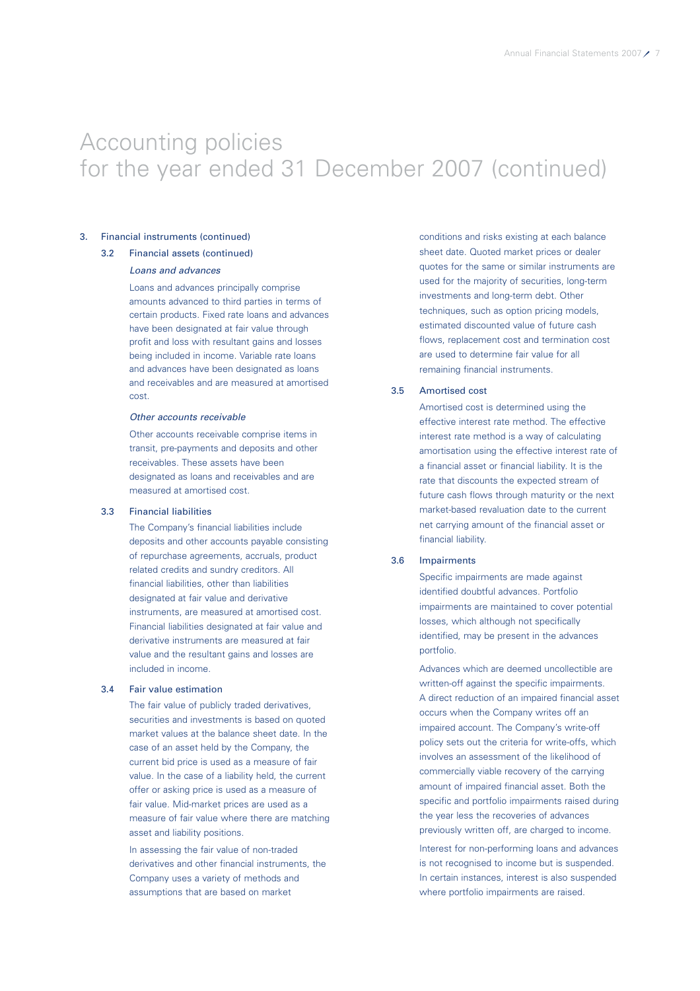### 3. Financial instruments (continued)

### 3.2 Financial assets (continued)

### Loans and advances

Loans and advances principally comprise amounts advanced to third parties in terms of certain products. Fixed rate loans and advances have been designated at fair value through profit and loss with resultant gains and losses being included in income. Variable rate loans and advances have been designated as loans and receivables and are measured at amortised cost.

### Other accounts receivable

Other accounts receivable comprise items in transit, pre-payments and deposits and other receivables. These assets have been designated as loans and receivables and are measured at amortised cost.

### 3.3 Financial liabilities

The Company's financial liabilities include deposits and other accounts payable consisting of repurchase agreements, accruals, product related credits and sundry creditors. All financial liabilities, other than liabilities designated at fair value and derivative instruments, are measured at amortised cost. Financial liabilities designated at fair value and derivative instruments are measured at fair value and the resultant gains and losses are included in income.

### 3.4 Fair value estimation

The fair value of publicly traded derivatives, securities and investments is based on quoted market values at the balance sheet date. In the case of an asset held by the Company, the current bid price is used as a measure of fair value. In the case of a liability held, the current offer or asking price is used as a measure of fair value. Mid-market prices are used as a measure of fair value where there are matching asset and liability positions.

In assessing the fair value of non-traded derivatives and other financial instruments, the Company uses a variety of methods and assumptions that are based on market

conditions and risks existing at each balance sheet date. Quoted market prices or dealer quotes for the same or similar instruments are used for the majority of securities, long-term investments and long-term debt. Other techniques, such as option pricing models, estimated discounted value of future cash flows, replacement cost and termination cost are used to determine fair value for all remaining financial instruments.

### 3.5 Amortised cost

Amortised cost is determined using the effective interest rate method. The effective interest rate method is a way of calculating amortisation using the effective interest rate of a financial asset or financial liability. It is the rate that discounts the expected stream of future cash flows through maturity or the next market-based revaluation date to the current net carrying amount of the financial asset or financial liability.

### 3.6 Impairments

Specific impairments are made against identified doubtful advances. Portfolio impairments are maintained to cover potential losses, which although not specifically identified, may be present in the advances portfolio.

Advances which are deemed uncollectible are written-off against the specific impairments. A direct reduction of an impaired financial asset occurs when the Company writes off an impaired account. The Company's write-off policy sets out the criteria for write-offs, which involves an assessment of the likelihood of commercially viable recovery of the carrying amount of impaired financial asset. Both the specific and portfolio impairments raised during the year less the recoveries of advances previously written off, are charged to income.

Interest for non-performing loans and advances is not recognised to income but is suspended. In certain instances, interest is also suspended where portfolio impairments are raised.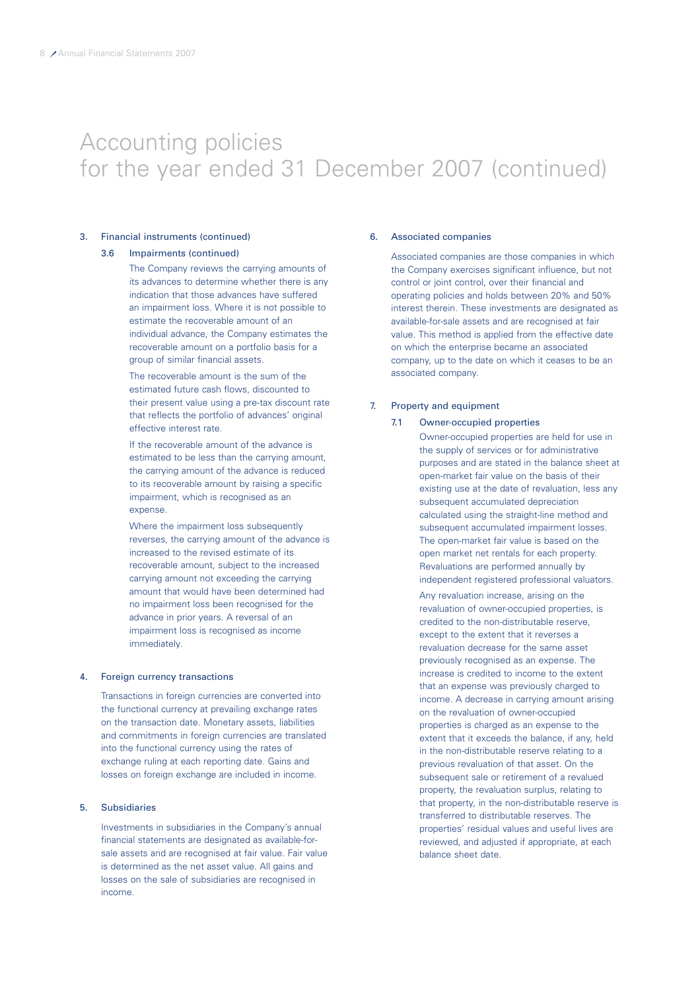### 3. Financial instruments (continued)

### 3.6 Impairments (continued)

The Company reviews the carrying amounts of its advances to determine whether there is any indication that those advances have suffered an impairment loss. Where it is not possible to estimate the recoverable amount of an individual advance, the Company estimates the recoverable amount on a portfolio basis for a group of similar financial assets.

The recoverable amount is the sum of the estimated future cash flows, discounted to their present value using a pre-tax discount rate that reflects the portfolio of advances' original effective interest rate.

If the recoverable amount of the advance is estimated to be less than the carrying amount, the carrying amount of the advance is reduced to its recoverable amount by raising a specific impairment, which is recognised as an expense.

Where the impairment loss subsequently reverses, the carrying amount of the advance is increased to the revised estimate of its recoverable amount, subject to the increased carrying amount not exceeding the carrying amount that would have been determined had no impairment loss been recognised for the advance in prior years. A reversal of an impairment loss is recognised as income immediately.

#### 4. Foreign currency transactions

Transactions in foreign currencies are converted into the functional currency at prevailing exchange rates on the transaction date. Monetary assets, liabilities and commitments in foreign currencies are translated into the functional currency using the rates of exchange ruling at each reporting date. Gains and losses on foreign exchange are included in income.

### 5. Subsidiaries

Investments in subsidiaries in the Company's annual financial statements are designated as available-forsale assets and are recognised at fair value. Fair value is determined as the net asset value. All gains and losses on the sale of subsidiaries are recognised in income.

#### 6. Associated companies

Associated companies are those companies in which the Company exercises significant influence, but not control or joint control, over their financial and operating policies and holds between 20% and 50% interest therein. These investments are designated as available-for-sale assets and are recognised at fair value. This method is applied from the effective date on which the enterprise became an associated company, up to the date on which it ceases to be an associated company.

### 7. Property and equipment

#### 7.1 Owner-occupied properties

Owner-occupied properties are held for use in the supply of services or for administrative purposes and are stated in the balance sheet at open-market fair value on the basis of their existing use at the date of revaluation, less any subsequent accumulated depreciation calculated using the straight-line method and subsequent accumulated impairment losses. The open-market fair value is based on the open market net rentals for each property. Revaluations are performed annually by independent registered professional valuators.

Any revaluation increase, arising on the revaluation of owner-occupied properties, is credited to the non-distributable reserve, except to the extent that it reverses a revaluation decrease for the same asset previously recognised as an expense. The increase is credited to income to the extent that an expense was previously charged to income. A decrease in carrying amount arising on the revaluation of owner-occupied properties is charged as an expense to the extent that it exceeds the balance, if any, held in the non-distributable reserve relating to a previous revaluation of that asset. On the subsequent sale or retirement of a revalued property, the revaluation surplus, relating to that property, in the non-distributable reserve is transferred to distributable reserves. The properties' residual values and useful lives are reviewed, and adjusted if appropriate, at each balance sheet date.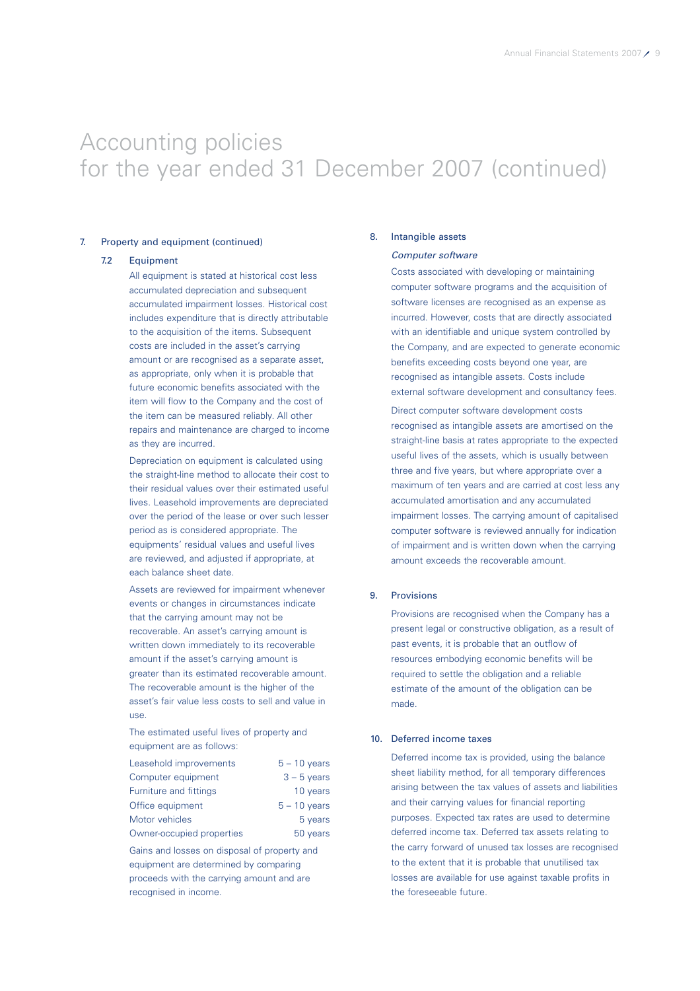### 7. Property and equipment (continued)

#### 7.2 Equipment

All equipment is stated at historical cost less accumulated depreciation and subsequent accumulated impairment losses. Historical cost includes expenditure that is directly attributable to the acquisition of the items. Subsequent costs are included in the asset's carrying amount or are recognised as a separate asset. as appropriate, only when it is probable that future economic benefits associated with the item will flow to the Company and the cost of the item can be measured reliably. All other repairs and maintenance are charged to income as they are incurred.

Depreciation on equipment is calculated using the straight-line method to allocate their cost to their residual values over their estimated useful lives. Leasehold improvements are depreciated over the period of the lease or over such lesser period as is considered appropriate. The equipments' residual values and useful lives are reviewed, and adjusted if appropriate, at each balance sheet date.

Assets are reviewed for impairment whenever events or changes in circumstances indicate that the carrying amount may not be recoverable. An asset's carrying amount is written down immediately to its recoverable amount if the asset's carrying amount is greater than its estimated recoverable amount. The recoverable amount is the higher of the asset's fair value less costs to sell and value in use.

The estimated useful lives of property and equipment are as follows:

| Leasehold improvements    | $5 - 10$ years |
|---------------------------|----------------|
| Computer equipment        | $3 - 5$ years  |
| Furniture and fittings    | 10 years       |
| Office equipment          | $5 - 10$ years |
| Motor vehicles            | 5 years        |
| Owner-occupied properties | 50 years       |

Gains and losses on disposal of property and equipment are determined by comparing proceeds with the carrying amount and are recognised in income.

#### 8. Intangible assets

### Computer software

Costs associated with developing or maintaining computer software programs and the acquisition of software licenses are recognised as an expense as incurred. However, costs that are directly associated with an identifiable and unique system controlled by the Company, and are expected to generate economic benefits exceeding costs beyond one year, are recognised as intangible assets. Costs include external software development and consultancy fees.

Direct computer software development costs recognised as intangible assets are amortised on the straight-line basis at rates appropriate to the expected useful lives of the assets, which is usually between three and five years, but where appropriate over a maximum of ten years and are carried at cost less any accumulated amortisation and any accumulated impairment losses. The carrying amount of capitalised computer software is reviewed annually for indication of impairment and is written down when the carrying amount exceeds the recoverable amount.

#### 9. Provisions

Provisions are recognised when the Company has a present legal or constructive obligation, as a result of past events, it is probable that an outflow of resources embodying economic benefits will be required to settle the obligation and a reliable estimate of the amount of the obligation can be made.

#### 10. Deferred income taxes

Deferred income tax is provided, using the balance sheet liability method, for all temporary differences arising between the tax values of assets and liabilities and their carrying values for financial reporting purposes. Expected tax rates are used to determine deferred income tax. Deferred tax assets relating to the carry forward of unused tax losses are recognised to the extent that it is probable that unutilised tax losses are available for use against taxable profits in the foreseeable future.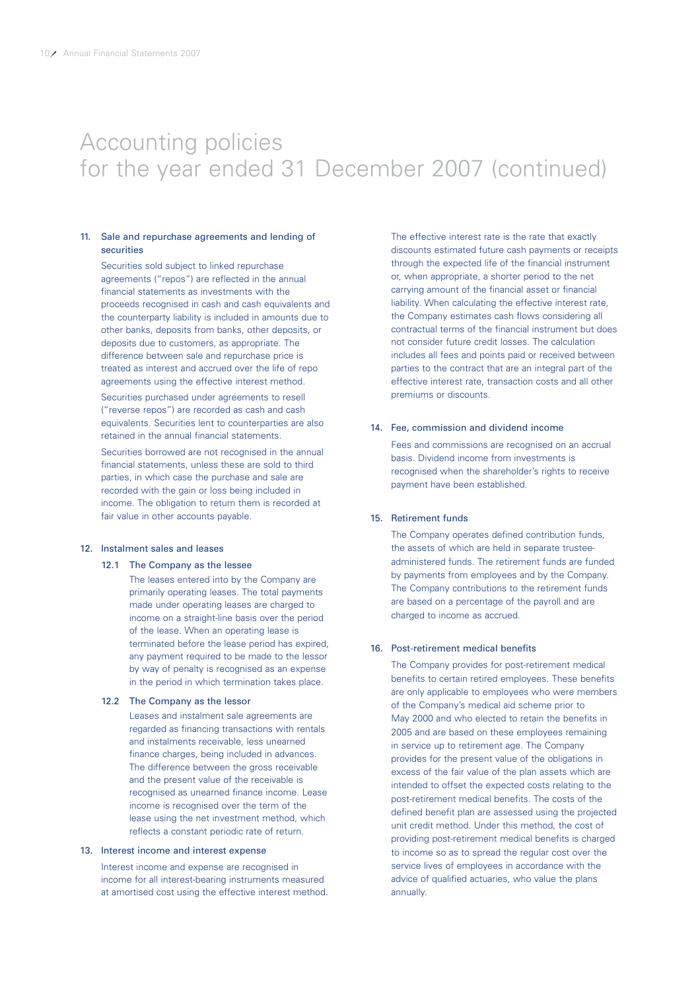### 11. Sale and repurchase agreements and lending of securities

Securities sold subject to linked repurchase agreements ("repos") are reflected in the annual financial statements as investments with the proceeds recognised in cash and cash equivalents and the counterparty liability is included in amounts due to other banks, deposits from banks, other deposits, or deposits due to customers, as appropriate. The difference between sale and repurchase price is treated as interest and accrued over the life of repo agreements using the effective interest method.

Securities purchased under agreements to resell ("reverse repos") are recorded as cash and cash equivalents. Securities lent to counterparties are also retained in the annual financial statements.

Securities borrowed are not recognised in the annual financial statements, unless these are sold to third parties, in which case the purchase and sale are recorded with the gain or loss being included in income. The obligation to return them is recorded at fair value in other accounts payable.

#### 12. Instalment sales and leases

#### 12.1 The Company as the lessee

The leases entered into by the Company are primarily operating leases. The total payments made under operating leases are charged to income on a straight-line basis over the period of the lease. When an operating lease is terminated before the lease period has expired, any payment required to be made to the lessor by way of penalty is recognised as an expense in the period in which termination takes place.

#### 12.2 The Company as the lessor

Leases and instalment sale agreements are regarded as financing transactions with rentals and instalments receivable, less unearned finance charges, being included in advances. The difference between the gross receivable and the present value of the receivable is recognised as unearned finance income. Lease income is recognised over the term of the lease using the net investment method, which reflects a constant periodic rate of return.

#### 13. Interest income and interest expense

Interest income and expense are recognised in income for all interest-bearing instruments measured at amortised cost using the effective interest method.

The effective interest rate is the rate that exactly discounts estimated future cash payments or receipts through the expected life of the financial instrument or, when appropriate, a shorter period to the net carrying amount of the financial asset or financial liability. When calculating the effective interest rate, the Company estimates cash flows considering all contractual terms of the financial instrument but does not consider future credit losses. The calculation includes all fees and points paid or received between parties to the contract that are an integral part of the effective interest rate, transaction costs and all other premiums or discounts.

#### 14. Fee, commission and dividend income

Fees and commissions are recognised on an accrual basis. Dividend income from investments is recognised when the shareholder's rights to receive payment have been established.

#### 15. Retirement funds

The Company operates defined contribution funds, the assets of which are held in separate trusteeadministered funds. The retirement funds are funded by payments from employees and by the Company. The Company contributions to the retirement funds are based on a percentage of the payroll and are charged to income as accrued.

#### 16. Post-retirement medical benefits

The Company provides for post-retirement medical benefits to certain retired employees. These benefits are only applicable to employees who were members of the Company's medical aid scheme prior to May 2000 and who elected to retain the benefits in 2005 and are based on these employees remaining in service up to retirement age. The Company provides for the present value of the obligations in excess of the fair value of the plan assets which are intended to offset the expected costs relating to the post-retirement medical benefits. The costs of the defined benefit plan are assessed using the projected unit credit method. Under this method, the cost of providing post-retirement medical benefits is charged to income so as to spread the regular cost over the service lives of employees in accordance with the advice of qualified actuaries, who value the plans annually.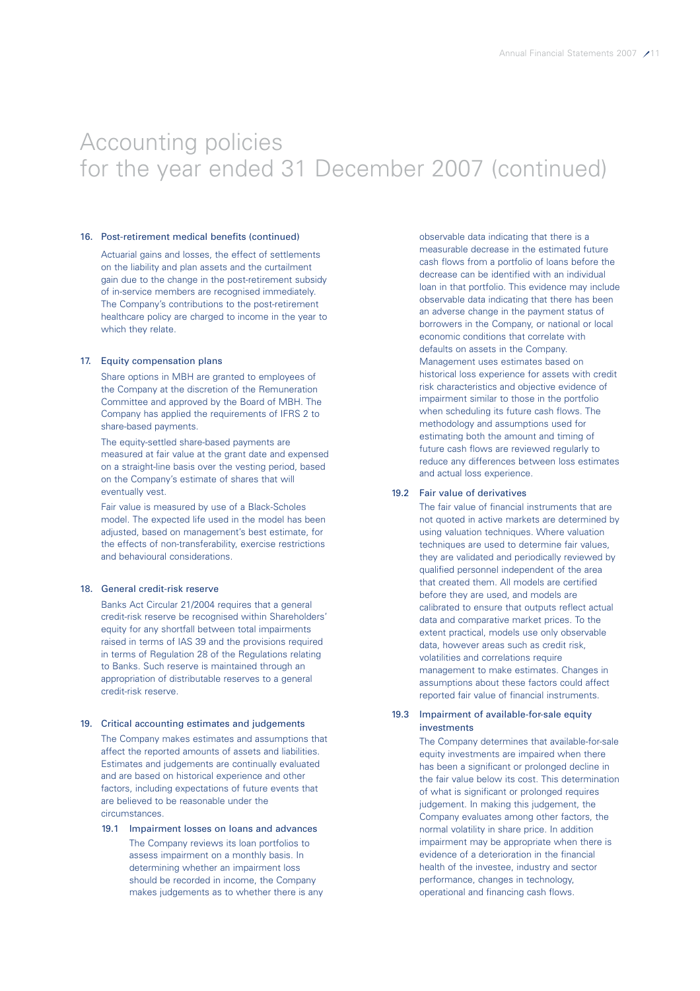### 16. Post-retirement medical benefits (continued)

Actuarial gains and losses, the effect of settlements on the liability and plan assets and the curtailment gain due to the change in the post-retirement subsidy of in-service members are recognised immediately. The Company's contributions to the post-retirement healthcare policy are charged to income in the year to which they relate.

#### 17. Equity compensation plans

Share options in MBH are granted to employees of the Company at the discretion of the Remuneration Committee and approved by the Board of MBH. The Company has applied the requirements of IFRS 2 to share-based payments.

The equity-settled share-based payments are measured at fair value at the grant date and expensed on a straight-line basis over the vesting period, based on the Company's estimate of shares that will eventually vest.

Fair value is measured by use of a Black-Scholes model. The expected life used in the model has been adjusted, based on management's best estimate, for the effects of non-transferability, exercise restrictions and behavioural considerations.

### 18. General credit-risk reserve

Banks Act Circular 21/2004 requires that a general credit-risk reserve be recognised within Shareholders' equity for any shortfall between total impairments raised in terms of IAS 39 and the provisions required in terms of Regulation 28 of the Regulations relating to Banks. Such reserve is maintained through an appropriation of distributable reserves to a general credit-risk reserve.

#### 19. Critical accounting estimates and judgements

The Company makes estimates and assumptions that affect the reported amounts of assets and liabilities. Estimates and judgements are continually evaluated and are based on historical experience and other factors, including expectations of future events that are believed to be reasonable under the circumstances.

19.1 Impairment losses on loans and advances The Company reviews its loan portfolios to assess impairment on a monthly basis. In determining whether an impairment loss should be recorded in income, the Company makes judgements as to whether there is any observable data indicating that there is a measurable decrease in the estimated future cash flows from a portfolio of loans before the decrease can be identified with an individual loan in that portfolio. This evidence may include observable data indicating that there has been an adverse change in the payment status of borrowers in the Company, or national or local economic conditions that correlate with defaults on assets in the Company. Management uses estimates based on historical loss experience for assets with credit risk characteristics and objective evidence of impairment similar to those in the portfolio when scheduling its future cash flows. The methodology and assumptions used for estimating both the amount and timing of future cash flows are reviewed regularly to reduce any differences between loss estimates and actual loss experience.

#### 19.2 Fair value of derivatives

The fair value of financial instruments that are not quoted in active markets are determined by using valuation techniques. Where valuation techniques are used to determine fair values, they are validated and periodically reviewed by qualified personnel independent of the area that created them. All models are certified before they are used, and models are calibrated to ensure that outputs reflect actual data and comparative market prices. To the extent practical, models use only observable data, however areas such as credit risk, volatilities and correlations require management to make estimates. Changes in assumptions about these factors could affect reported fair value of financial instruments.

### 19.3 Impairment of available-for-sale equity investments

The Company determines that available-for-sale equity investments are impaired when there has been a significant or prolonged decline in the fair value below its cost. This determination of what is significant or prolonged requires judgement. In making this judgement, the Company evaluates among other factors, the normal volatility in share price. In addition impairment may be appropriate when there is evidence of a deterioration in the financial health of the investee, industry and sector performance, changes in technology, operational and financing cash flows.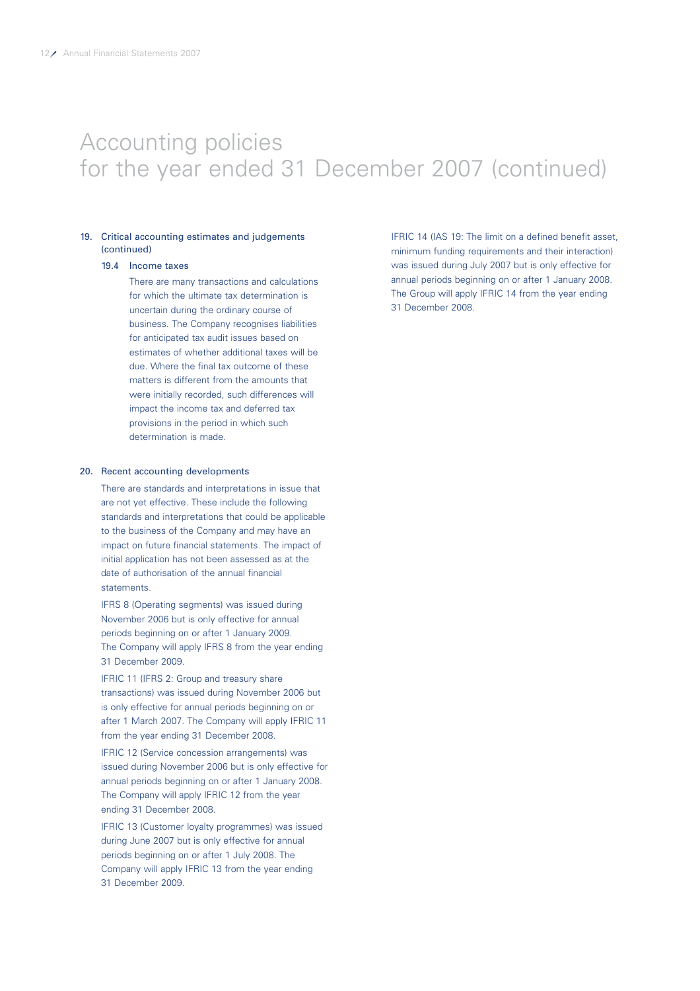### 19. Critical accounting estimates and judgements (continued)

### 19.4 Income taxes

There are many transactions and calculations for which the ultimate tax determination is uncertain during the ordinary course of business. The Company recognises liabilities for anticipated tax audit issues based on estimates of whether additional taxes will be due. Where the final tax outcome of these matters is different from the amounts that were initially recorded, such differences will impact the income tax and deferred tax provisions in the period in which such determination is made.

#### 20. Recent accounting developments

There are standards and interpretations in issue that are not yet effective. These include the following standards and interpretations that could be applicable to the business of the Company and may have an impact on future financial statements. The impact of initial application has not been assessed as at the date of authorisation of the annual financial statements.

IFRS 8 (Operating segments) was issued during November 2006 but is only effective for annual periods beginning on or after 1 January 2009. The Company will apply IFRS 8 from the year ending 31 December 2009.

IFRIC 11 (IFRS 2: Group and treasury share transactions) was issued during November 2006 but is only effective for annual periods beginning on or after 1 March 2007. The Company will apply IFRIC 11 from the year ending 31 December 2008.

IFRIC 12 (Service concession arrangements) was issued during November 2006 but is only effective for annual periods beginning on or after 1 January 2008. The Company will apply IFRIC 12 from the year ending 31 December 2008.

IFRIC 13 (Customer loyalty programmes) was issued during June 2007 but is only effective for annual periods beginning on or after 1 July 2008. The Company will apply IFRIC 13 from the year ending 31 December 2009.

IFRIC 14 (IAS 19: The limit on a defined benefit asset, minimum funding requirements and their interaction) was issued during July 2007 but is only effective for annual periods beginning on or after 1 January 2008. The Group will apply IFRIC 14 from the year ending 31 December 2008.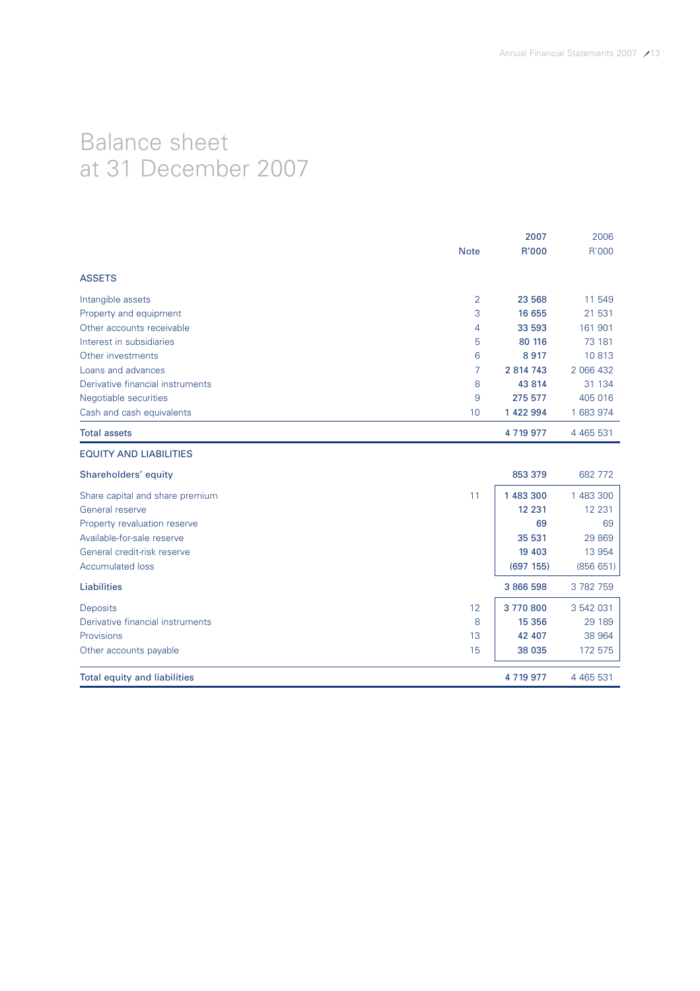# Balance sheet at 31 December 2007

|                                     |                | 2007         | 2006          |
|-------------------------------------|----------------|--------------|---------------|
|                                     | <b>Note</b>    | R'000        | R'000         |
| <b>ASSETS</b>                       |                |              |               |
| Intangible assets                   | $\overline{2}$ | 23 568       | 11 549        |
| Property and equipment              | 3              | 16 655       | 21 531        |
| Other accounts receivable           | 4              | 33 593       | 161 901       |
| Interest in subsidiaries            | 5              | 80 116       | 73 181        |
| Other investments                   | 6              | 8917         | 10813         |
| Loans and advances                  | 7              | 2 814 743    | 2 066 432     |
| Derivative financial instruments    | 8              | 43 8 14      | 31 134        |
| Negotiable securities               | 9              | 275 577      | 405 016       |
| Cash and cash equivalents           | 10             | 1 422 994    | 1 683 974     |
| <b>Total assets</b>                 |                | 4 7 19 9 7 7 | 4 4 6 5 5 3 1 |
| <b>EQUITY AND LIABILITIES</b>       |                |              |               |
| Shareholders' equity                |                | 853 379      | 682 772       |
| Share capital and share premium     | 11             | 1 483 300    | 1 483 300     |
| General reserve                     |                | 12 2 3 1     | 12 231        |
| Property revaluation reserve        |                | 69           | 69            |
| Available-for-sale reserve          |                | 35 531       | 29 869        |
| General credit-risk reserve         |                | 19 4 03      | 13 9 54       |
| <b>Accumulated loss</b>             |                | (697 155)    | (856651)      |
| <b>Liabilities</b>                  |                | 3 866 598    | 3782759       |
| Deposits                            | 12             | 3770800      | 3 542 031     |
| Derivative financial instruments    | 8              | 15 3 5 6     | 29 189        |
| Provisions                          | 13             | 42 407       | 38 964        |
| Other accounts payable              | 15             | 38 035       | 172 575       |
| <b>Total equity and liabilities</b> |                | 4 7 19 9 7 7 | 4 4 6 5 5 3 1 |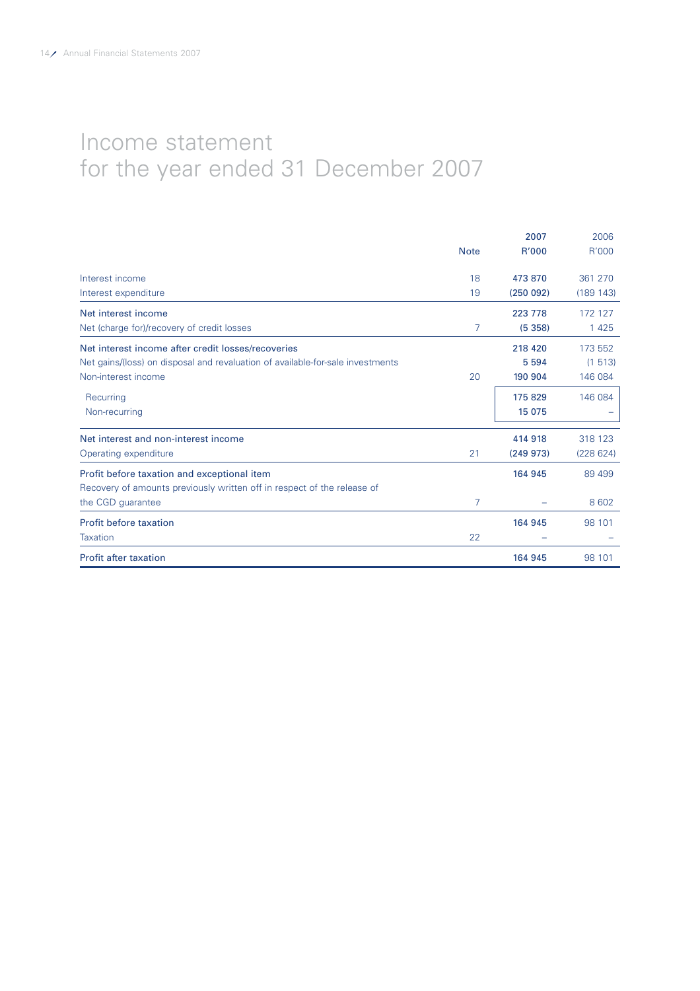# Income statement for the year ended 31 December 2007

|                                                                                |             | 2007     | 2006      |
|--------------------------------------------------------------------------------|-------------|----------|-----------|
|                                                                                | <b>Note</b> | R'000    | R'000     |
| Interest income                                                                | 18          | 473 870  | 361 270   |
| Interest expenditure                                                           | 19          | (250092) | (189 143) |
| Net interest income                                                            |             | 223 778  | 172 127   |
| Net (charge for)/recovery of credit losses                                     | 7           | (5358)   | 1 4 2 5   |
| Net interest income after credit losses/recoveries                             |             | 218 420  | 173 552   |
| Net gains/(loss) on disposal and revaluation of available-for-sale investments |             | 5 5 9 4  | (1513)    |
| Non-interest income                                                            | 20          | 190 904  | 146 084   |
| Recurring                                                                      |             | 175829   | 146 084   |
| Non-recurring                                                                  |             | 15 075   |           |
| Net interest and non-interest income                                           |             | 414 918  | 318 123   |
| Operating expenditure                                                          | 21          | (249973) | (228624)  |
| Profit before taxation and exceptional item                                    |             | 164 945  | 89 499    |
| Recovery of amounts previously written off in respect of the release of        |             |          |           |
| the CGD guarantee                                                              | 7           |          | 8 6 0 2   |
| Profit before taxation                                                         |             | 164 945  | 98 101    |
| Taxation                                                                       | 22          |          |           |
| <b>Profit after taxation</b>                                                   |             | 164 945  | 98 101    |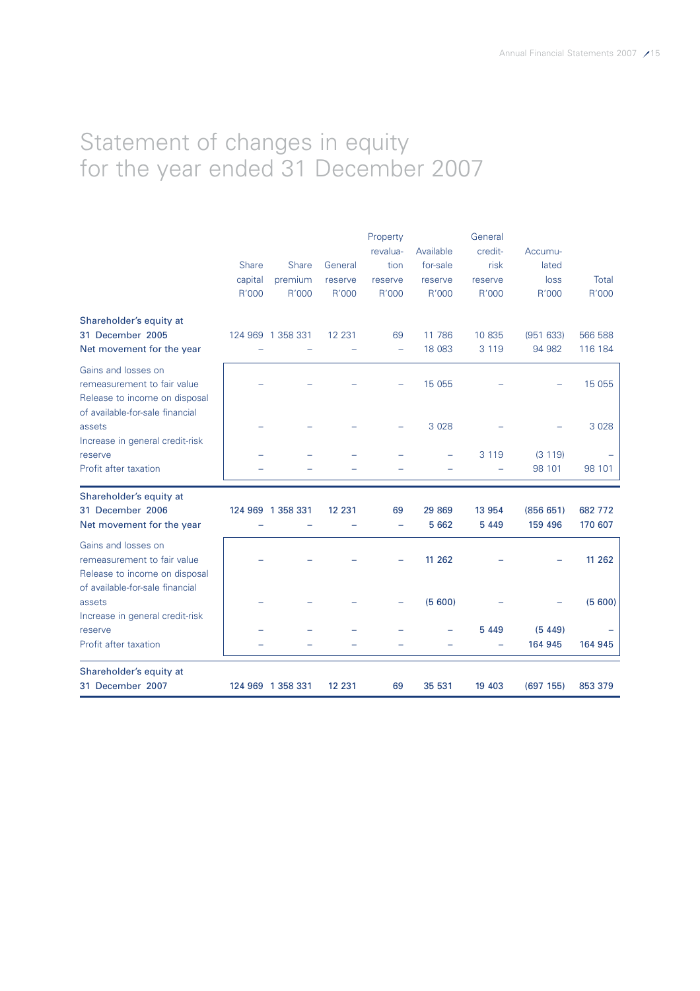# Statement of changes in equity for the year ended 31 December 2007

|                                 |         |                   |         | Property                 |           | General |           |         |
|---------------------------------|---------|-------------------|---------|--------------------------|-----------|---------|-----------|---------|
|                                 |         |                   |         | revalua-                 | Available | credit- | Accumu-   |         |
|                                 | Share   | <b>Share</b>      | General | tion                     | for-sale  | risk    | lated     |         |
|                                 | capital | premium           | reserve | reserve                  | reserve   | reserve | loss      | Total   |
|                                 | R'000   | R'000             | R'000   | R'000                    | R'000     | R'000   | R'000     | R'000   |
| Shareholder's equity at         |         |                   |         |                          |           |         |           |         |
| 31 December 2005                |         | 124 969 1 358 331 | 12 2 31 | 69                       | 11 786    | 10 835  | (951 633) | 566 588 |
| Net movement for the year       |         |                   |         | $\overline{\phantom{0}}$ | 18 083    | 3 1 1 9 | 94 982    | 116 184 |
| Gains and losses on             |         |                   |         |                          |           |         |           |         |
| remeasurement to fair value     |         |                   |         |                          | 15 0 55   |         |           | 15 0 55 |
| Release to income on disposal   |         |                   |         |                          |           |         |           |         |
| of available-for-sale financial |         |                   |         |                          |           |         |           |         |
| assets                          |         |                   |         |                          | 3 0 28    |         |           | 3 0 28  |
| Increase in general credit-risk |         |                   |         |                          |           |         |           |         |
| reserve                         |         |                   |         |                          |           | 3 1 1 9 | (3 119)   |         |
| Profit after taxation           |         |                   |         |                          |           |         | 98 101    | 98 101  |
| Shareholder's equity at         |         |                   |         |                          |           |         |           |         |
| 31 December 2006                |         | 124 969 1 358 331 | 12 231  | 69                       | 29 869    | 13 9 54 | (856651)  | 682 772 |
| Net movement for the year       |         |                   |         | $\overline{\phantom{0}}$ | 5 6 6 2   | 5 4 4 9 | 159 496   | 170 607 |
| Gains and losses on             |         |                   |         |                          |           |         |           |         |
| remeasurement to fair value     |         |                   |         |                          | 11 262    |         |           | 11 262  |
| Release to income on disposal   |         |                   |         |                          |           |         |           |         |
| of available-for-sale financial |         |                   |         |                          |           |         |           |         |
| assets                          |         |                   |         |                          | (5600)    |         |           | (5600)  |
| Increase in general credit-risk |         |                   |         |                          |           |         |           |         |
| reserve                         |         |                   |         |                          |           | 5 4 4 9 | (5449)    |         |
| Profit after taxation           |         |                   |         |                          |           |         | 164 945   | 164 945 |
| Shareholder's equity at         |         |                   |         |                          |           |         |           |         |
| 31 December 2007                |         | 124 969 1 358 331 | 12 231  | 69                       | 35 531    | 19 403  | (697 155) | 853 379 |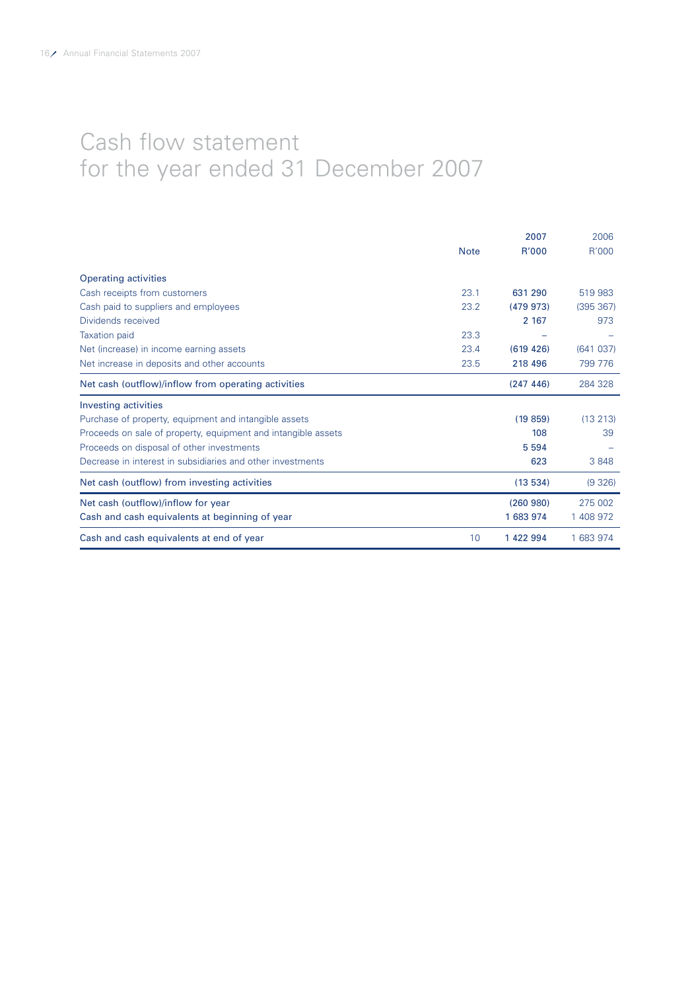# Cash flow statement for the year ended 31 December 2007

|                                                               |             | 2007       | 2006      |
|---------------------------------------------------------------|-------------|------------|-----------|
|                                                               | <b>Note</b> | R'000      | R'000     |
| <b>Operating activities</b>                                   |             |            |           |
| Cash receipts from customers                                  | 23.1        | 631 290    | 519 983   |
| Cash paid to suppliers and employees                          | 23.2        | (479973)   | (395 367) |
| Dividends received                                            |             | 2 1 6 7    | 973       |
| <b>Taxation paid</b>                                          | 23.3        |            |           |
| Net (increase) in income earning assets                       | 23.4        | (619, 426) | (641037)  |
| Net increase in deposits and other accounts                   | 23.5        | 218 496    | 799 776   |
| Net cash (outflow)/inflow from operating activities           |             | (247 446)  | 284 328   |
| <b>Investing activities</b>                                   |             |            |           |
| Purchase of property, equipment and intangible assets         |             | (19859)    | (13 213)  |
| Proceeds on sale of property, equipment and intangible assets |             | 108        | 39        |
| Proceeds on disposal of other investments                     |             | 5 5 9 4    |           |
| Decrease in interest in subsidiaries and other investments    |             | 623        | 3848      |
| Net cash (outflow) from investing activities                  |             | (13534)    | (9326)    |
| Net cash (outflow)/inflow for year                            |             | (260980)   | 275 002   |
| Cash and cash equivalents at beginning of year                |             | 1 683 974  | 1 408 972 |
| Cash and cash equivalents at end of year                      | 10          | 1 422 994  | 1 683 974 |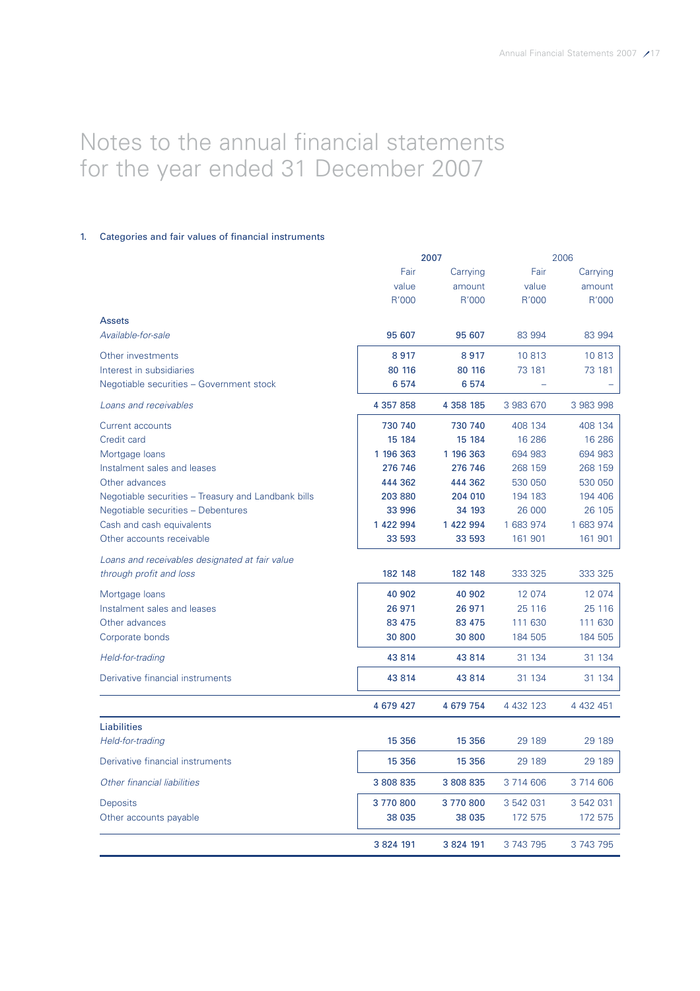# Notes to the annual financial statements for the year ended 31 December 2007

# 1. Categories and fair values of financial instruments

|                                                     |           | 2007          |               | 2006          |  |
|-----------------------------------------------------|-----------|---------------|---------------|---------------|--|
|                                                     | Fair      | Carrying      | Fair          | Carrying      |  |
|                                                     | value     | amount        | value         | amount        |  |
|                                                     | R'000     | R'000         | R'000         | R'000         |  |
| <b>Assets</b>                                       |           |               |               |               |  |
| Available-for-sale                                  | 95 607    | 95 607        | 83 994        | 83 994        |  |
| Other investments                                   | 8917      | 8917          | 10813         | 10813         |  |
| Interest in subsidiaries                            | 80 116    | 80 116        | 73 181        | 73 181        |  |
| Negotiable securities - Government stock            | 6574      | 6574          |               |               |  |
| Loans and receivables                               | 4 357 858 | 4 3 5 8 1 8 5 | 3 983 670     | 3 983 998     |  |
| Current accounts                                    | 730 740   | 730 740       | 408 134       | 408 134       |  |
| Credit card                                         | 15 184    | 15 184        | 16 28 6       | 16 28 6       |  |
| Mortgage loans                                      | 1 196 363 | 1 196 363     | 694 983       | 694 983       |  |
| Instalment sales and leases                         | 276 746   | 276 746       | 268 159       | 268 159       |  |
| Other advances                                      | 444 362   | 444 362       | 530 050       | 530 050       |  |
| Negotiable securities – Treasury and Landbank bills | 203 880   | 204 010       | 194 183       | 194 406       |  |
| Negotiable securities - Debentures                  | 33 996    | 34 193        | 26 000        | 26 105        |  |
| Cash and cash equivalents                           | 1 422 994 | 1 422 994     | 1 683 974     | 1 683 974     |  |
| Other accounts receivable                           | 33 593    | 33 593        | 161 901       | 161 901       |  |
| Loans and receivables designated at fair value      |           |               |               |               |  |
| through profit and loss                             | 182 148   | 182 148       | 333 325       | 333 325       |  |
| Mortgage loans                                      | 40 902    | 40 902        | 12 074        | 12 074        |  |
| Instalment sales and leases                         | 26 971    | 26 971        | 25 1 16       | 25 116        |  |
| Other advances                                      | 83 475    | 83 475        | 111 630       | 111 630       |  |
| Corporate bonds                                     | 30 800    | 30 800        | 184 505       | 184 505       |  |
| Held-for-trading                                    | 43 814    | 43 814        | 31 134        | 31 134        |  |
| Derivative financial instruments                    | 43 814    | 43 814        | 31 1 34       | 31 134        |  |
|                                                     | 4 679 427 | 4 679 754     | 4 4 3 2 1 2 3 | 4 4 3 2 4 5 1 |  |
| <b>Liabilities</b>                                  |           |               |               |               |  |
| Held-for-trading                                    | 15 356    | 15 356        | 29 189        | 29 189        |  |
| Derivative financial instruments                    | 15 356    | 15 3 56       | 29 189        | 29 189        |  |
| Other financial liabilities                         | 3 808 835 | 3 808 835     | 3 714 606     | 3 714 606     |  |
| Deposits                                            | 3770800   | 3770800       | 3 542 031     | 3 542 031     |  |
| Other accounts payable                              | 38 035    | 38 035        | 172 575       | 172 575       |  |
|                                                     | 3 824 191 | 3 824 191     | 3 743 795     | 3 743 795     |  |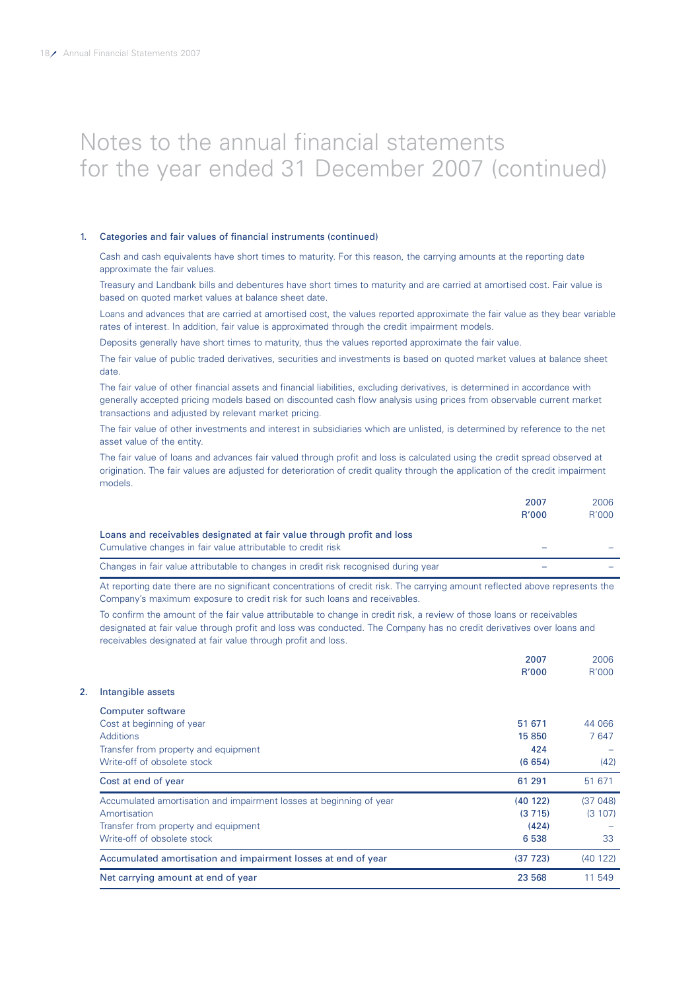#### 1. Categories and fair values of financial instruments (continued)

Cash and cash equivalents have short times to maturity. For this reason, the carrying amounts at the reporting date approximate the fair values.

Treasury and Landbank bills and debentures have short times to maturity and are carried at amortised cost. Fair value is based on quoted market values at balance sheet date.

Loans and advances that are carried at amortised cost, the values reported approximate the fair value as they bear variable rates of interest. In addition, fair value is approximated through the credit impairment models.

Deposits generally have short times to maturity, thus the values reported approximate the fair value.

The fair value of public traded derivatives, securities and investments is based on quoted market values at balance sheet date.

The fair value of other financial assets and financial liabilities, excluding derivatives, is determined in accordance with generally accepted pricing models based on discounted cash flow analysis using prices from observable current market transactions and adjusted by relevant market pricing.

The fair value of other investments and interest in subsidiaries which are unlisted, is determined by reference to the net asset value of the entity.

The fair value of loans and advances fair valued through profit and loss is calculated using the credit spread observed at origination. The fair values are adjusted for deterioration of credit quality through the application of the credit impairment models.

|                                                                                                                                        | 2007<br><b>R'000</b> | 2006<br>R'000 |
|----------------------------------------------------------------------------------------------------------------------------------------|----------------------|---------------|
| Loans and receivables designated at fair value through profit and loss<br>Cumulative changes in fair value attributable to credit risk |                      |               |
| Changes in fair value attributable to changes in credit risk recognised during year                                                    |                      |               |

At reporting date there are no significant concentrations of credit risk. The carrying amount reflected above represents the Company's maximum exposure to credit risk for such loans and receivables.

To confirm the amount of the fair value attributable to change in credit risk, a review of those loans or receivables designated at fair value through profit and loss was conducted. The Company has no credit derivatives over loans and receivables designated at fair value through profit and loss.

|                                                                     | 2007         | 2006    |
|---------------------------------------------------------------------|--------------|---------|
|                                                                     | <b>R'000</b> | R'000   |
| Intangible assets                                                   |              |         |
| Computer software                                                   |              |         |
| Cost at beginning of year                                           | 51 671       | 44 066  |
| <b>Additions</b>                                                    | 15 850       | 7647    |
| Transfer from property and equipment                                | 424          |         |
| Write-off of obsolete stock                                         | (6654)       | (42)    |
| Cost at end of year                                                 | 61 291       | 51 671  |
| Accumulated amortisation and impairment losses at beginning of year | (40122)      | (37048) |
| Amortisation                                                        | (3715)       | (3107)  |
| Transfer from property and equipment                                | (424)        |         |
| Write-off of obsolete stock                                         | 6538         | 33      |
| Accumulated amortisation and impairment losses at end of year       | (37 723)     | (40122) |
| Net carrying amount at end of year                                  | 23 568       | 11 549  |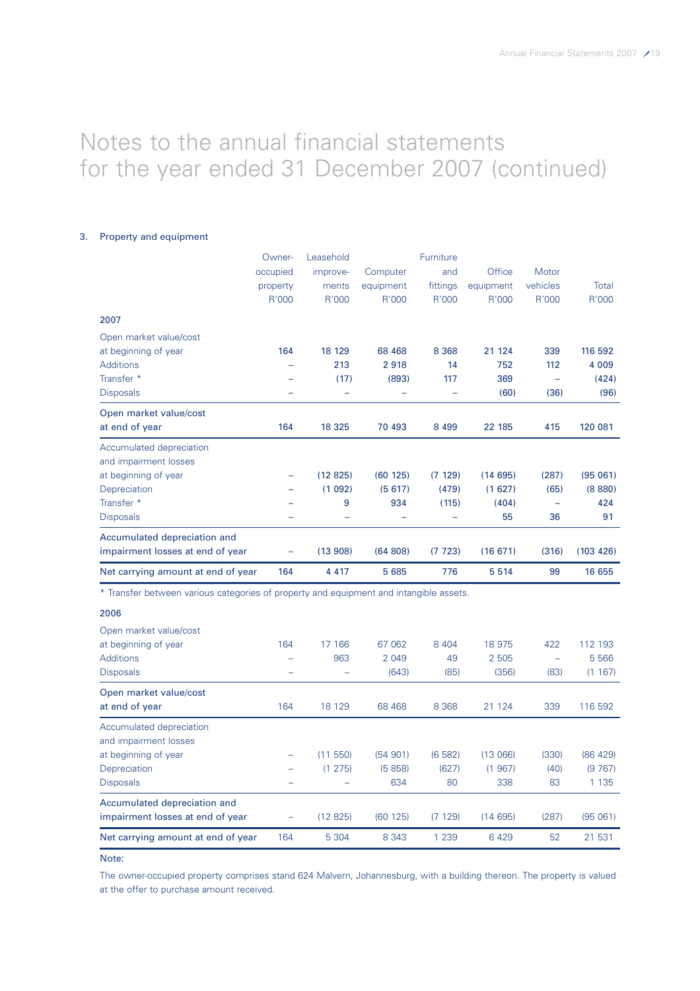### 3. Property and equipment

|                                                                                                      | Owner-<br>occupied<br>property<br>R'000 | Leasehold<br>improve-<br>ments<br>R'000 | Computer<br>equipment<br>R'000 | Furniture<br>and<br>fittings<br>R'000 | <b>Office</b><br>equipment<br>R'000 | Motor<br>vehicles<br>R'000 | Total<br>R'000                      |
|------------------------------------------------------------------------------------------------------|-----------------------------------------|-----------------------------------------|--------------------------------|---------------------------------------|-------------------------------------|----------------------------|-------------------------------------|
| 2007                                                                                                 |                                         |                                         |                                |                                       |                                     |                            |                                     |
| Open market value/cost<br>at beginning of year<br><b>Additions</b><br>Transfer *<br><b>Disposals</b> | 164                                     | 18 129<br>213<br>(17)                   | 68 4 68<br>2918<br>(893)       | 8 3 6 8<br>14<br>117                  | 21 124<br>752<br>369<br>(60)        | 339<br>112<br>(36)         | 116 592<br>4 0 0 9<br>(424)<br>(96) |
| Open market value/cost<br>at end of year                                                             | 164                                     | 18 3 25                                 | 70 493                         | 8 4 9 9                               | 22 185                              | 415                        | 120 081                             |
| Accumulated depreciation<br>and impairment losses<br>at beginning of year<br>Depreciation            | -                                       | (12825)<br>(1092)                       | (60125)<br>(5617)              | (7129)<br>(479)                       | (14695)<br>(1627)                   | (287)<br>(65)              | (95061)<br>(8880)                   |
| Transfer *<br><b>Disposals</b>                                                                       |                                         | 9                                       | 934                            | (115)                                 | (404)<br>55                         | -<br>36                    | 424<br>91                           |
| Accumulated depreciation and<br>impairment losses at end of year                                     |                                         | (13908)                                 | (64808)                        | (7723)                                | (16671)                             | (316)                      | (103 426)                           |
| Net carrying amount at end of year                                                                   | 164                                     | 4 4 1 7                                 | 5 6 8 5                        | 776                                   | 5514                                | 99                         | 16 655                              |

\* Transfer between various categories of property and equipment and intangible assets.

# 2006

| Open market value/cost             |     |             |         |         |         |                          |          |
|------------------------------------|-----|-------------|---------|---------|---------|--------------------------|----------|
| at beginning of year               | 164 | 17 166      | 67 062  | 8 4 0 4 | 18 975  | 422                      | 112 193  |
| <b>Additions</b>                   | -   | 963         | 2 0 4 9 | 49      | 2 505   | $\overline{\phantom{0}}$ | 5 5 6 6  |
| <b>Disposals</b>                   |     |             | (643)   | (85)    | (356)   | (83)                     | (1167)   |
| Open market value/cost             |     |             |         |         |         |                          |          |
| at end of year                     | 164 | 18 129      | 68 4 68 | 8 3 6 8 | 21 1 24 | 339                      | 116 592  |
| Accumulated depreciation           |     |             |         |         |         |                          |          |
| and impairment losses              |     |             |         |         |         |                          |          |
| at beginning of year               |     | (11 550)    | (54901) | (6582)  | (13066) | (330)                    | (86 429) |
| Depreciation                       | -   | 275)<br>(1) | (5858)  | (627)   | (1967)  | (40)                     | (9767)   |
| <b>Disposals</b>                   |     |             | 634     | 80      | 338     | 83                       | 1 1 3 5  |
| Accumulated depreciation and       |     |             |         |         |         |                          |          |
| impairment losses at end of year   | -   | (12825)     | (60125) | (7129)  | (14695) | (287)                    | (95061)  |
| Net carrying amount at end of year | 164 | 5 3 0 4     | 8 3 4 3 | 1 2 3 9 | 6429    | 52                       | 21 531   |

Note:

The owner-occupied property comprises stand 624 Malvern, Johannesburg, with a building thereon. The property is valued at the offer to purchase amount received.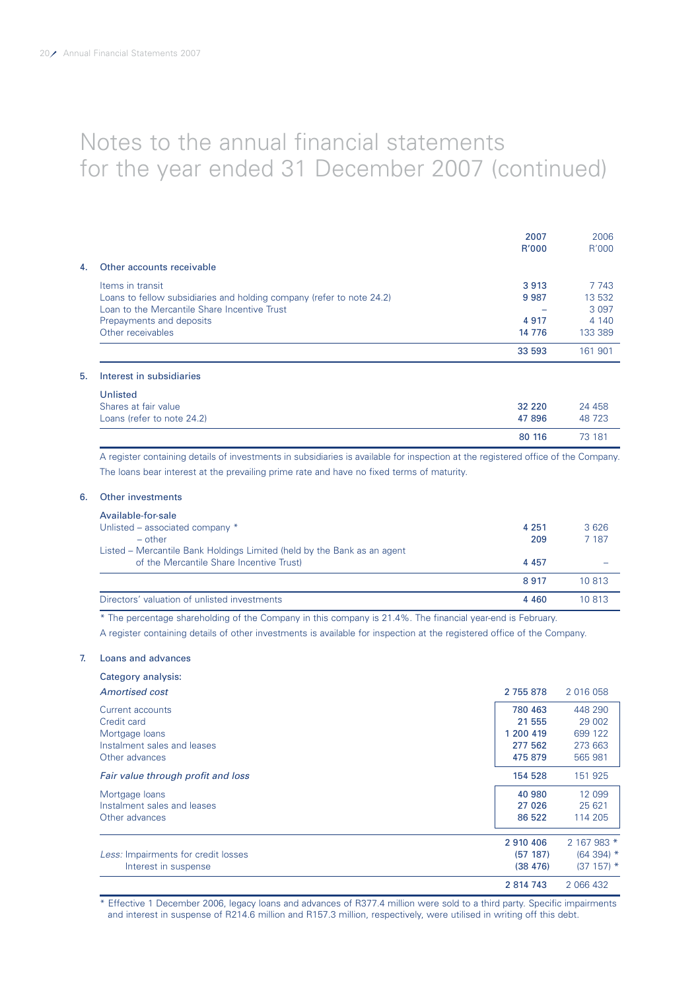|    |                                                                       | 2007<br>R'000 | 2006<br>R'000 |
|----|-----------------------------------------------------------------------|---------------|---------------|
| 4. | Other accounts receivable                                             |               |               |
|    | Items in transit                                                      | 3913          | 7 7 4 3       |
|    | Loans to fellow subsidiaries and holding company (refer to note 24.2) | 9987          | 13 532        |
|    | Loan to the Mercantile Share Incentive Trust                          |               | 3 0 9 7       |
|    | Prepayments and deposits                                              | 4917          | 4 1 4 0       |
|    | Other receivables                                                     | 14 776        | 133 389       |
|    |                                                                       | 33 593        | 161 901       |
| 5. | Interest in subsidiaries                                              |               |               |

| Unlisted                   |          |        |
|----------------------------|----------|--------|
| Shares at fair value       | 32 2 2 0 | 24 458 |
| Loans (refer to note 24.2) | 47 896   | 48 723 |
|                            | 80 116   | 73 181 |

A register containing details of investments in subsidiaries is available for inspection at the registered office of the Company. The loans bear interest at the prevailing prime rate and have no fixed terms of maturity.

# 6. Other investments

| Available-for-sale                                                      |         |         |
|-------------------------------------------------------------------------|---------|---------|
| Unlisted – associated company *                                         | 4 251   | 3626    |
| $-$ other                                                               | 209     | 7 1 8 7 |
| Listed – Mercantile Bank Holdings Limited (held by the Bank as an agent |         |         |
| of the Mercantile Share Incentive Trust)                                | 4 4 5 7 |         |
|                                                                         | 8917    | 10 813  |
| Directors' valuation of unlisted investments                            | 4 4 6 0 | 10 813  |

\* The percentage shareholding of the Company in this company is 21.4%. The financial year-end is February.

A register containing details of other investments is available for inspection at the registered office of the Company.

#### 7. Loans and advances

| Category analysis:                  |           |             |
|-------------------------------------|-----------|-------------|
| Amortised cost                      | 2 755 878 | 2 016 058   |
| Current accounts                    | 780 463   | 448 290     |
| Credit card                         | 21 555    | 29 002      |
| Mortgage loans                      | 1 200 419 | 699 122     |
| Instalment sales and leases         | 277 562   | 273 663     |
| Other advances                      | 475 879   | 565 981     |
| Fair value through profit and loss  | 154 528   | 151 925     |
| Mortgage loans                      | 40 980    | 12 099      |
| Instalment sales and leases         | 27 0 26   | 25 621      |
| Other advances                      | 86 522    | 114 205     |
|                                     | 2 910 406 | 2 167 983 * |
| Less: Impairments for credit losses | (57 187)  | $(64394)$ * |
| Interest in suspense                | (38, 476) | $(37157)^*$ |
|                                     | 2 814 743 | 2 066 432   |

\* Effective 1 December 2006, legacy loans and advances of R377.4 million were sold to a third party. Specific impairments and interest in suspense of R214.6 million and R157.3 million, respectively, were utilised in writing off this debt.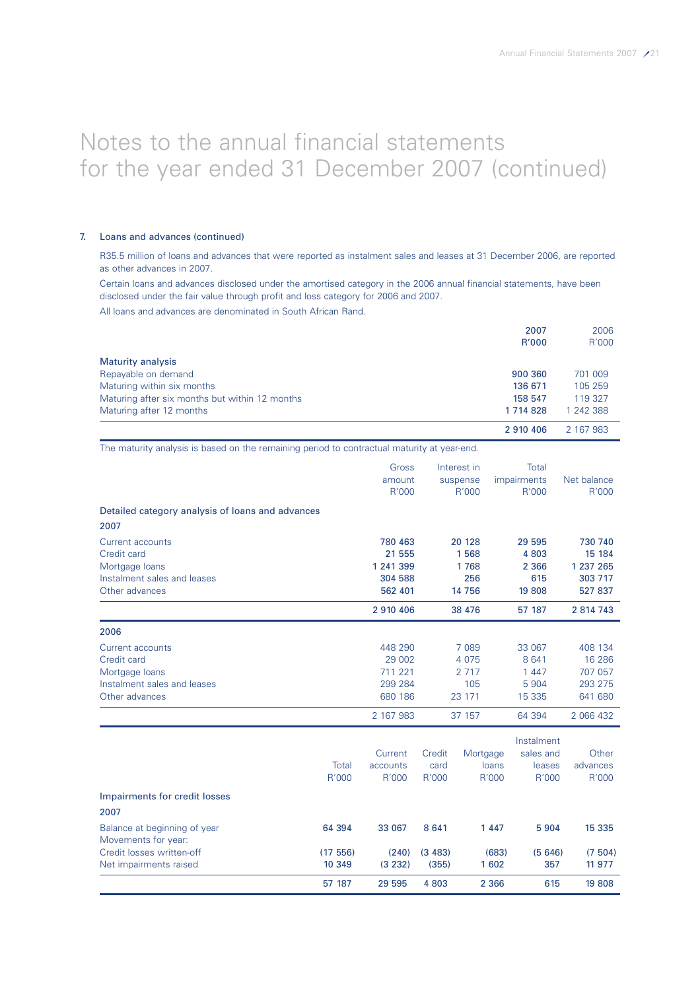### 7. Loans and advances (continued)

Movements for year:

R35.5 million of loans and advances that were reported as instalment sales and leases at 31 December 2006, are reported as other advances in 2007.

Certain loans and advances disclosed under the amortised category in the 2006 annual financial statements, have been disclosed under the fair value through profit and loss category for 2006 and 2007.

All loans and advances are denominated in South African Rand.

|                                                | 2007        | 2006      |
|------------------------------------------------|-------------|-----------|
|                                                | R'000       | R'000     |
| <b>Maturity analysis</b>                       |             |           |
| Repayable on demand                            | 900 360     | 701 009   |
| Maturing within six months                     | 136 671     | 105 259   |
| Maturing after six months but within 12 months | 158 547     | 119 327   |
| Maturing after 12 months                       | 1 7 14 8 28 | 1 242 388 |
|                                                | 2 910 406   | 2 167 983 |

The maturity analysis is based on the remaining period to contractual maturity at year-end.

|                                                                                                    | Gross<br>amount<br>R'000                             |                         | Interest in<br>suspense<br>R'000               | Total<br>impairments<br>R'000                      | Net balance<br>R'000                                 |
|----------------------------------------------------------------------------------------------------|------------------------------------------------------|-------------------------|------------------------------------------------|----------------------------------------------------|------------------------------------------------------|
| Detailed category analysis of loans and advances<br>2007                                           |                                                      |                         |                                                |                                                    |                                                      |
| Current accounts<br>Credit card<br>Mortgage loans<br>Instalment sales and leases<br>Other advances | 780 463<br>21 555<br>1 241 399<br>304 588<br>562 401 |                         | 20 128<br>1568<br>1768<br>256<br>14 756        | 29 595<br>4 8 0 3<br>2 3 6 6<br>615<br>19 808      | 730 740<br>15 184<br>1 237 265<br>303 717<br>527 837 |
|                                                                                                    | 2 910 406                                            |                         | 38 476                                         | 57 187                                             | 2 814 743                                            |
| 2006                                                                                               |                                                      |                         |                                                |                                                    |                                                      |
| Current accounts<br>Credit card<br>Mortgage loans<br>Instalment sales and leases<br>Other advances | 448 290<br>29 002<br>711 221<br>299 284<br>680 186   |                         | 7 0 8 9<br>4 0 7 5<br>2 7 1 7<br>105<br>23 171 | 33 067<br>8 6 4 1<br>1 4 4 7<br>5 9 0 4<br>15 3 35 | 408 134<br>16 28 6<br>707 057<br>293 275<br>641 680  |
|                                                                                                    | 2 167 983                                            |                         | 37 157                                         | 64 394                                             | 2 066 432                                            |
| Total<br>R'000<br>Impairments for credit losses<br>2007                                            | Current<br>accounts<br>R'000                         | Credit<br>card<br>R'000 | Mortgage<br>loans<br>R'000                     | Instalment<br>sales and<br>leases<br>R'000         | Other<br>advances<br>R'000                           |

Balance at beginning of year 64 394 33 067 8 641 1 447 5 904 15 335

Credit losses written-off (17 556) (240) (3 483) (683) (5 646) (7 504) Net impairments raised 10 349 (3 232) (355) 1602 357 11 977

57 187 29 595 4 803 2 366 615 19 808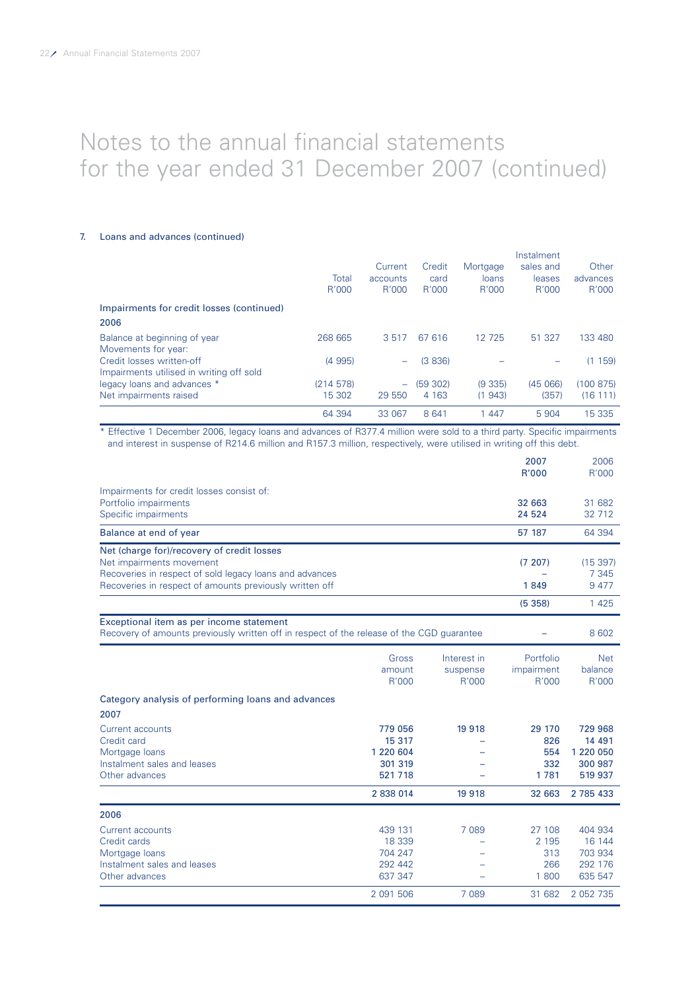### 7. Loans and advances (continued)

|                                           |          |          |         |          | Instalment |           |
|-------------------------------------------|----------|----------|---------|----------|------------|-----------|
|                                           |          | Current  | Credit  | Mortgage | sales and  | Other     |
|                                           | Total    | accounts | card    | loans    | leases     | advances  |
|                                           | R'000    | R'000    | R'000   | R'000    | R'000      | R'000     |
| Impairments for credit losses (continued) |          |          |         |          |            |           |
| 2006                                      |          |          |         |          |            |           |
| Balance at beginning of year              | 268 665  | 3517     | 67 616  | 12 7 25  | 51 327     | 133 480   |
| Movements for year:                       |          |          |         |          |            |           |
| Credit losses written-off                 | (4995)   |          | (3 836) |          |            | (1159)    |
| Impairments utilised in writing off sold  |          |          |         |          |            |           |
| legacy loans and advances *               | (214578) |          | (59302) | (9335)   | (45066)    | (100 875) |
| Net impairments raised                    | 15 302   | 29 550   | 4 1 6 3 | (1943)   | (357)      | (16111)   |
|                                           | 64 394   | 33 067   | 8 641   | 1 447    | 5 904      | 15 3 35   |

\* Effective 1 December 2006, legacy loans and advances of R377.4 million were sold to a third party. Specific impairments and interest in suspense of R214.6 million and R157.3 million, respectively, were utilised in writing off this debt.

|                                                                                                                                       |           |             | 2007<br>R'000     | 2006<br>R'000    |
|---------------------------------------------------------------------------------------------------------------------------------------|-----------|-------------|-------------------|------------------|
| Impairments for credit losses consist of:                                                                                             |           |             |                   |                  |
| Portfolio impairments<br>Specific impairments                                                                                         |           |             | 32 663<br>24 5 24 | 31 682<br>32 712 |
| Balance at end of year                                                                                                                |           |             | 57 187            | 64 394           |
| Net (charge for)/recovery of credit losses                                                                                            |           |             |                   |                  |
| Net impairments movement                                                                                                              |           |             | (7207)            | (15397)          |
| Recoveries in respect of sold legacy loans and advances<br>Recoveries in respect of amounts previously written off                    |           |             | 1849              | 7 3 4 5<br>9477  |
|                                                                                                                                       |           |             | (5358)            | 1 4 2 5          |
| Exceptional item as per income statement<br>Recovery of amounts previously written off in respect of the release of the CGD guarantee |           |             |                   | 8 6 0 2          |
|                                                                                                                                       | Gross     | Interest in | Portfolio         | <b>Net</b>       |
|                                                                                                                                       | amount    | suspense    | impairment        | balance          |
|                                                                                                                                       | R'000     | R'000       | R'000             | R'000            |
| Category analysis of performing loans and advances                                                                                    |           |             |                   |                  |
| 2007                                                                                                                                  |           |             |                   |                  |
| Current accounts                                                                                                                      | 779 056   | 19 9 18     | 29 170            | 729 968          |
| Credit card                                                                                                                           | 15 317    |             | 826               | 14 491           |
| Mortgage loans                                                                                                                        | 1 220 604 |             | 554               | 1 220 050        |
| Instalment sales and leases                                                                                                           | 301 319   |             | 332               | 300 987          |
| Other advances                                                                                                                        | 521 718   |             | 1781              | 519 937          |
|                                                                                                                                       | 2 838 014 | 19 9 18     | 32 663            | 2 785 433        |
| 2006                                                                                                                                  |           |             |                   |                  |
| Current accounts                                                                                                                      | 439 131   | 7 0 8 9     | 27 108            | 404 934          |
| Credit cards                                                                                                                          | 18 339    |             | 2 1 9 5           | 16 144           |
| Mortgage loans                                                                                                                        | 704 247   |             | 313               | 703 934          |
| Instalment sales and leases                                                                                                           | 292 442   |             | 266               | 292 176          |
| Other advances                                                                                                                        | 637 347   |             | 1800              | 635 547          |
|                                                                                                                                       | 2 091 506 | 7 0 8 9     | 31 682            | 2 052 735        |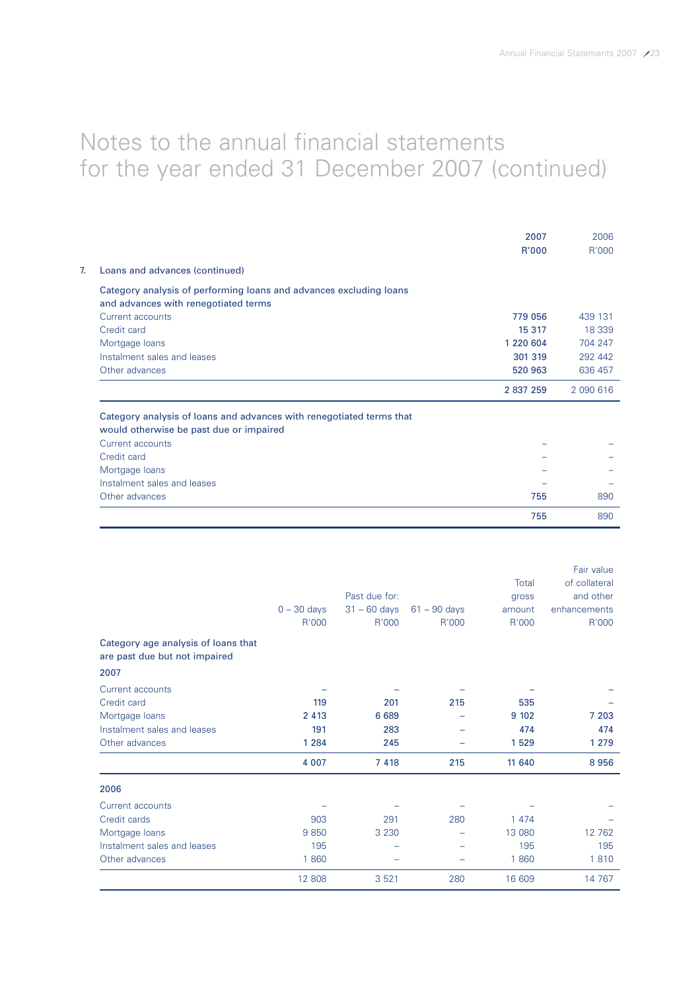|                                                                                                                 | 2007<br>R'000 | 2006<br>R'000 |
|-----------------------------------------------------------------------------------------------------------------|---------------|---------------|
| Loans and advances (continued)                                                                                  |               |               |
| Category analysis of performing loans and advances excluding loans                                              |               |               |
| and advances with renegotiated terms                                                                            |               |               |
| Current accounts                                                                                                | 779 056       | 439 131       |
| Credit card                                                                                                     | 15 317        | 18 339        |
| Mortgage loans                                                                                                  | 1 220 604     | 704 247       |
| Instalment sales and leases                                                                                     | 301 319       | 292 442       |
| Other advances                                                                                                  | 520 963       | 636 457       |
|                                                                                                                 | 2 837 259     | 2 090 616     |
| Category analysis of loans and advances with renegotiated terms that<br>would otherwise be past due or impaired |               |               |
| Current accounts                                                                                                |               |               |
| Credit card                                                                                                     |               |               |
| Mortgage loans                                                                                                  |               |               |
| Instalment sales and leases                                                                                     |               |               |
| Other advances                                                                                                  | 755           | 890           |
|                                                                                                                 | 755           | 890           |

|                                                                      |               |                |                |         | Fair value    |
|----------------------------------------------------------------------|---------------|----------------|----------------|---------|---------------|
|                                                                      |               |                |                | Total   | of collateral |
|                                                                      |               | Past due for:  |                | gross   | and other     |
|                                                                      | $0 - 30$ days | $31 - 60$ days | $61 - 90$ days | amount  | enhancements  |
|                                                                      | R'000         | R'000          | R'000          | R'000   | R'000         |
| Category age analysis of loans that<br>are past due but not impaired |               |                |                |         |               |
| 2007                                                                 |               |                |                |         |               |
| Current accounts                                                     |               |                |                |         |               |
| Credit card                                                          | 119           | 201            | 215            | 535     |               |
| Mortgage loans                                                       | 2 4 1 3       | 6 6 8 9        |                | 9 10 2  | 7 203         |
| Instalment sales and leases                                          | 191           | 283            |                | 474     | 474           |
| Other advances                                                       | 1 2 8 4       | 245            |                | 1529    | 1 2 7 9       |
|                                                                      | 4 0 0 7       | 7418           | 215            | 11 640  | 8956          |
| 2006                                                                 |               |                |                |         |               |
| Current accounts                                                     |               |                |                |         |               |
| Credit cards                                                         | 903           | 291            | 280            | 1 4 7 4 |               |
| Mortgage loans                                                       | 9850          | 3 2 3 0        |                | 13 080  | 12 762        |
| Instalment sales and leases                                          | 195           |                |                | 195     | 195           |
| Other advances                                                       | 1860          |                |                | 1860    | 1810          |
|                                                                      | 12 808        | 3521           | 280            | 16 609  | 14 767        |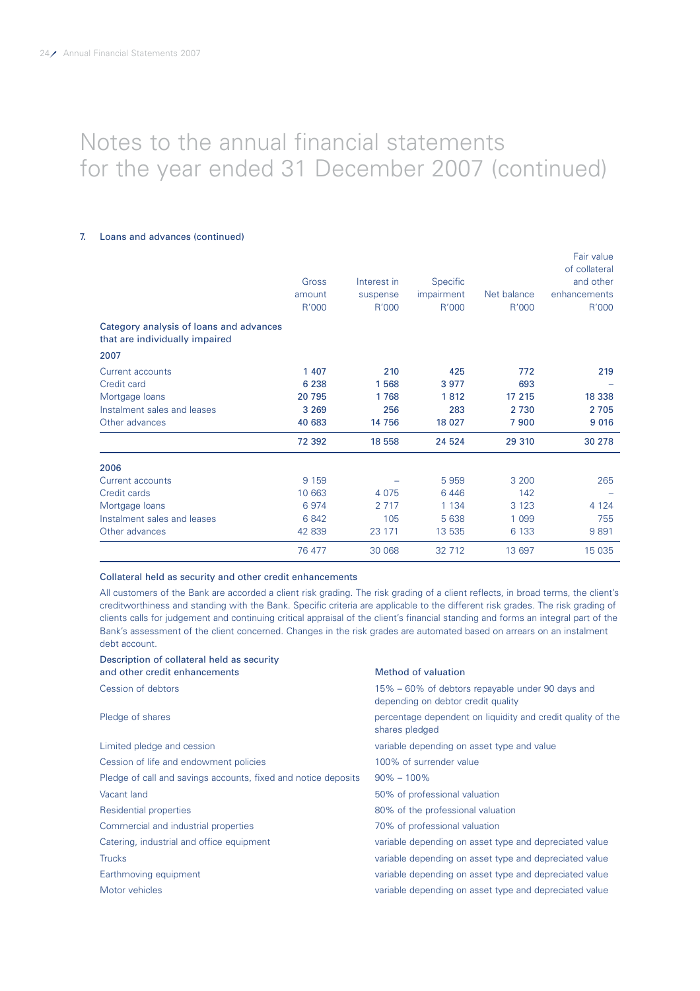### 7. Loans and advances (continued)

|                                                                           | Gross<br>amount<br>R'000 | Interest in<br>suspense<br>R'000 | Specific<br>impairment<br>R'000 | Net balance<br>R'000 | Fair value<br>of collateral<br>and other<br>enhancements<br>R'000 |
|---------------------------------------------------------------------------|--------------------------|----------------------------------|---------------------------------|----------------------|-------------------------------------------------------------------|
| Category analysis of loans and advances<br>that are individually impaired |                          |                                  |                                 |                      |                                                                   |
| 2007                                                                      |                          |                                  |                                 |                      |                                                                   |
| Current accounts                                                          | 1 407                    | 210                              | 425                             | 772                  | 219                                                               |
| Credit card                                                               | 6 2 3 8                  | 1568                             | 3977                            | 693                  |                                                                   |
| Mortgage loans                                                            | 20 795                   | 1768                             | 1812                            | 17 215               | 18 338                                                            |
| Instalment sales and leases                                               | 3 2 6 9                  | 256                              | 283                             | 2 7 3 0              | 2 7 0 5                                                           |
| Other advances                                                            | 40 683                   | 14 756                           | 18 0 27                         | 7900                 | 9 0 16                                                            |
|                                                                           | 72 392                   | 18 5 5 8                         | 24 5 24                         | 29 310               | 30 278                                                            |
| 2006                                                                      |                          |                                  |                                 |                      |                                                                   |
| <b>Current accounts</b>                                                   | 9 1 5 9                  |                                  | 5959                            | 3 200                | 265                                                               |
| Credit cards                                                              | 10 663                   | 4 0 7 5                          | 6446                            | 142                  |                                                                   |
| Mortgage loans                                                            | 6974                     | 2 7 1 7                          | 1 1 3 4                         | 3 1 2 3              | 4 1 2 4                                                           |
| Instalment sales and leases                                               | 6842                     | 105                              | 5 6 38                          | 1 0 9 9              | 755                                                               |
| Other advances                                                            | 42 839                   | 23 171                           | 13 535                          | 6 1 3 3              | 9891                                                              |
|                                                                           | 76 477                   | 30 068                           | 32 712                          | 13 697               | 15 0 35                                                           |

Collateral held as security and other credit enhancements

All customers of the Bank are accorded a client risk grading. The risk grading of a client reflects, in broad terms, the client's creditworthiness and standing with the Bank. Specific criteria are applicable to the different risk grades. The risk grading of clients calls for judgement and continuing critical appraisal of the client's financial standing and forms an integral part of the Bank's assessment of the client concerned. Changes in the risk grades are automated based on arrears on an instalment debt account.

| Description of collateral held as security                     |                                                                                        |
|----------------------------------------------------------------|----------------------------------------------------------------------------------------|
| and other credit enhancements                                  | Method of valuation                                                                    |
| Cession of debtors                                             | 15% – 60% of debtors repayable under 90 days and<br>depending on debtor credit quality |
| Pledge of shares                                               | percentage dependent on liquidity and credit quality of the<br>shares pledged          |
| Limited pledge and cession                                     | variable depending on asset type and value                                             |
| Cession of life and endowment policies                         | 100% of surrender value                                                                |
| Pledge of call and savings accounts, fixed and notice deposits | $90\% - 100\%$                                                                         |
| Vacant land                                                    | 50% of professional valuation                                                          |
| Residential properties                                         | 80% of the professional valuation                                                      |
| Commercial and industrial properties                           | 70% of professional valuation                                                          |
| Catering, industrial and office equipment                      | variable depending on asset type and depreciated value                                 |
| <b>Trucks</b>                                                  | variable depending on asset type and depreciated value                                 |
| Earthmoving equipment                                          | variable depending on asset type and depreciated value                                 |
| Motor vehicles                                                 | variable depending on asset type and depreciated value                                 |
|                                                                |                                                                                        |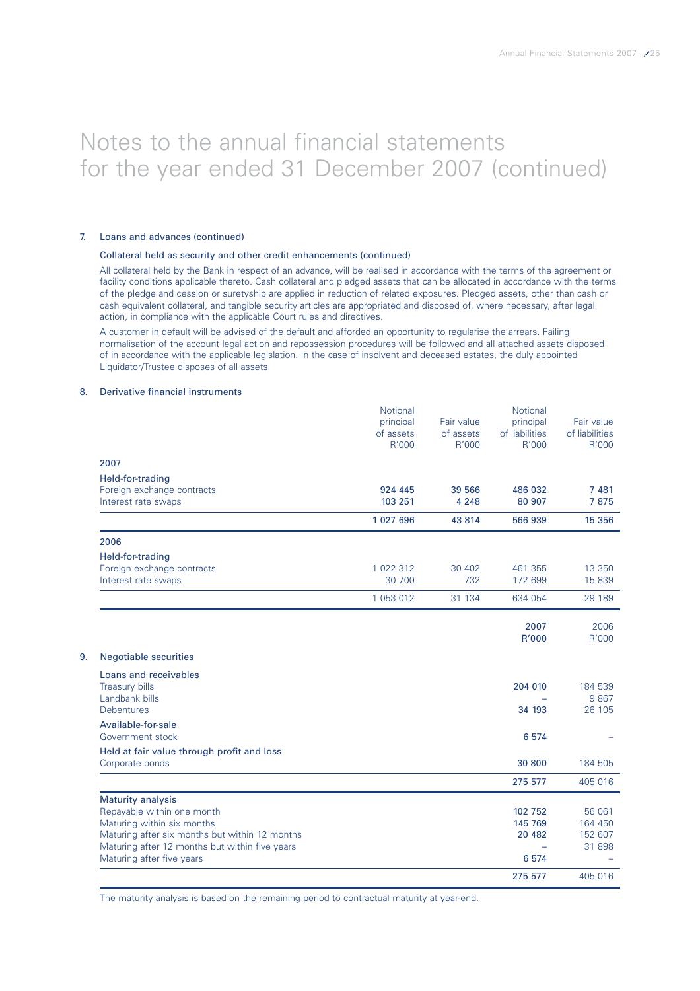### 7. Loans and advances (continued)

#### Collateral held as security and other credit enhancements (continued)

All collateral held by the Bank in respect of an advance, will be realised in accordance with the terms of the agreement or facility conditions applicable thereto. Cash collateral and pledged assets that can be allocated in accordance with the terms of the pledge and cession or suretyship are applied in reduction of related exposures. Pledged assets, other than cash or cash equivalent collateral, and tangible security articles are appropriated and disposed of, where necessary, after legal action, in compliance with the applicable Court rules and directives.

A customer in default will be advised of the default and afforded an opportunity to regularise the arrears. Failing normalisation of the account legal action and repossession procedures will be followed and all attached assets disposed of in accordance with the applicable legislation. In the case of insolvent and deceased estates, the duly appointed Liquidator/Trustee disposes of all assets.

#### 8. Derivative financial instruments

|                                                               | <b>Notional</b><br>principal<br>of assets<br>R'000 | Fair value<br>of assets<br>R'000 | <b>Notional</b><br>principal<br>of liabilities<br>R'000 | Fair value<br>of liabilities<br>R'000 |
|---------------------------------------------------------------|----------------------------------------------------|----------------------------------|---------------------------------------------------------|---------------------------------------|
| 2007                                                          |                                                    |                                  |                                                         |                                       |
| Held-for-trading                                              |                                                    |                                  |                                                         |                                       |
| Foreign exchange contracts                                    | 924 445                                            | 39 566                           | 486 032                                                 | 7 4 8 1                               |
| Interest rate swaps                                           | 103 251                                            | 4 2 4 8                          | 80 907                                                  | 7875                                  |
|                                                               | 1 027 696                                          | 43 8 14                          | 566 939                                                 | 15 356                                |
| 2006                                                          |                                                    |                                  |                                                         |                                       |
| Held-for-trading                                              |                                                    |                                  |                                                         |                                       |
| Foreign exchange contracts                                    | 1 022 312                                          | 30 402                           | 461 355                                                 | 13 3 5 0                              |
| Interest rate swaps                                           | 30 700                                             | 732                              | 172 699                                                 | 15 839                                |
|                                                               | 1 053 012                                          | 31 134                           | 634 054                                                 | 29 189                                |
|                                                               |                                                    |                                  | 2007<br><b>R'000</b>                                    | 2006<br>R'000                         |
| <b>Negotiable securities</b>                                  |                                                    |                                  |                                                         |                                       |
| Loans and receivables                                         |                                                    |                                  |                                                         |                                       |
| <b>Treasury bills</b>                                         |                                                    |                                  | 204 010                                                 | 184 539                               |
| Landbank bills                                                |                                                    |                                  |                                                         | 9867                                  |
| Debentures                                                    |                                                    |                                  | 34 193                                                  | 26 105                                |
| Available-for-sale                                            |                                                    |                                  |                                                         |                                       |
| Government stock                                              |                                                    |                                  | 6574                                                    |                                       |
| Held at fair value through profit and loss<br>Corporate bonds |                                                    |                                  | 30 800                                                  | 184 505                               |
|                                                               |                                                    |                                  | 275 577                                                 | 405 016                               |
| <b>Maturity analysis</b>                                      |                                                    |                                  |                                                         |                                       |
| Repayable within one month                                    |                                                    |                                  | 102 752                                                 | 56 061                                |
| Maturing within six months                                    |                                                    |                                  | 145 769                                                 | 164 450                               |
| Maturing after six months but within 12 months                |                                                    |                                  | 20 482                                                  | 152 607                               |
| Maturing after 12 months but within five years                |                                                    |                                  |                                                         | 31 898                                |
| Maturing after five years                                     |                                                    |                                  | 6574                                                    |                                       |
|                                                               |                                                    |                                  | 275 577                                                 | 405 016                               |

The maturity analysis is based on the remaining period to contractual maturity at year-end.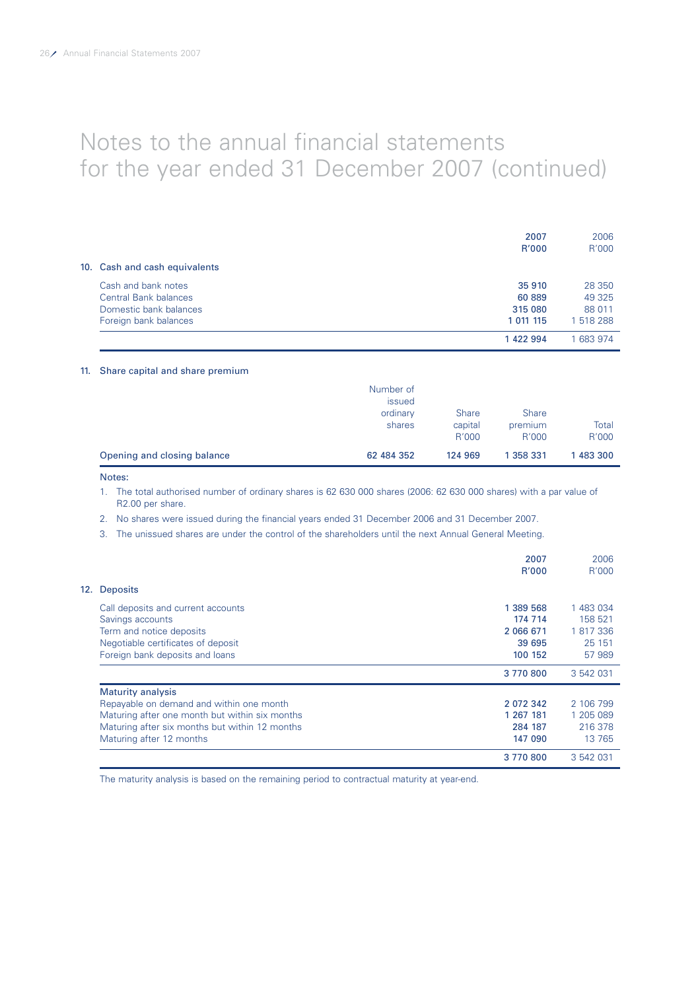|                               | 2007<br><b>R'000</b> | 2006<br>R'000 |
|-------------------------------|----------------------|---------------|
| 10. Cash and cash equivalents |                      |               |
| Cash and bank notes           | 35 910               | 28 350        |
| Central Bank balances         | 60 889               | 49 325        |
| Domestic bank balances        | 315 080              | 88 011        |
| Foreign bank balances         | 1 011 115            | 1 518 288     |
|                               | 1422994              | 1683974       |

### 11. Share capital and share premium

|                             | Number of<br>issued<br>ordinary<br>shares | <b>Share</b><br>capital<br>R'000 | <b>Share</b><br>premium<br>R'000 | Total<br>R'000 |
|-----------------------------|-------------------------------------------|----------------------------------|----------------------------------|----------------|
| Opening and closing balance | 62 484 352                                | 124 969                          | 1 358 331                        | 1 483 300      |

### Notes:

1. The total authorised number of ordinary shares is 62 630 000 shares (2006: 62 630 000 shares) with a par value of R2.00 per share.

2. No shares were issued during the financial years ended 31 December 2006 and 31 December 2007.

3. The unissued shares are under the control of the shareholders until the next Annual General Meeting.

|                                                | 2007<br>R'000 | 2006<br>R'000 |
|------------------------------------------------|---------------|---------------|
| <b>Deposits</b><br>12.                         |               |               |
| Call deposits and current accounts             | 1 389 568     | 1 483 034     |
| Savings accounts                               | 174 714       | 158 521       |
| Term and notice deposits                       | 2 066 671     | 1 817 336     |
| Negotiable certificates of deposit             | 39 695        | 25 151        |
| Foreign bank deposits and loans                | 100 152       | 57 989        |
|                                                | 3770800       | 3 542 031     |
| <b>Maturity analysis</b>                       |               |               |
| Repayable on demand and within one month       | 2 072 342     | 2 106 799     |
| Maturing after one month but within six months | 1 267 181     | 1 205 089     |
| Maturing after six months but within 12 months | 284 187       | 216 378       |
| Maturing after 12 months                       | 147 090       | 13 765        |
|                                                | 3770800       | 3 542 031     |

The maturity analysis is based on the remaining period to contractual maturity at year-end.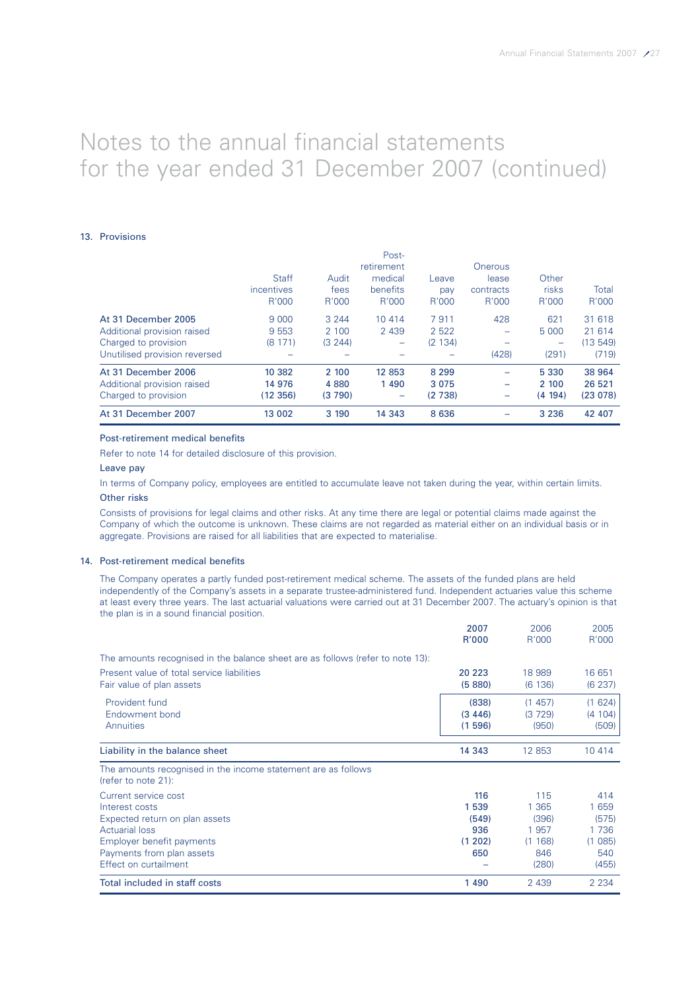### 13. Provisions

|                               |              |          | i USE                    |         |                              |         |         |
|-------------------------------|--------------|----------|--------------------------|---------|------------------------------|---------|---------|
|                               |              |          | retirement               |         | Onerous                      |         |         |
|                               | <b>Staff</b> | Audit    | medical                  | Leave   | lease                        | Other   |         |
|                               | incentives   | fees     | benefits                 | pay     | contracts                    | risks   | Total   |
|                               | R'000        | R'000    | R'000                    | R'000   | R'000                        | R'000   | R'000   |
| At 31 December 2005           | 9 0 0 0      | 3 2 4 4  | 10 4 14                  | 7911    | 428                          | 621     | 31 618  |
| Additional provision raised   | 9 5 5 3      | 2 100    | 2 4 3 9                  | 2 5 2 2 | -                            | 5 0 0 0 | 21 614  |
| Charged to provision          | (8171)       | (3, 244) | -                        | (2 134) | ۰                            | -       | (13549) |
| Unutilised provision reversed |              |          |                          |         | (428)                        | (291)   | (719)   |
| At 31 December 2006           | 10 382       | 2 100    | 12 8 53                  | 8 2 9 9 | $\overline{\phantom{0}}$     | 5 3 3 0 | 38 964  |
| Additional provision raised   | 14 976       | 4 8 8 0  | 1 4 9 0                  | 3 0 7 5 | $\overline{\phantom{a}}$     | 2 100   | 26 521  |
| Charged to provision          | (12 356)     | (3790)   | $\overline{\phantom{0}}$ | (2738)  | $\qquad \qquad \blacksquare$ | (4 194) | (23078) |
| At 31 December 2007           | 13 002       | 3 190    | 14 3 4 3                 | 8 6 3 6 |                              | 3 2 3 6 | 42 407  |

Post-

#### Post-retirement medical benefits

Refer to note 14 for detailed disclosure of this provision.

#### Leave pay

In terms of Company policy, employees are entitled to accumulate leave not taken during the year, within certain limits. Other risks

Consists of provisions for legal claims and other risks. At any time there are legal or potential claims made against the Company of which the outcome is unknown. These claims are not regarded as material either on an individual basis or in aggregate. Provisions are raised for all liabilities that are expected to materialise.

#### 14. Post-retirement medical benefits

The Company operates a partly funded post-retirement medical scheme. The assets of the funded plans are held independently of the Company's assets in a separate trustee-administered fund. Independent actuaries value this scheme at least every three years. The last actuarial valuations were carried out at 31 December 2007. The actuary's opinion is that the plan is in a sound financial position.

|                                                                                                                                                                                      | 2007<br>R'000                                  | 2006<br>R'000                                           | 2005<br>R'000                                             |
|--------------------------------------------------------------------------------------------------------------------------------------------------------------------------------------|------------------------------------------------|---------------------------------------------------------|-----------------------------------------------------------|
| The amounts recognised in the balance sheet are as follows (refer to note 13):                                                                                                       |                                                |                                                         |                                                           |
| Present value of total service liabilities<br>Fair value of plan assets                                                                                                              | 20 223<br>(5880)                               | 18 989<br>(6136)                                        | 16 651<br>(6 237)                                         |
| Provident fund<br>Endowment bond<br>Annuities                                                                                                                                        | (838)<br>(3446)<br>(1596)                      | (1457)<br>(3729)<br>(950)                               | (1624)<br>(4 104)<br>(509)                                |
| Liability in the balance sheet                                                                                                                                                       | 14 343                                         | 12 853                                                  | 10 4 14                                                   |
| The amounts recognised in the income statement are as follows<br>(refer to note $21$ ):                                                                                              |                                                |                                                         |                                                           |
| Current service cost<br>Interest costs<br>Expected return on plan assets<br><b>Actuarial loss</b><br>Employer benefit payments<br>Payments from plan assets<br>Effect on curtailment | 116<br>1539<br>(549)<br>936<br>(1, 202)<br>650 | 115<br>1 365<br>(396)<br>1957<br>(1168)<br>846<br>(280) | 414<br>1 6 5 9<br>(575)<br>1736<br>(1085)<br>540<br>(455) |
| Total included in staff costs                                                                                                                                                        | 1490                                           | 2 4 3 9                                                 | 2 2 3 4                                                   |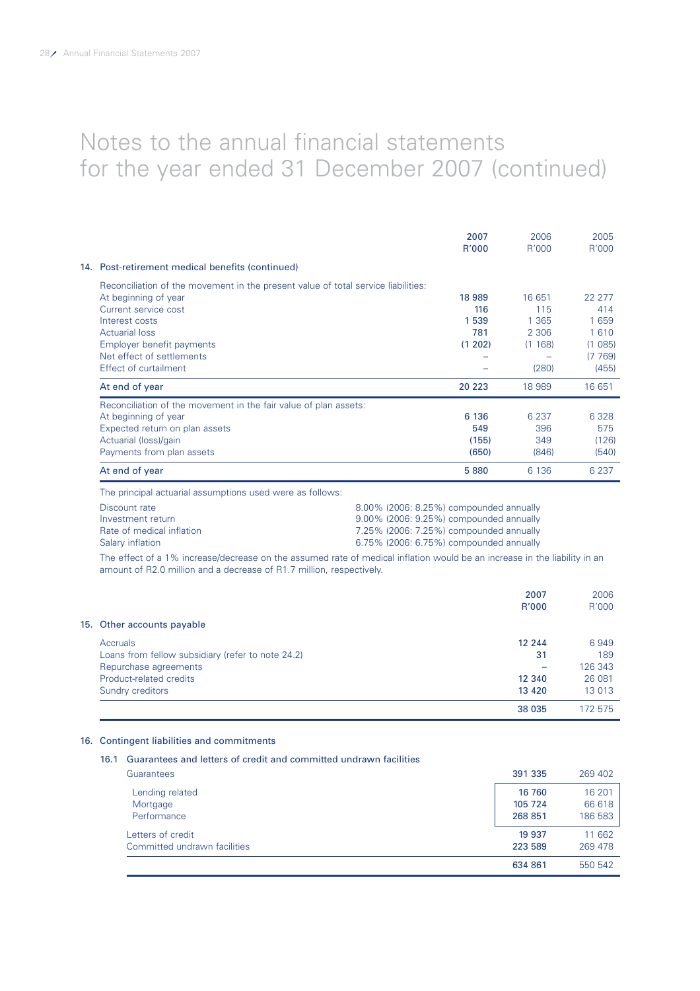|                                                                                   | 2007<br>R'000 | 2006<br>R'000 | 2005<br>R'000 |
|-----------------------------------------------------------------------------------|---------------|---------------|---------------|
| 14. Post-retirement medical benefits (continued)                                  |               |               |               |
| Reconciliation of the movement in the present value of total service liabilities: |               |               |               |
| At beginning of year                                                              | 18 989        | 16 651        | 22 277        |
| Current service cost                                                              | 116           | 115           | 414           |
| Interest costs                                                                    | 1539          | 1 365         | 1659          |
| <b>Actuarial loss</b>                                                             | 781           | 2 306         | 1 6 1 0       |
| Employer benefit payments                                                         | (1 202)       | (1168)        | (1085)        |
| Net effect of settlements                                                         |               |               | (7769)        |
| Effect of curtailment                                                             |               | (280)         | (455)         |
| At end of year                                                                    | 20 223        | 18 989        | 16 651        |
| Reconciliation of the movement in the fair value of plan assets:                  |               |               |               |
| At beginning of year                                                              | 6 136         | 6 2 3 7       | 6 3 2 8       |
| Expected return on plan assets                                                    | 549           | 396           | 575           |
| Actuarial (loss)/gain                                                             | (155)         | 349           | (126)         |
| Payments from plan assets                                                         | (650)         | (846)         | (540)         |
| At end of year                                                                    | 5880          | 6 1 3 6       | 6 2 3 7       |

The principal actuarial assumptions used were as follows:

| Discount rate             | 8.00% (2006: 8.25%) compounded annually |
|---------------------------|-----------------------------------------|
| Investment return         | 9.00% (2006: 9.25%) compounded annually |
| Rate of medical inflation | 7.25% (2006: 7.25%) compounded annually |
| Salary inflation          | 6.75% (2006: 6.75%) compounded annually |

The effect of a 1% increase/decrease on the assumed rate of medical inflation would be an increase in the liability in an amount of R2.0 million and a decrease of R1.7 million, respectively.

|                                                   | 2007<br>R'000 | 2006<br>R'000 |
|---------------------------------------------------|---------------|---------------|
| 15. Other accounts payable                        |               |               |
| <b>Accruals</b>                                   | 12 244        | 6949          |
| Loans from fellow subsidiary (refer to note 24.2) | 31            | 189           |
| Repurchase agreements                             |               | 126 343       |
| Product-related credits                           | 12 340        | 26 081        |
| Sundry creditors                                  | 13 4 20       | 13 013        |
|                                                   | 38 035        | 172 575       |

# 16. Contingent liabilities and commitments

| Guarantees and letters of credit and committed undrawn facilities<br>16.1 |         |         |
|---------------------------------------------------------------------------|---------|---------|
| Guarantees                                                                | 391 335 | 269 402 |
| Lending related                                                           | 16 760  | 16 201  |
| Mortgage                                                                  | 105 724 | 66 618  |
| Performance                                                               | 268 851 | 186 583 |
| Letters of credit                                                         | 19 9 37 | 11 662  |
| Committed undrawn facilities                                              | 223 589 | 269 478 |
|                                                                           | 634 861 | 550 542 |
|                                                                           |         |         |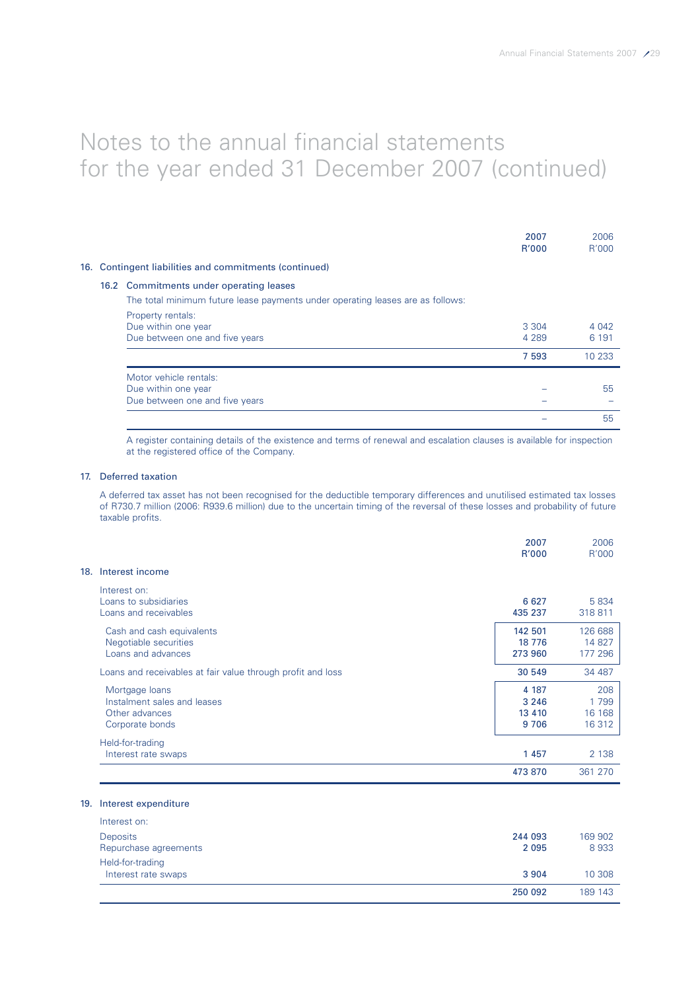|  |                                                                                | 2007<br>R'000      | 2006<br>R'000      |
|--|--------------------------------------------------------------------------------|--------------------|--------------------|
|  | 16. Contingent liabilities and commitments (continued)                         |                    |                    |
|  | 16.2 Commitments under operating leases                                        |                    |                    |
|  | The total minimum future lease payments under operating leases are as follows: |                    |                    |
|  | Property rentals:<br>Due within one year<br>Due between one and five years     | 3 3 0 4<br>4 2 8 9 | 4 0 4 2<br>6 1 9 1 |
|  |                                                                                | 7 5 9 3            | 10 233             |
|  | Motor vehicle rentals:                                                         |                    |                    |
|  | Due within one year                                                            |                    | 55                 |
|  | Due between one and five years                                                 |                    |                    |
|  |                                                                                |                    | 55                 |

A register containing details of the existence and terms of renewal and escalation clauses is available for inspection at the registered office of the Company.

### 17. Deferred taxation

A deferred tax asset has not been recognised for the deductible temporary differences and unutilised estimated tax losses of R730.7 million (2006: R939.6 million) due to the uncertain timing of the reversal of these losses and probability of future taxable profits.

|                                                                                    | 2007<br>R'000                       | 2006<br>R'000                      |
|------------------------------------------------------------------------------------|-------------------------------------|------------------------------------|
| 18.<br>Interest income                                                             |                                     |                                    |
| Interest on:<br>Loans to subsidiaries<br>Loans and receivables                     | 6 6 27<br>435 237                   | 5 8 3 4<br>318811                  |
| Cash and cash equivalents<br>Negotiable securities<br>Loans and advances           | 142 501<br>18 7 76<br>273 960       | 126 688<br>14 827<br>177 296       |
| Loans and receivables at fair value through profit and loss                        | 30 549                              | 34 487                             |
| Mortgage loans<br>Instalment sales and leases<br>Other advances<br>Corporate bonds | 4 187<br>3 2 4 6<br>13 4 10<br>9706 | 208<br>1 7 9 9<br>16 168<br>16 312 |
| Held-for-trading<br>Interest rate swaps                                            | 1 4 5 7                             | 2 1 3 8                            |
|                                                                                    | 473 870                             | 361 270                            |

### 19. Interest expenditure

|                       | 250 092 | 189 143 |
|-----------------------|---------|---------|
| Interest rate swaps   | 3 9 0 4 | 10 308  |
| Held-for-trading      |         |         |
| Repurchase agreements | 2 0 9 5 | 8933    |
| <b>Deposits</b>       | 244 093 | 169 902 |
| Interest on:          |         |         |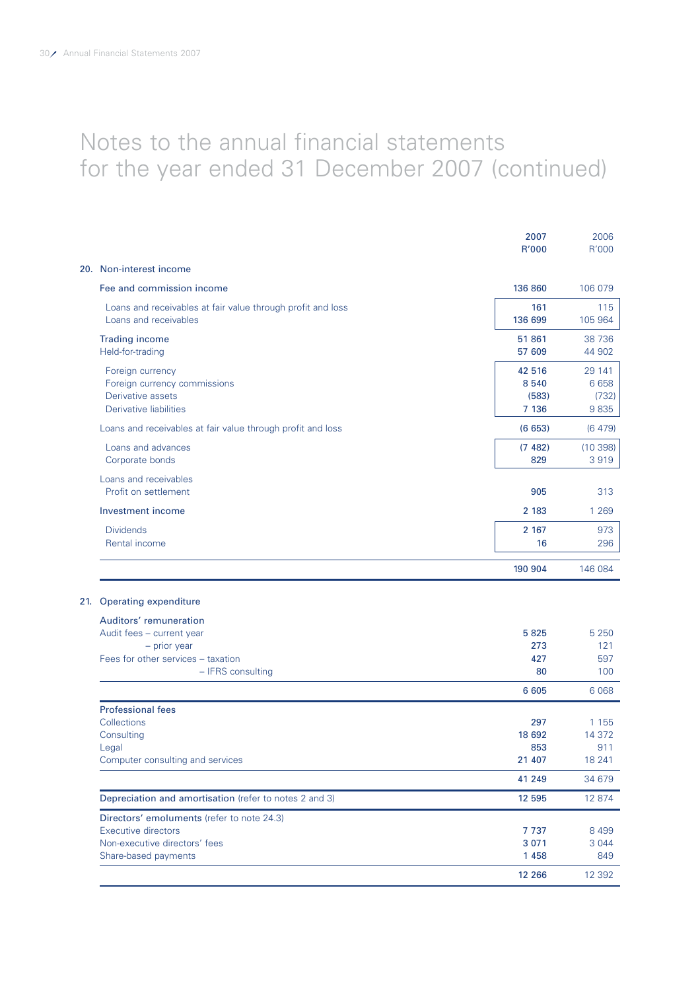|                                                                                                 | 2007<br>R'000                    | 2006<br>R'000                   |
|-------------------------------------------------------------------------------------------------|----------------------------------|---------------------------------|
| 20. Non-interest income                                                                         |                                  |                                 |
| Fee and commission income                                                                       | 136 860                          | 106 079                         |
| Loans and receivables at fair value through profit and loss<br>Loans and receivables            | 161<br>136 699                   | 115<br>105 964                  |
| <b>Trading income</b><br>Held-for-trading                                                       | 51861<br>57 609                  | 38 736<br>44 902                |
| Foreign currency<br>Foreign currency commissions<br>Derivative assets<br>Derivative liabilities | 42 516<br>8540<br>(583)<br>7 136 | 29 141<br>6658<br>(732)<br>9835 |
| Loans and receivables at fair value through profit and loss                                     | (6653)                           | (6479)                          |
| Loans and advances<br>Corporate bonds                                                           | (7482)<br>829                    | (10398)<br>3919                 |
| Loans and receivables<br>Profit on settlement                                                   | 905                              | 313                             |
| Investment income                                                                               | 2 183                            | 1 2 6 9                         |
| <b>Dividends</b><br>Rental income                                                               | 2 167<br>16                      | 973<br>296                      |
|                                                                                                 | 190 904                          | 146 084                         |
| 21. Operating expenditure                                                                       |                                  |                                 |
| Auditors' remuneration                                                                          |                                  |                                 |
| Audit fees - current year                                                                       | 5825                             | 5 2 5 0                         |
| $-$ prior year                                                                                  | 273                              | 121                             |
| Fees for other services - taxation<br>- IFRS consulting                                         | 427<br>80                        | 597<br>100                      |
|                                                                                                 | 6 6 0 5                          | 6 0 68                          |
| <b>Professional fees</b>                                                                        |                                  |                                 |
| Collections                                                                                     | 297                              | 1 1 5 5                         |
| Consulting                                                                                      | 18 692                           | 14 372                          |
| Legal                                                                                           | 853                              | 911                             |
| Computer consulting and services                                                                | 21 407                           | 18 241                          |
|                                                                                                 | 41 249                           | 34 679                          |
| Depreciation and amortisation (refer to notes 2 and 3)                                          | 12 5 9 5                         | 12 874                          |
| Directors' emoluments (refer to note 24.3)                                                      |                                  |                                 |
| Executive directors                                                                             | 7737                             | 8 4 9 9                         |
| Non-executive directors' fees<br>Share-based payments                                           | 3 0 7 1<br>1 4 5 8               | 3 0 4 4<br>849                  |
|                                                                                                 | 12 26 6                          | 12 3 9 2                        |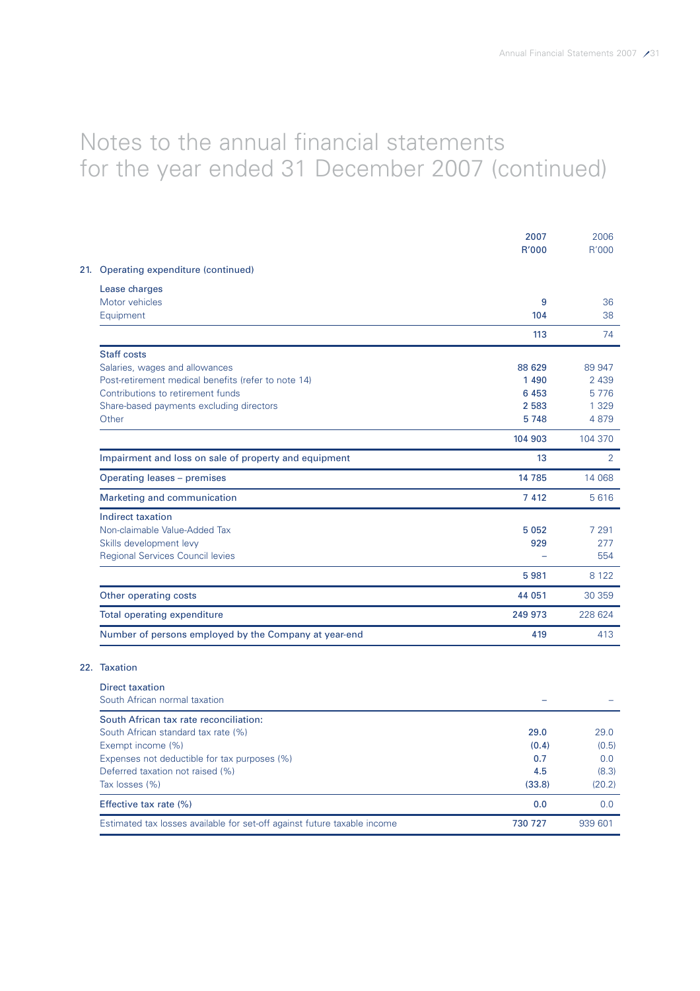|                                                                          | 2007<br>R'000 | 2006<br>R'000  |
|--------------------------------------------------------------------------|---------------|----------------|
| 21. Operating expenditure (continued)                                    |               |                |
| Lease charges                                                            |               |                |
| Motor vehicles                                                           | 9             | 36             |
| Equipment                                                                | 104           | 38             |
|                                                                          | 113           | 74             |
| <b>Staff costs</b>                                                       |               |                |
| Salaries, wages and allowances                                           | 88 629        | 89 947         |
| Post-retirement medical benefits (refer to note 14)                      | 1 4 9 0       | 2 4 3 9        |
| Contributions to retirement funds                                        | 6 4 5 3       | 5776           |
| Share-based payments excluding directors                                 | 2 5 8 3       | 1 3 2 9        |
| Other                                                                    | 5748          | 4879           |
|                                                                          | 104 903       | 104 370        |
| Impairment and loss on sale of property and equipment                    | 13            | $\overline{2}$ |
| Operating leases - premises                                              | 14 7 8 5      | 14 068         |
| Marketing and communication                                              | 7 4 1 2       | 5616           |
| <b>Indirect taxation</b>                                                 |               |                |
| Non-claimable Value-Added Tax                                            | 5 0 5 2       | 7 2 9 1        |
| Skills development levy                                                  | 929           | 277            |
| <b>Regional Services Council levies</b>                                  |               | 554            |
|                                                                          | 5981          | 8 1 2 2        |
| Other operating costs                                                    | 44 051        | 30 359         |
| Total operating expenditure                                              | 249 973       | 228 624        |
| Number of persons employed by the Company at year-end                    | 419           | 413            |
| 22. Taxation                                                             |               |                |
|                                                                          |               |                |
| <b>Direct taxation</b><br>South African normal taxation                  |               |                |
| South African tax rate reconciliation:                                   |               |                |
| South African standard tax rate (%)                                      | 29.0          | 29.0           |
| Exempt income (%)                                                        | (0.4)         | (0.5)          |
| Expenses not deductible for tax purposes (%)                             | 0.7           | 0.0            |
| Deferred taxation not raised (%)                                         | 4.5           | (8.3)          |
| Tax losses (%)                                                           | (33.8)        | (20.2)         |
| Effective tax rate (%)                                                   | 0.0           | 0.0            |
| Estimated tax losses available for set-off against future taxable income | 730 727       | 939 601        |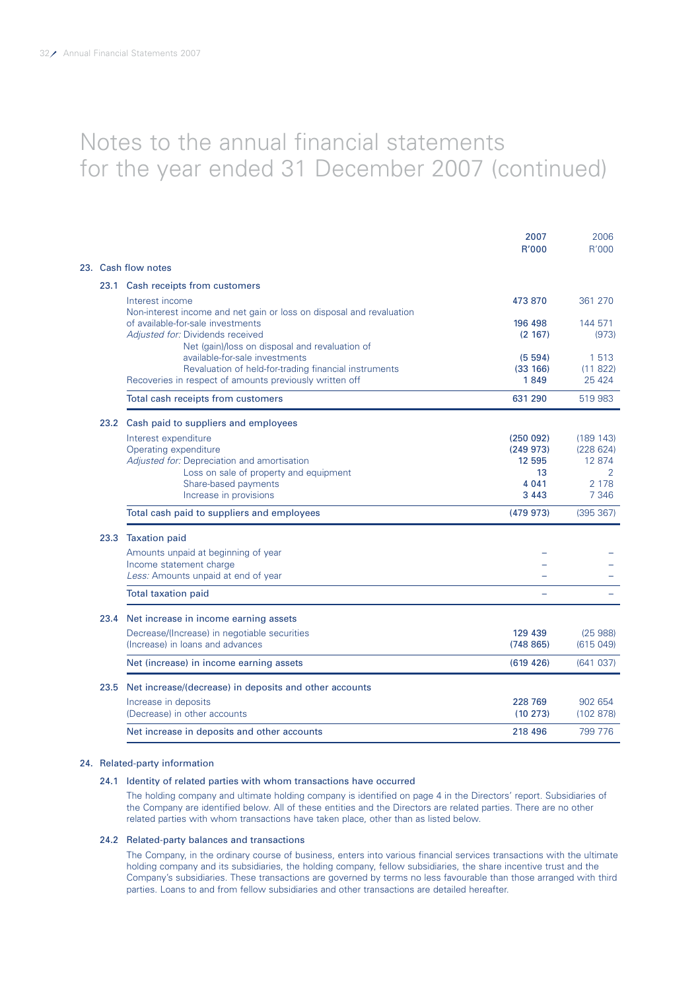|      |                                                                                                                                                    | 2007<br>R'000                | 2006<br>R'000                 |
|------|----------------------------------------------------------------------------------------------------------------------------------------------------|------------------------------|-------------------------------|
|      | 23. Cash flow notes                                                                                                                                |                              |                               |
|      | 23.1 Cash receipts from customers                                                                                                                  |                              |                               |
|      | Interest income<br>Non-interest income and net gain or loss on disposal and revaluation                                                            | 473 870                      | 361 270                       |
|      | of available-for-sale investments<br>Adjusted for: Dividends received<br>Net (gain)/loss on disposal and revaluation of                            | 196 498<br>(2 167)           | 144 571<br>(973)              |
|      | available-for-sale investments<br>Revaluation of held-for-trading financial instruments<br>Recoveries in respect of amounts previously written off | (5, 594)<br>(33 166)<br>1849 | 1 5 1 3<br>(11822)<br>25 4 24 |
|      | Total cash receipts from customers                                                                                                                 | 631 290                      | 519 983                       |
|      | 23.2 Cash paid to suppliers and employees                                                                                                          |                              |                               |
|      | Interest expenditure                                                                                                                               | (250092)                     | (189 143)                     |
|      | Operating expenditure                                                                                                                              | (249973)                     | (228624)                      |
|      | Adjusted for: Depreciation and amortisation<br>Loss on sale of property and equipment                                                              | 12 595<br>13                 | 12 874<br>2                   |
|      | Share-based payments                                                                                                                               | 4 0 4 1                      | 2 1 7 8                       |
|      | Increase in provisions                                                                                                                             | 3 4 4 3                      | 7 3 4 6                       |
|      | Total cash paid to suppliers and employees                                                                                                         | (479973)                     | (395 367)                     |
|      | 23.3 Taxation paid                                                                                                                                 |                              |                               |
|      | Amounts unpaid at beginning of year                                                                                                                |                              |                               |
|      | Income statement charge<br>Less: Amounts unpaid at end of year                                                                                     |                              |                               |
|      | <b>Total taxation paid</b>                                                                                                                         |                              |                               |
| 23.4 | Net increase in income earning assets                                                                                                              |                              |                               |
|      | Decrease/(Increase) in negotiable securities<br>(Increase) in loans and advances                                                                   | 129 439<br>(748865)          | (25988)<br>(615049)           |
|      | Net (increase) in income earning assets                                                                                                            | (619, 426)                   | (641037)                      |
| 23.5 | Net increase/(decrease) in deposits and other accounts                                                                                             |                              |                               |
|      | Increase in deposits<br>(Decrease) in other accounts                                                                                               | 228 769<br>(10273)           | 902 654<br>(102 878)          |
|      | Net increase in deposits and other accounts                                                                                                        | 218 496                      | 799 776                       |

### 24. Related-party information

### 24.1 Identity of related parties with whom transactions have occurred

The holding company and ultimate holding company is identified on page 4 in the Directors' report. Subsidiaries of the Company are identified below. All of these entities and the Directors are related parties. There are no other related parties with whom transactions have taken place, other than as listed below.

### 24.2 Related-party balances and transactions

The Company, in the ordinary course of business, enters into various financial services transactions with the ultimate holding company and its subsidiaries, the holding company, fellow subsidiaries, the share incentive trust and the Company's subsidiaries. These transactions are governed by terms no less favourable than those arranged with third parties. Loans to and from fellow subsidiaries and other transactions are detailed hereafter.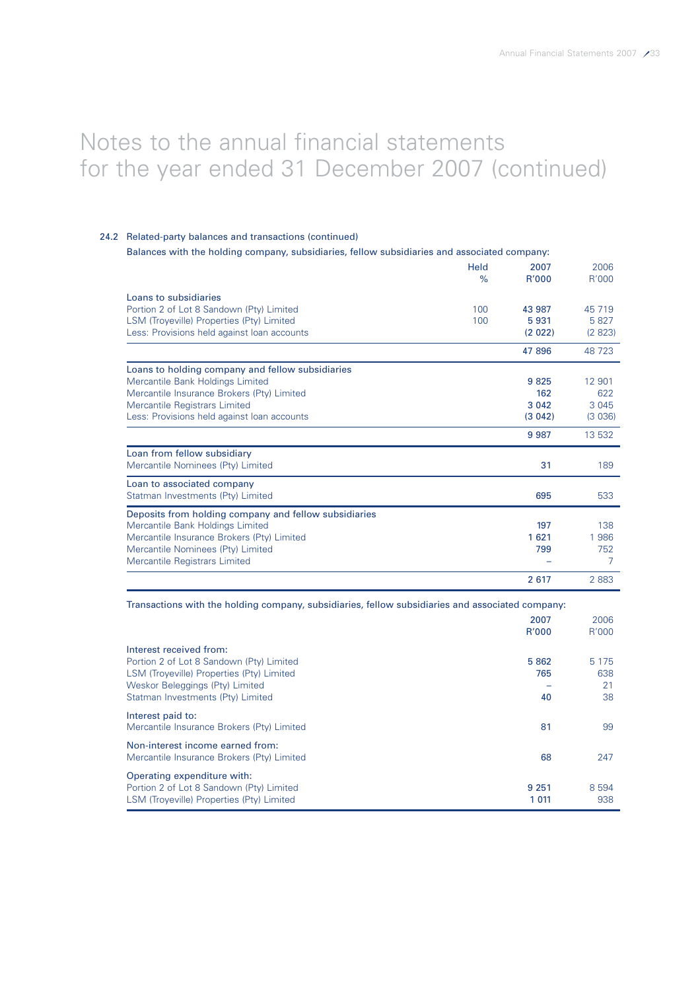### 24.2 Related-party balances and transactions (continued)

### Balances with the holding company, subsidiaries, fellow subsidiaries and associated company:

| Held<br>$\%$                                          | 2007<br>R'000 | 2006<br>R'000 |
|-------------------------------------------------------|---------------|---------------|
|                                                       |               |               |
| Loans to subsidiaries                                 |               |               |
| Portion 2 of Lot 8 Sandown (Pty) Limited<br>100       | 43 987        | 45 719        |
| LSM (Troyeville) Properties (Pty) Limited<br>100      | 5931          | 5827          |
| Less: Provisions held against loan accounts           | (2022)        | (2823)        |
|                                                       | 47 896        | 48 723        |
| Loans to holding company and fellow subsidiaries      |               |               |
| Mercantile Bank Holdings Limited                      | 9825          | 12 901        |
| Mercantile Insurance Brokers (Pty) Limited            | 162           | 622           |
| Mercantile Registrars Limited                         | 3 0 4 2       | 3 0 4 5       |
| Less: Provisions held against loan accounts           | (3042)        | (3036)        |
|                                                       | 9 9 8 7       | 13 532        |
| Loan from fellow subsidiary                           |               |               |
| Mercantile Nominees (Pty) Limited                     | 31            | 189           |
| Loan to associated company                            |               |               |
| Statman Investments (Pty) Limited                     | 695           | 533           |
| Deposits from holding company and fellow subsidiaries |               |               |
| Mercantile Bank Holdings Limited                      | 197           | 138           |
| Mercantile Insurance Brokers (Pty) Limited            | 1621          | 1 986         |
| Mercantile Nominees (Pty) Limited                     | 799           | 752           |
| Mercantile Registrars Limited                         |               | 7             |
|                                                       | 2 6 1 7       | 2883          |

Transactions with the holding company, subsidiaries, fellow subsidiaries and associated company:

|                                                                                                                                                                                          | 2007<br>R'000     | 2006<br>R'000              |
|------------------------------------------------------------------------------------------------------------------------------------------------------------------------------------------|-------------------|----------------------------|
| Interest received from:<br>Portion 2 of Lot 8 Sandown (Pty) Limited<br>LSM (Troyeville) Properties (Pty) Limited<br>Weskor Beleggings (Pty) Limited<br>Statman Investments (Pty) Limited | 5862<br>765<br>40 | 5 1 7 5<br>638<br>21<br>38 |
| Interest paid to:<br>Mercantile Insurance Brokers (Pty) Limited                                                                                                                          | 81                | 99                         |
| Non-interest income earned from:<br>Mercantile Insurance Brokers (Pty) Limited                                                                                                           | 68                | 247                        |
| Operating expenditure with:<br>Portion 2 of Lot 8 Sandown (Pty) Limited<br>LSM (Troyeville) Properties (Pty) Limited                                                                     | 9 2 5 1<br>1 011  | 8 5 9 4<br>938             |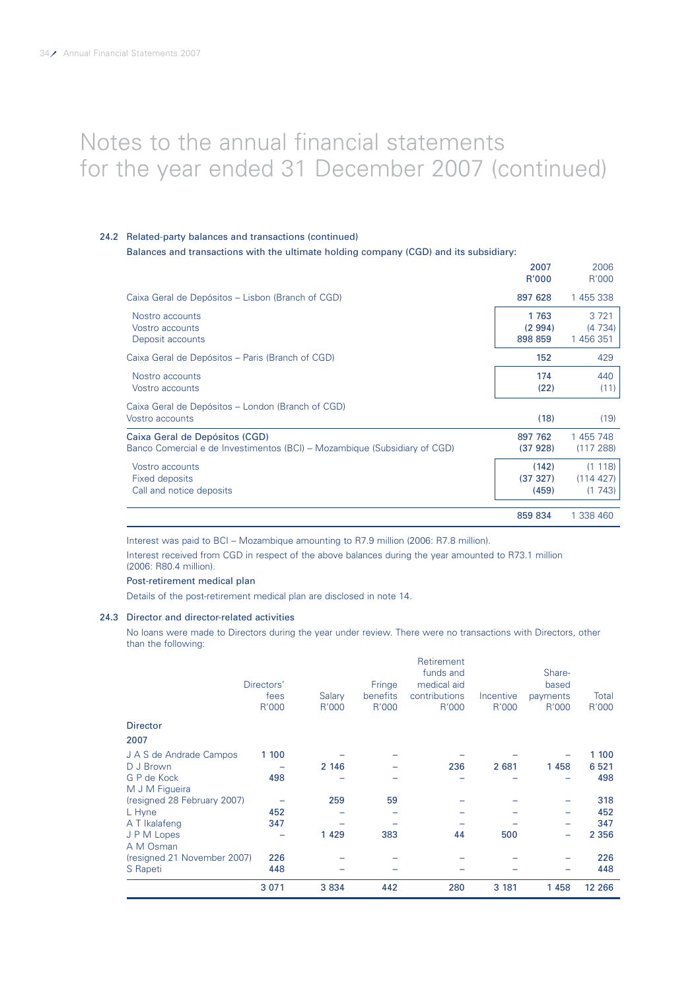### 24.2 Related-party balances and transactions (continued)

Balances and transactions with the ultimate holding company (CGD) and its subsidiary:

|                                                                                                             | R'000                      | R'000                          |
|-------------------------------------------------------------------------------------------------------------|----------------------------|--------------------------------|
| Caixa Geral de Depósitos - Lisbon (Branch of CGD)                                                           | 897 628                    | 1 455 338                      |
| Nostro accounts<br>Vostro accounts<br>Deposit accounts                                                      | 1763<br>(2994)<br>898 859  | 3 7 2 1<br>(4734)<br>1 456 351 |
| Caixa Geral de Depósitos – Paris (Branch of CGD)                                                            | 152                        | 429                            |
| Nostro accounts<br>Vostro accounts                                                                          | 174<br>(22)                | 440<br>(11)                    |
| Caixa Geral de Depósitos - London (Branch of CGD)<br>Vostro accounts                                        | (18)                       | (19)                           |
| Caixa Geral de Depósitos (CGD)<br>Banco Comercial e de Investimentos (BCI) – Mozambique (Subsidiary of CGD) | 897 762<br>(37 928)        | 1 455 748<br>(117288)          |
| Vostro accounts<br>Fixed deposits<br>Call and notice deposits                                               | (142)<br>(37 327)<br>(459) | (1118)<br>(114427)<br>(1743)   |
|                                                                                                             | 859 834                    | 1 338 460                      |

2007 2006

Interest was paid to BCI – Mozambique amounting to R7.9 million (2006: R7.8 million).

Interest received from CGD in respect of the above balances during the year amounted to R73.1 million (2006: R80.4 million).

#### Post-retirement medical plan

Details of the post-retirement medical plan are disclosed in note 14.

### 24.3 Director and director-related activities

No loans were made to Directors during the year under review. There were no transactions with Directors, other than the following:

|                                               | 3 0 7 1    | 3834    | 442      | 280           | 3 181     | 1458     | 12 2 66 |
|-----------------------------------------------|------------|---------|----------|---------------|-----------|----------|---------|
| S Rapeti                                      | 448        |         |          |               |           |          | 448     |
| (resigned 21 November 2007)                   | 226        |         |          |               |           |          | 226     |
| A M Osman                                     |            |         |          |               |           |          |         |
| J P M Lopes                                   |            | 1 4 2 9 | 383      | 44            | 500       | -        | 2 3 5 6 |
| A T Ikalafeng                                 | 347        |         |          |               |           |          | 347     |
| L Hyne                                        | 452        |         |          |               |           |          | 452     |
| M J M Figueira<br>(resigned 28 February 2007) |            | 259     | 59       |               |           |          | 318     |
| G P de Kock                                   | 498        |         |          |               |           |          | 498     |
| D J Brown                                     |            | 2 146   |          | 236           | 2 681     | 1458     | 6 5 21  |
| J A S de Andrade Campos                       | 1 100      |         |          |               |           |          | 1 100   |
| 2007                                          |            |         |          |               |           |          |         |
| <b>Director</b>                               |            |         |          |               |           |          |         |
|                                               | R'000      | R'000   | R'000    | R'000         | R'000     | R'000    | R'000   |
|                                               | fees       | Salary  | benefits | contributions | Incentive | payments | Total   |
|                                               | Directors' |         | Fringe   | medical aid   |           | based    |         |
|                                               |            |         |          | funds and     |           | Share-   |         |
|                                               |            |         |          | Retirement    |           |          |         |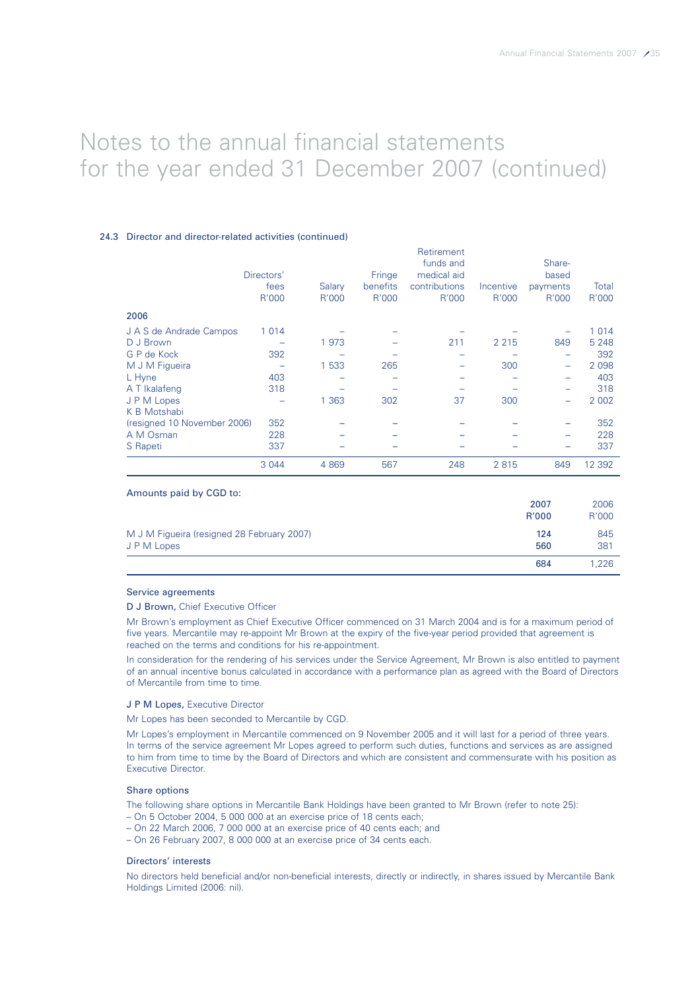### 24.3 Director and director-related activities (continued)

|                             | Directors'<br>fees<br>R'000 | Salary<br>R'000 | Fringe<br>benefits<br>R'000 | Retirement<br>funds and<br>medical aid<br>contributions<br>R'000 | Incentive<br>R'000 | Share-<br>based<br>payments<br>R'000 | Total<br>R'000 |
|-----------------------------|-----------------------------|-----------------|-----------------------------|------------------------------------------------------------------|--------------------|--------------------------------------|----------------|
| 2006                        |                             |                 |                             |                                                                  |                    |                                      |                |
| J A S de Andrade Campos     | 1 0 1 4                     |                 |                             |                                                                  |                    |                                      | 1 0 1 4        |
| D J Brown                   |                             | 1973            |                             | 211                                                              | 2 2 1 5            | 849                                  | 5 2 4 8        |
| G P de Kock                 | 392                         |                 |                             |                                                                  |                    |                                      | 392            |
| M J M Figueira              |                             | 1 5 3 3         | 265                         |                                                                  | 300                | -                                    | 2 0 9 8        |
| L Hyne                      | 403                         |                 |                             |                                                                  |                    |                                      | 403            |
| A T Ikalafeng               | 318                         |                 |                             |                                                                  |                    |                                      | 318            |
| J P M Lopes                 |                             | 1 3 6 3         | 302                         | 37                                                               | 300                |                                      | 2 0 0 2        |
| K B Motshabi                |                             |                 |                             |                                                                  |                    |                                      |                |
| (resigned 10 November 2006) | 352                         |                 |                             |                                                                  |                    |                                      | 352            |
| A M Osman                   | 228                         |                 |                             |                                                                  |                    |                                      | 228            |
| S Rapeti                    | 337                         |                 |                             |                                                                  |                    |                                      | 337            |
|                             | 3 0 4 4                     | 4 8 6 9         | 567                         | 248                                                              | 2815               | 849                                  | 12 392         |

| Amounts paid by CGD to:                                   |               |               |
|-----------------------------------------------------------|---------------|---------------|
|                                                           | 2007<br>R'000 | 2006<br>R'000 |
| M J M Figueira (resigned 28 February 2007)<br>J P M Lopes | 124<br>560    | 845<br>381    |
|                                                           | 684           | .226          |

#### Service agreements

#### D J Brown, Chief Executive Officer

Mr Brown's employment as Chief Executive Officer commenced on 31 March 2004 and is for a maximum period of five years. Mercantile may re-appoint Mr Brown at the expiry of the five-year period provided that agreement is reached on the terms and conditions for his re-appointment.

In consideration for the rendering of his services under the Service Agreement, Mr Brown is also entitled to payment of an annual incentive bonus calculated in accordance with a performance plan as agreed with the Board of Directors of Mercantile from time to time.

### J P M Lopes, Executive Director

Mr Lopes has been seconded to Mercantile by CGD.

Mr Lopes's employment in Mercantile commenced on 9 November 2005 and it will last for a period of three years. In terms of the service agreement Mr Lopes agreed to perform such duties, functions and services as are assigned to him from time to time by the Board of Directors and which are consistent and commensurate with his position as Executive Director.

### Share options

The following share options in Mercantile Bank Holdings have been granted to Mr Brown (refer to note 25):

- On 5 October 2004, 5 000 000 at an exercise price of 18 cents each;
- On 22 March 2006, 7 000 000 at an exercise price of 40 cents each; and
- On 26 February 2007, 8 000 000 at an exercise price of 34 cents each.

#### Directors' interests

No directors held beneficial and/or non-beneficial interests, directly or indirectly, in shares issued by Mercantile Bank Holdings Limited (2006: nil).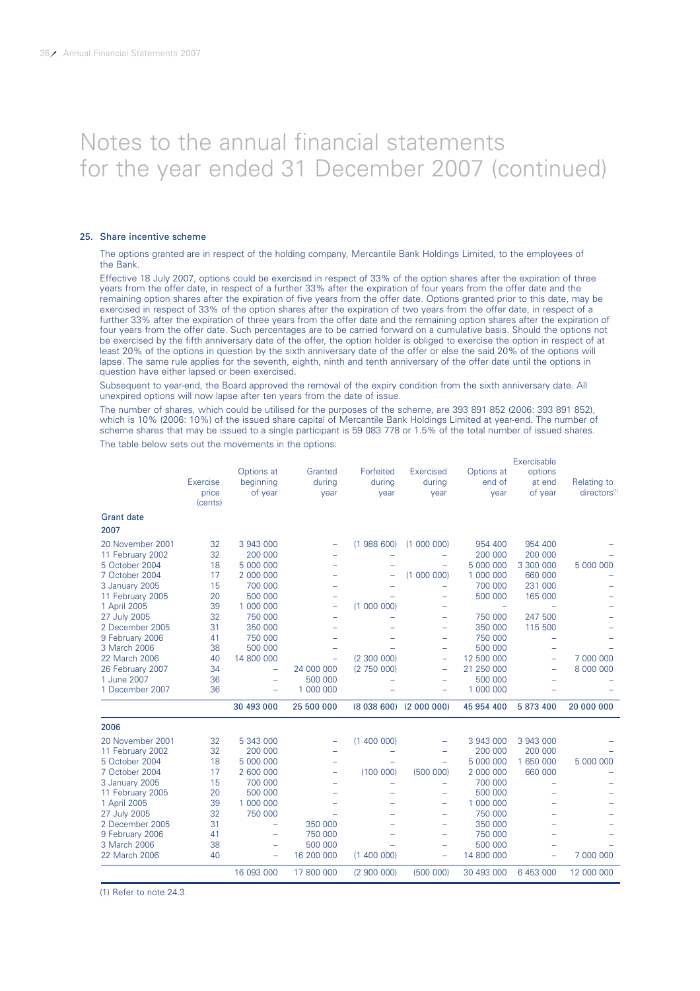#### 25. Share incentive scheme

The options granted are in respect of the holding company, Mercantile Bank Holdings Limited, to the employees of the Bank.

Effective 18 July 2007, options could be exercised in respect of 33% of the option shares after the expiration of three years from the offer date, in respect of a further 33% after the expiration of four years from the offer date and the remaining option shares after the expiration of five years from the offer date. Options granted prior to this date, may be exercised in respect of 33% of the option shares after the expiration of two years from the offer date, in respect of a further 33% after the expiration of three years from the offer date and the remaining option shares after the expiration of four years from the offer date. Such percentages are to be carried forward on a cumulative basis. Should the options not be exercised by the fifth anniversary date of the offer, the option holder is obliged to exercise the option in respect of at least 20% of the options in question by the sixth anniversary date of the offer or else the said 20% of the options will lapse. The same rule applies for the seventh, eighth, ninth and tenth anniversary of the offer date until the options in question have either lapsed or been exercised.

Subsequent to year-end, the Board approved the removal of the expiry condition from the sixth anniversary date. All unexpired options will now lapse after ten years from the date of issue.

The number of shares, which could be utilised for the purposes of the scheme, are 393 891 852 (2006: 393 891 852), which is 10% (2006: 10%) of the issued share capital of Mercantile Bank Holdings Limited at year-end. The number of scheme shares that may be issued to a single participant is 59 083 778 or 1.5% of the total number of issued shares.

The table below sets out the movements in the options:

|                                 | Exercise<br>price<br>(cents) | Options at<br>beginning<br>of year | Granted<br>during<br>year | Forfeited<br>during<br>year | Exercised<br>during<br>year | Options at<br>end of<br>year | Exercisable<br>options<br>at end<br>of year | Relating to<br>directors <sup>(1)</sup> |
|---------------------------------|------------------------------|------------------------------------|---------------------------|-----------------------------|-----------------------------|------------------------------|---------------------------------------------|-----------------------------------------|
| <b>Grant date</b>               |                              |                                    |                           |                             |                             |                              |                                             |                                         |
| 2007                            |                              |                                    |                           |                             |                             |                              |                                             |                                         |
| 20 November 2001                | 32                           | 3 943 000                          | $\overline{\phantom{0}}$  | (1988600)                   | (1000000)                   | 954 400                      | 954 400                                     |                                         |
| 11 February 2002                | 32                           | 200 000                            |                           |                             |                             | 200 000                      | 200 000                                     |                                         |
| 5 October 2004                  | 18                           | 5 000 000                          |                           |                             | L,                          | 5 000 000                    | 3 300 000                                   | 5 000 000                               |
| 7 October 2004                  | 17                           | 2 000 000                          |                           | -                           | (1 000 000)                 | 1 000 000                    | 660 000                                     |                                         |
| 3 January 2005                  | 15                           | 700 000                            |                           |                             | $\qquad \qquad$             | 700 000                      | 231 000                                     |                                         |
| 11 February 2005                | 20                           | 500 000                            |                           |                             |                             | 500 000                      | 165 000                                     |                                         |
| 1 April 2005                    | 39                           | 1 000 000                          | Ξ                         | (1 000 000)                 | Ξ                           |                              |                                             |                                         |
| 27 July 2005                    | 32                           | 750 000                            | $\overline{\phantom{0}}$  |                             | $\overline{\phantom{0}}$    | 750 000                      | 247 500                                     |                                         |
| 2 December 2005                 | 31                           | 350 000                            |                           |                             | $\qquad \qquad$             | 350 000                      | 115 500                                     |                                         |
| 9 February 2006<br>3 March 2006 | 41<br>38                     | 750 000<br>500 000                 |                           |                             | $\qquad \qquad$             | 750 000<br>500 000           | $\qquad \qquad$<br>$\overline{\phantom{0}}$ |                                         |
| 22 March 2006                   | 40                           | 14 800 000                         | $\equiv$                  | (2, 300, 000)               | ÷                           | 12 500 000                   | $\overline{\phantom{0}}$                    | 7 000 000                               |
| 26 February 2007                | 34                           | $\overline{\phantom{m}}$           | 24 000 000                | (2 750 000)                 | $\qquad \qquad$<br>÷        | 21 250 000                   | $\overline{\phantom{0}}$                    | 8 000 000                               |
| 1 June 2007                     | 36                           | $\equiv$                           | 500 000                   | $\overline{\phantom{0}}$    | $\equiv$                    | 500 000                      | $\equiv$                                    |                                         |
| 1 December 2007                 | 36                           | $\overline{\phantom{m}}$           | 1 000 000                 | $\overline{\phantom{0}}$    | $\overline{\phantom{0}}$    | 1 000 000                    | $\overline{\phantom{0}}$                    |                                         |
|                                 |                              | 30 493 000                         | 25 500 000                |                             | $(8038600)$ $(2000000)$     | 45 954 400                   | 5 873 400                                   | 20 000 000                              |
| 2006                            |                              |                                    |                           |                             |                             |                              |                                             |                                         |
| 20 November 2001                | 32                           | 5 343 000                          | $\overline{\phantom{0}}$  | (1400000)                   | $\equiv$                    | 3 943 000                    | 3 943 000                                   |                                         |
| 11 February 2002                | 32                           | 200 000                            | $\overline{\phantom{0}}$  |                             | ۰                           | 200 000                      | 200 000                                     |                                         |
| 5 October 2004                  | 18                           | 5 000 000                          |                           |                             | $\qquad \qquad$             | 5 000 000                    | 1 650 000                                   | 5 000 000                               |
| 7 October 2004                  | 17                           | 2 600 000                          | -                         | (100000)                    | (500000)                    | 2 000 000                    | 660 000                                     |                                         |
| 3 January 2005                  | 15                           | 700 000                            | $\equiv$                  | -                           | $=$                         | 700 000                      | ÷                                           |                                         |
| 11 February 2005                | 20                           | 500 000                            |                           |                             | ÷                           | 500 000                      |                                             |                                         |
| 1 April 2005                    | 39                           | 1 000 000                          |                           |                             | $\qquad \qquad$             | 1 000 000                    | $\overline{\phantom{0}}$                    |                                         |
| 27 July 2005                    | 32                           | 750 000                            |                           |                             | ÷                           | 750 000                      |                                             |                                         |
| 2 December 2005                 | 31                           | $\overline{\phantom{0}}$           | 350 000                   |                             | -                           | 350 000                      |                                             |                                         |
| 9 February 2006                 | 41                           | $\equiv$                           | 750 000                   |                             | $\overline{\phantom{0}}$    | 750 000                      |                                             |                                         |
| 3 March 2006                    | 38                           | $\overline{\phantom{m}}$           | 500 000                   |                             | $\overline{\phantom{0}}$    | 500 000                      | L.                                          |                                         |
| 22 March 2006                   | 40                           | $\overline{\phantom{m}}$           | 16 200 000                | (1400000)                   | $\equiv$                    | 14 800 000                   | $\equiv$                                    | 7 000 000                               |
|                                 |                              | 16 093 000                         | 17 800 000                | (2900000)                   | (500000)                    | 30 493 000                   | 6 453 000                                   | 12 000 000                              |

(1) Refer to note 24.3.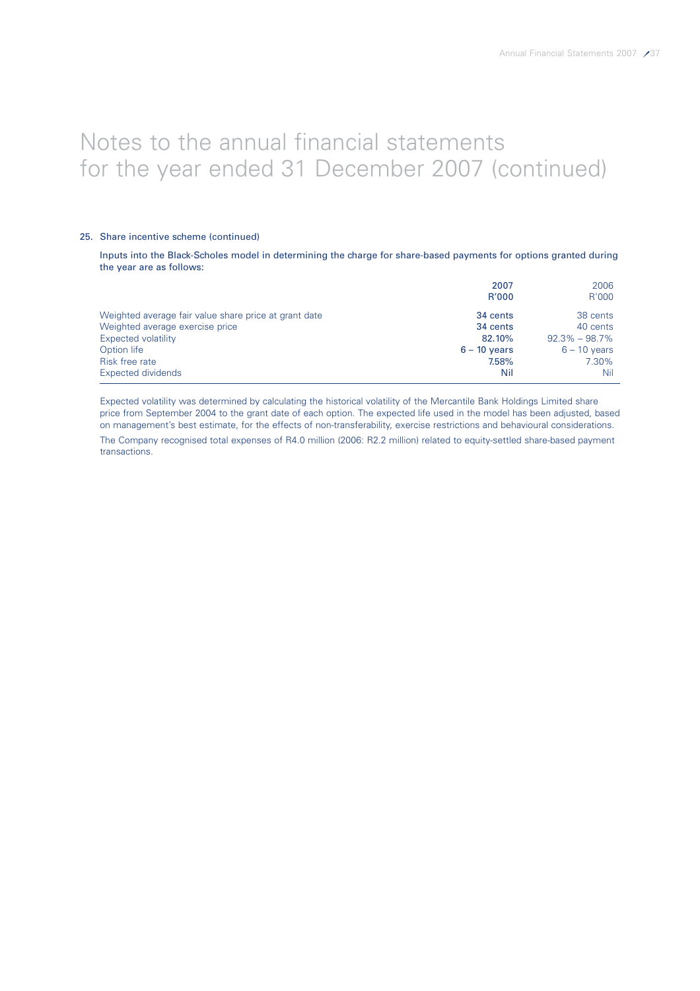### 25. Share incentive scheme (continued)

Inputs into the Black-Scholes model in determining the charge for share-based payments for options granted during the year are as follows:

|                                                       | 2007           | 2006              |
|-------------------------------------------------------|----------------|-------------------|
|                                                       | R'000          | R'000             |
| Weighted average fair value share price at grant date | 34 cents       | 38 cents          |
| Weighted average exercise price                       | 34 cents       | 40 cents          |
| Expected volatility                                   | 82.10%         | $92.3\% - 98.7\%$ |
| Option life                                           | $6 - 10$ vears | $6 - 10$ years    |
| Risk free rate                                        | 7.58%          | 7.30%             |
| <b>Expected dividends</b>                             | Nil            | Nil               |

Expected volatility was determined by calculating the historical volatility of the Mercantile Bank Holdings Limited share price from September 2004 to the grant date of each option. The expected life used in the model has been adjusted, based on management's best estimate, for the effects of non-transferability, exercise restrictions and behavioural considerations.

The Company recognised total expenses of R4.0 million (2006: R2.2 million) related to equity-settled share-based payment transactions.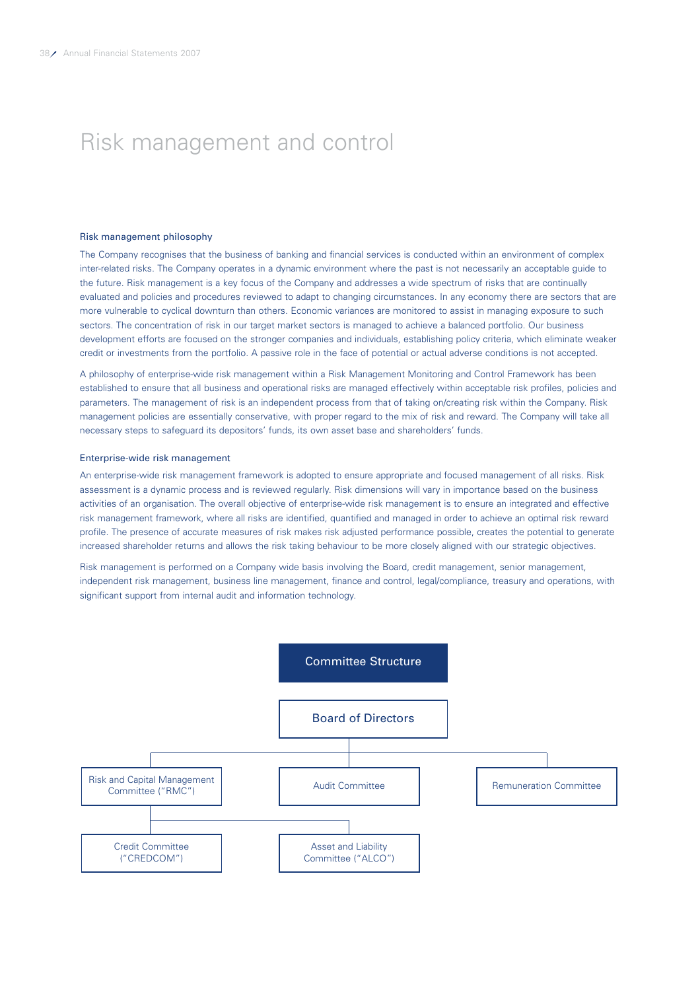# Risk management and control

#### Risk management philosophy

The Company recognises that the business of banking and financial services is conducted within an environment of complex inter-related risks. The Company operates in a dynamic environment where the past is not necessarily an acceptable guide to the future. Risk management is a key focus of the Company and addresses a wide spectrum of risks that are continually evaluated and policies and procedures reviewed to adapt to changing circumstances. In any economy there are sectors that are more vulnerable to cyclical downturn than others. Economic variances are monitored to assist in managing exposure to such sectors. The concentration of risk in our target market sectors is managed to achieve a balanced portfolio. Our business development efforts are focused on the stronger companies and individuals, establishing policy criteria, which eliminate weaker credit or investments from the portfolio. A passive role in the face of potential or actual adverse conditions is not accepted.

A philosophy of enterprise-wide risk management within a Risk Management Monitoring and Control Framework has been established to ensure that all business and operational risks are managed effectively within acceptable risk profiles, policies and parameters. The management of risk is an independent process from that of taking on/creating risk within the Company. Risk management policies are essentially conservative, with proper regard to the mix of risk and reward. The Company will take all necessary steps to safeguard its depositors' funds, its own asset base and shareholders' funds.

#### Enterprise-wide risk management

An enterprise-wide risk management framework is adopted to ensure appropriate and focused management of all risks. Risk assessment is a dynamic process and is reviewed regularly. Risk dimensions will vary in importance based on the business activities of an organisation. The overall objective of enterprise-wide risk management is to ensure an integrated and effective risk management framework, where all risks are identified, quantified and managed in order to achieve an optimal risk reward profile. The presence of accurate measures of risk makes risk adjusted performance possible, creates the potential to generate increased shareholder returns and allows the risk taking behaviour to be more closely aligned with our strategic objectives.

Risk management is performed on a Company wide basis involving the Board, credit management, senior management, independent risk management, business line management, finance and control, legal/compliance, treasury and operations, with significant support from internal audit and information technology.

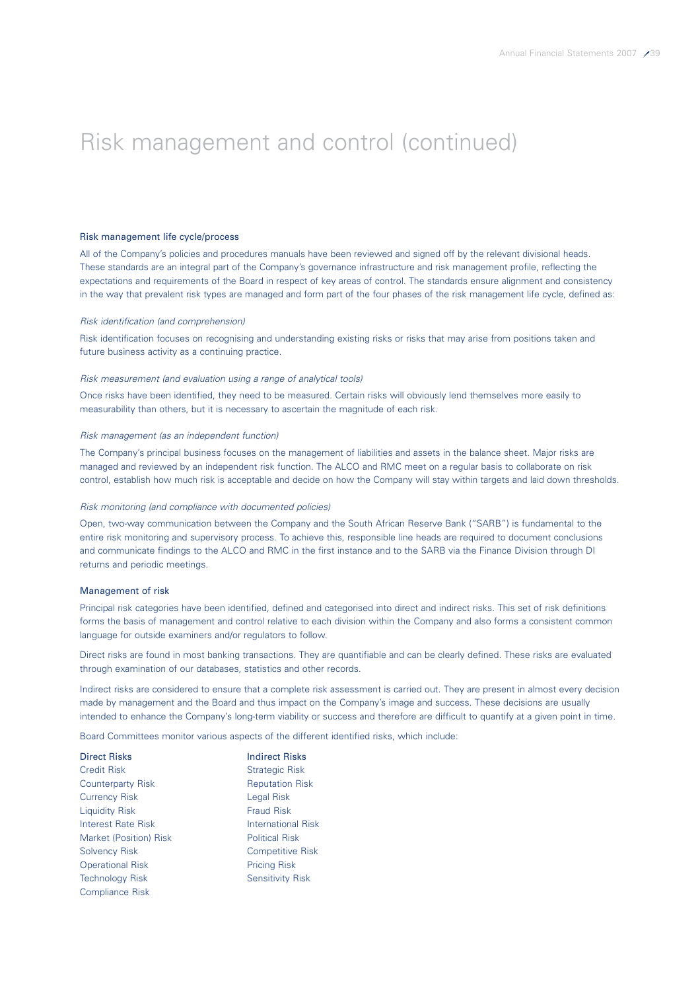#### Risk management life cycle/process

All of the Company's policies and procedures manuals have been reviewed and signed off by the relevant divisional heads. These standards are an integral part of the Company's governance infrastructure and risk management profile, reflecting the expectations and requirements of the Board in respect of key areas of control. The standards ensure alignment and consistency in the way that prevalent risk types are managed and form part of the four phases of the risk management life cycle, defined as:

#### Risk identification (and comprehension)

Risk identification focuses on recognising and understanding existing risks or risks that may arise from positions taken and future business activity as a continuing practice.

#### Risk measurement (and evaluation using a range of analytical tools)

Once risks have been identified, they need to be measured. Certain risks will obviously lend themselves more easily to measurability than others, but it is necessary to ascertain the magnitude of each risk.

#### Risk management (as an independent function)

The Company's principal business focuses on the management of liabilities and assets in the balance sheet. Major risks are managed and reviewed by an independent risk function. The ALCO and RMC meet on a regular basis to collaborate on risk control, establish how much risk is acceptable and decide on how the Company will stay within targets and laid down thresholds.

#### Risk monitoring (and compliance with documented policies)

Open, two-way communication between the Company and the South African Reserve Bank ("SARB") is fundamental to the entire risk monitoring and supervisory process. To achieve this, responsible line heads are required to document conclusions and communicate findings to the ALCO and RMC in the first instance and to the SARB via the Finance Division through DI returns and periodic meetings.

#### Management of risk

Principal risk categories have been identified, defined and categorised into direct and indirect risks. This set of risk definitions forms the basis of management and control relative to each division within the Company and also forms a consistent common language for outside examiners and/or regulators to follow.

Direct risks are found in most banking transactions. They are quantifiable and can be clearly defined. These risks are evaluated through examination of our databases, statistics and other records.

Indirect risks are considered to ensure that a complete risk assessment is carried out. They are present in almost every decision made by management and the Board and thus impact on the Company's image and success. These decisions are usually intended to enhance the Company's long-term viability or success and therefore are difficult to quantify at a given point in time.

Board Committees monitor various aspects of the different identified risks, which include:

| <b>Direct Risks</b>      | <b>Indirect Risks</b>     |
|--------------------------|---------------------------|
| <b>Credit Risk</b>       | <b>Strategic Risk</b>     |
| <b>Counterparty Risk</b> | <b>Reputation Risk</b>    |
| <b>Currency Risk</b>     | Legal Risk                |
| <b>Liquidity Risk</b>    | <b>Fraud Risk</b>         |
| Interest Rate Risk       | <b>International Risk</b> |
| Market (Position) Risk   | <b>Political Risk</b>     |
| <b>Solvency Risk</b>     | <b>Competitive Risk</b>   |
| <b>Operational Risk</b>  | <b>Pricing Risk</b>       |
| <b>Technology Risk</b>   | <b>Sensitivity Risk</b>   |
| Compliance Risk          |                           |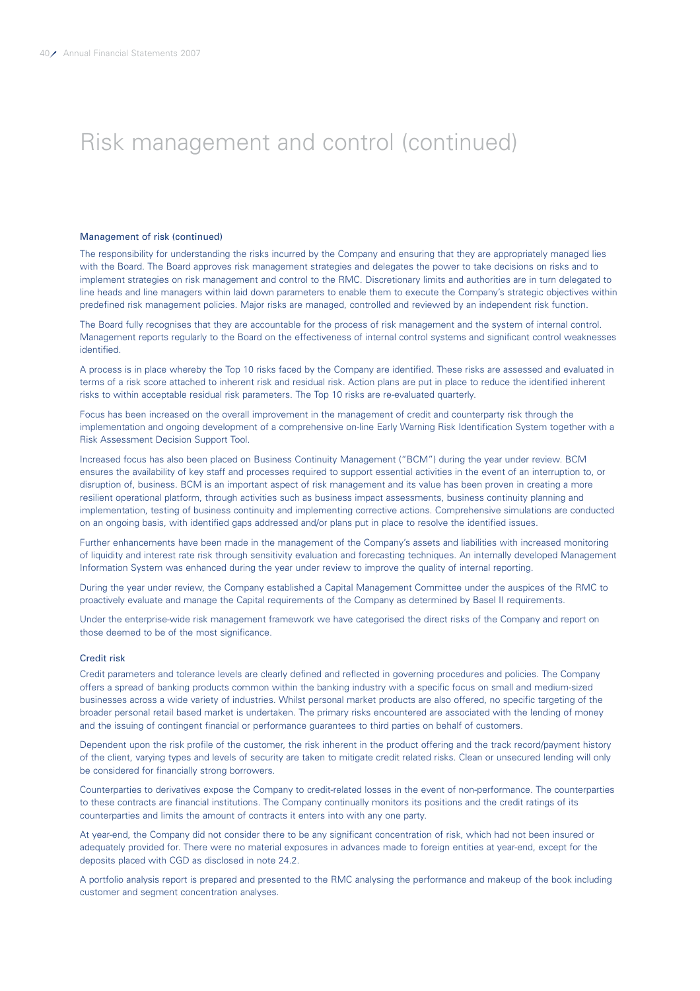#### Management of risk (continued)

The responsibility for understanding the risks incurred by the Company and ensuring that they are appropriately managed lies with the Board. The Board approves risk management strategies and delegates the power to take decisions on risks and to implement strategies on risk management and control to the RMC. Discretionary limits and authorities are in turn delegated to line heads and line managers within laid down parameters to enable them to execute the Company's strategic objectives within predefined risk management policies. Major risks are managed, controlled and reviewed by an independent risk function.

The Board fully recognises that they are accountable for the process of risk management and the system of internal control. Management reports regularly to the Board on the effectiveness of internal control systems and significant control weaknesses identified.

A process is in place whereby the Top 10 risks faced by the Company are identified. These risks are assessed and evaluated in terms of a risk score attached to inherent risk and residual risk. Action plans are put in place to reduce the identified inherent risks to within acceptable residual risk parameters. The Top 10 risks are re-evaluated quarterly.

Focus has been increased on the overall improvement in the management of credit and counterparty risk through the implementation and ongoing development of a comprehensive on-line Early Warning Risk Identification System together with a Risk Assessment Decision Support Tool.

Increased focus has also been placed on Business Continuity Management ("BCM") during the year under review. BCM ensures the availability of key staff and processes required to support essential activities in the event of an interruption to, or disruption of, business. BCM is an important aspect of risk management and its value has been proven in creating a more resilient operational platform, through activities such as business impact assessments, business continuity planning and implementation, testing of business continuity and implementing corrective actions. Comprehensive simulations are conducted on an ongoing basis, with identified gaps addressed and/or plans put in place to resolve the identified issues.

Further enhancements have been made in the management of the Company's assets and liabilities with increased monitoring of liquidity and interest rate risk through sensitivity evaluation and forecasting techniques. An internally developed Management Information System was enhanced during the year under review to improve the quality of internal reporting.

During the year under review, the Company established a Capital Management Committee under the auspices of the RMC to proactively evaluate and manage the Capital requirements of the Company as determined by Basel II requirements.

Under the enterprise-wide risk management framework we have categorised the direct risks of the Company and report on those deemed to be of the most significance.

#### Credit risk

Credit parameters and tolerance levels are clearly defined and reflected in governing procedures and policies. The Company offers a spread of banking products common within the banking industry with a specific focus on small and medium-sized businesses across a wide variety of industries. Whilst personal market products are also offered, no specific targeting of the broader personal retail based market is undertaken. The primary risks encountered are associated with the lending of money and the issuing of contingent financial or performance guarantees to third parties on behalf of customers.

Dependent upon the risk profile of the customer, the risk inherent in the product offering and the track record/payment history of the client, varying types and levels of security are taken to mitigate credit related risks. Clean or unsecured lending will only be considered for financially strong borrowers.

Counterparties to derivatives expose the Company to credit-related losses in the event of non-performance. The counterparties to these contracts are financial institutions. The Company continually monitors its positions and the credit ratings of its counterparties and limits the amount of contracts it enters into with any one party.

At year-end, the Company did not consider there to be any significant concentration of risk, which had not been insured or adequately provided for. There were no material exposures in advances made to foreign entities at year-end, except for the deposits placed with CGD as disclosed in note 24.2.

A portfolio analysis report is prepared and presented to the RMC analysing the performance and makeup of the book including customer and segment concentration analyses.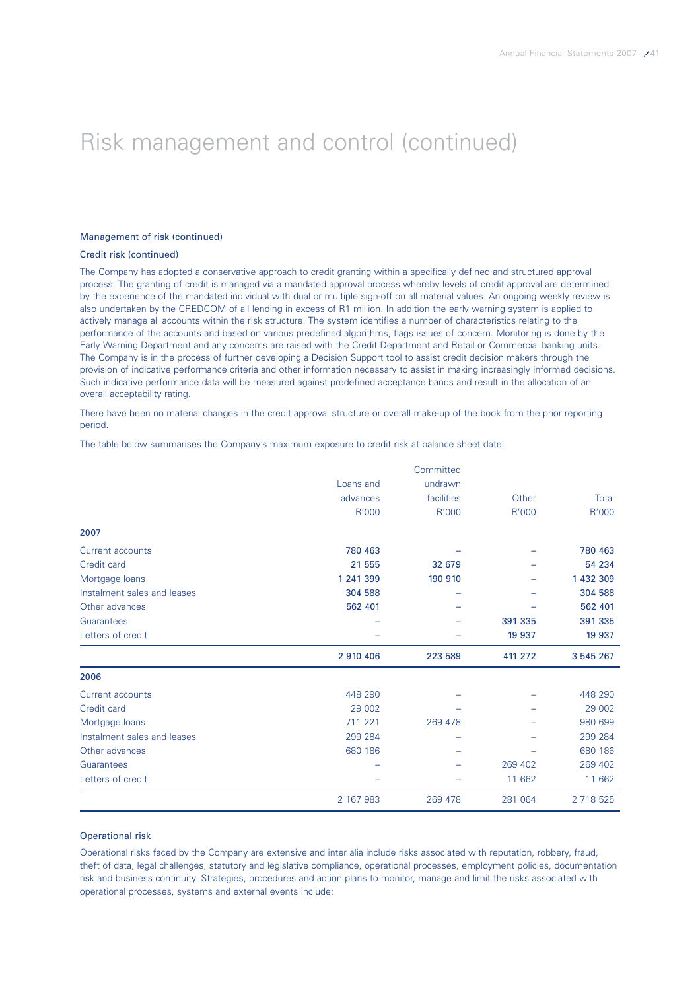### Management of risk (continued)

### Credit risk (continued)

The Company has adopted a conservative approach to credit granting within a specifically defined and structured approval process. The granting of credit is managed via a mandated approval process whereby levels of credit approval are determined by the experience of the mandated individual with dual or multiple sign-off on all material values. An ongoing weekly review is also undertaken by the CREDCOM of all lending in excess of R1 million. In addition the early warning system is applied to actively manage all accounts within the risk structure. The system identifies a number of characteristics relating to the performance of the accounts and based on various predefined algorithms, flags issues of concern. Monitoring is done by the Early Warning Department and any concerns are raised with the Credit Department and Retail or Commercial banking units. The Company is in the process of further developing a Decision Support tool to assist credit decision makers through the provision of indicative performance criteria and other information necessary to assist in making increasingly informed decisions. Such indicative performance data will be measured against predefined acceptance bands and result in the allocation of an overall acceptability rating.

There have been no material changes in the credit approval structure or overall make-up of the book from the prior reporting period.

The table below summarises the Company's maximum exposure to credit risk at balance sheet date:

|                             |           | Committed  |         |           |
|-----------------------------|-----------|------------|---------|-----------|
|                             | Loans and | undrawn    |         |           |
|                             | advances  | facilities | Other   | Total     |
|                             | R'000     | R'000      | R'000   | R'000     |
| 2007                        |           |            |         |           |
| <b>Current accounts</b>     | 780 463   |            |         | 780 463   |
| Credit card                 | 21 555    | 32 679     |         | 54 234    |
| Mortgage loans              | 1 241 399 | 190 910    |         | 1 432 309 |
| Instalment sales and leases | 304 588   |            |         | 304 588   |
| Other advances              | 562 401   |            |         | 562 401   |
| Guarantees                  |           |            | 391 335 | 391 335   |
| Letters of credit           |           |            | 19 937  | 19 937    |
|                             | 2 910 406 | 223 589    | 411 272 | 3 545 267 |
| 2006                        |           |            |         |           |
| Current accounts            | 448 290   |            |         | 448 290   |
| Credit card                 | 29 002    |            |         | 29 002    |
| Mortgage loans              | 711 221   | 269 478    |         | 980 699   |
| Instalment sales and leases | 299 284   |            |         | 299 284   |
| Other advances              | 680 186   |            |         | 680 186   |
| Guarantees                  |           |            | 269 402 | 269 402   |
| Letters of credit           |           |            | 11 662  | 11 662    |
|                             | 2 167 983 | 269 478    | 281 064 | 2 718 525 |

### Operational risk

Operational risks faced by the Company are extensive and inter alia include risks associated with reputation, robbery, fraud, theft of data, legal challenges, statutory and legislative compliance, operational processes, employment policies, documentation risk and business continuity. Strategies, procedures and action plans to monitor, manage and limit the risks associated with operational processes, systems and external events include: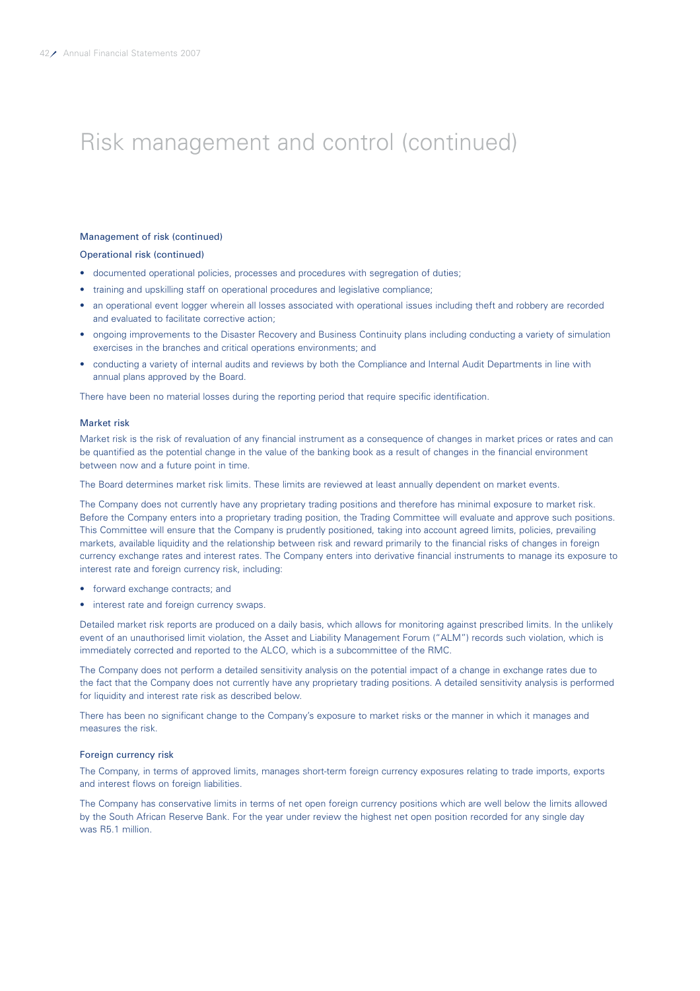### Management of risk (continued)

Operational risk (continued)

- documented operational policies, processes and procedures with segregation of duties;
- training and upskilling staff on operational procedures and legislative compliance;
- an operational event logger wherein all losses associated with operational issues including theft and robbery are recorded and evaluated to facilitate corrective action;
- ongoing improvements to the Disaster Recovery and Business Continuity plans including conducting a variety of simulation exercises in the branches and critical operations environments; and
- conducting a variety of internal audits and reviews by both the Compliance and Internal Audit Departments in line with annual plans approved by the Board.

There have been no material losses during the reporting period that require specific identification.

#### Market risk

Market risk is the risk of revaluation of any financial instrument as a consequence of changes in market prices or rates and can be quantified as the potential change in the value of the banking book as a result of changes in the financial environment between now and a future point in time.

The Board determines market risk limits. These limits are reviewed at least annually dependent on market events.

The Company does not currently have any proprietary trading positions and therefore has minimal exposure to market risk. Before the Company enters into a proprietary trading position, the Trading Committee will evaluate and approve such positions. This Committee will ensure that the Company is prudently positioned, taking into account agreed limits, policies, prevailing markets, available liquidity and the relationship between risk and reward primarily to the financial risks of changes in foreign currency exchange rates and interest rates. The Company enters into derivative financial instruments to manage its exposure to interest rate and foreign currency risk, including:

- forward exchange contracts; and
- interest rate and foreign currency swaps.

Detailed market risk reports are produced on a daily basis, which allows for monitoring against prescribed limits. In the unlikely event of an unauthorised limit violation, the Asset and Liability Management Forum ("ALM") records such violation, which is immediately corrected and reported to the ALCO, which is a subcommittee of the RMC.

The Company does not perform a detailed sensitivity analysis on the potential impact of a change in exchange rates due to the fact that the Company does not currently have any proprietary trading positions. A detailed sensitivity analysis is performed for liquidity and interest rate risk as described below.

There has been no significant change to the Company's exposure to market risks or the manner in which it manages and measures the risk.

#### Foreign currency risk

The Company, in terms of approved limits, manages short-term foreign currency exposures relating to trade imports, exports and interest flows on foreign liabilities.

The Company has conservative limits in terms of net open foreign currency positions which are well below the limits allowed by the South African Reserve Bank. For the year under review the highest net open position recorded for any single day was R5.1 million.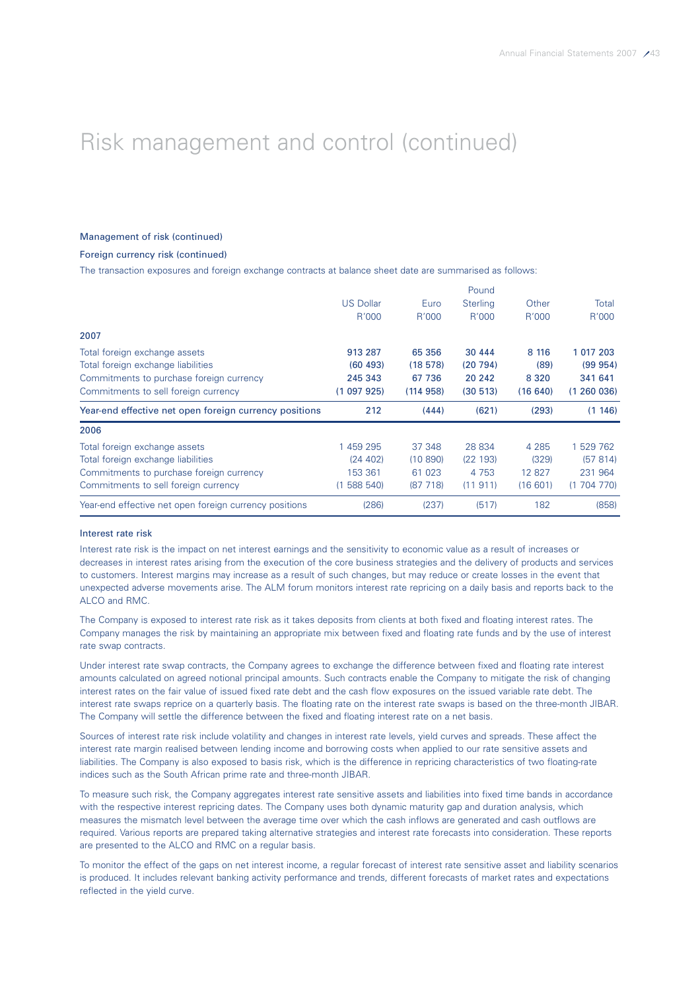### Management of risk (continued)

### Foreign currency risk (continued)

The transaction exposures and foreign exchange contracts at balance sheet date are summarised as follows:

|                                                        |                  |           | Pound           |         |           |
|--------------------------------------------------------|------------------|-----------|-----------------|---------|-----------|
|                                                        | <b>US Dollar</b> | Euro      | <b>Sterling</b> | Other   | Total     |
|                                                        | R'000            | R'000     | R'000           | R'000   | R'000     |
| 2007                                                   |                  |           |                 |         |           |
| Total foreign exchange assets                          | 913 287          | 65 356    | 30 444          | 8 116   | 1 017 203 |
| Total foreign exchange liabilities                     | (60, 493)        | (18578)   | (20794)         | (89)    | (99954)   |
| Commitments to purchase foreign currency               | 245 343          | 67 736    | 20 24 2         | 8 3 2 0 | 341 641   |
| Commitments to sell foreign currency                   | (1097925)        | (114958)  | (30 513)        | (16640) | (1260036) |
|                                                        |                  |           |                 |         |           |
| Year-end effective net open foreign currency positions | 212              | (444)     | (621)           | (293)   | (1146)    |
| 2006                                                   |                  |           |                 |         |           |
| Total foreign exchange assets                          | 1 459 295        | 37 348    | 28 834          | 4 2 8 5 | 1 529 762 |
| Total foreign exchange liabilities                     | (24 402)         | (10, 890) | (22193)         | (329)   | (57814)   |
| Commitments to purchase foreign currency               | 153 361          | 61 023    | 4 7 5 3         | 12 827  | 231 964   |
| Commitments to sell foreign currency                   | (1588540)        | (87, 718) | (11911)         | (16601) | (1704770) |

#### Interest rate risk

Interest rate risk is the impact on net interest earnings and the sensitivity to economic value as a result of increases or decreases in interest rates arising from the execution of the core business strategies and the delivery of products and services to customers. Interest margins may increase as a result of such changes, but may reduce or create losses in the event that unexpected adverse movements arise. The ALM forum monitors interest rate repricing on a daily basis and reports back to the ALCO and RMC.

The Company is exposed to interest rate risk as it takes deposits from clients at both fixed and floating interest rates. The Company manages the risk by maintaining an appropriate mix between fixed and floating rate funds and by the use of interest rate swap contracts.

Under interest rate swap contracts, the Company agrees to exchange the difference between fixed and floating rate interest amounts calculated on agreed notional principal amounts. Such contracts enable the Company to mitigate the risk of changing interest rates on the fair value of issued fixed rate debt and the cash flow exposures on the issued variable rate debt. The interest rate swaps reprice on a quarterly basis. The floating rate on the interest rate swaps is based on the three-month JIBAR. The Company will settle the difference between the fixed and floating interest rate on a net basis.

Sources of interest rate risk include volatility and changes in interest rate levels, yield curves and spreads. These affect the interest rate margin realised between lending income and borrowing costs when applied to our rate sensitive assets and liabilities. The Company is also exposed to basis risk, which is the difference in repricing characteristics of two floating-rate indices such as the South African prime rate and three-month JIBAR.

To measure such risk, the Company aggregates interest rate sensitive assets and liabilities into fixed time bands in accordance with the respective interest repricing dates. The Company uses both dynamic maturity gap and duration analysis, which measures the mismatch level between the average time over which the cash inflows are generated and cash outflows are required. Various reports are prepared taking alternative strategies and interest rate forecasts into consideration. These reports are presented to the ALCO and RMC on a regular basis.

To monitor the effect of the gaps on net interest income, a regular forecast of interest rate sensitive asset and liability scenarios is produced. It includes relevant banking activity performance and trends, different forecasts of market rates and expectations reflected in the yield curve.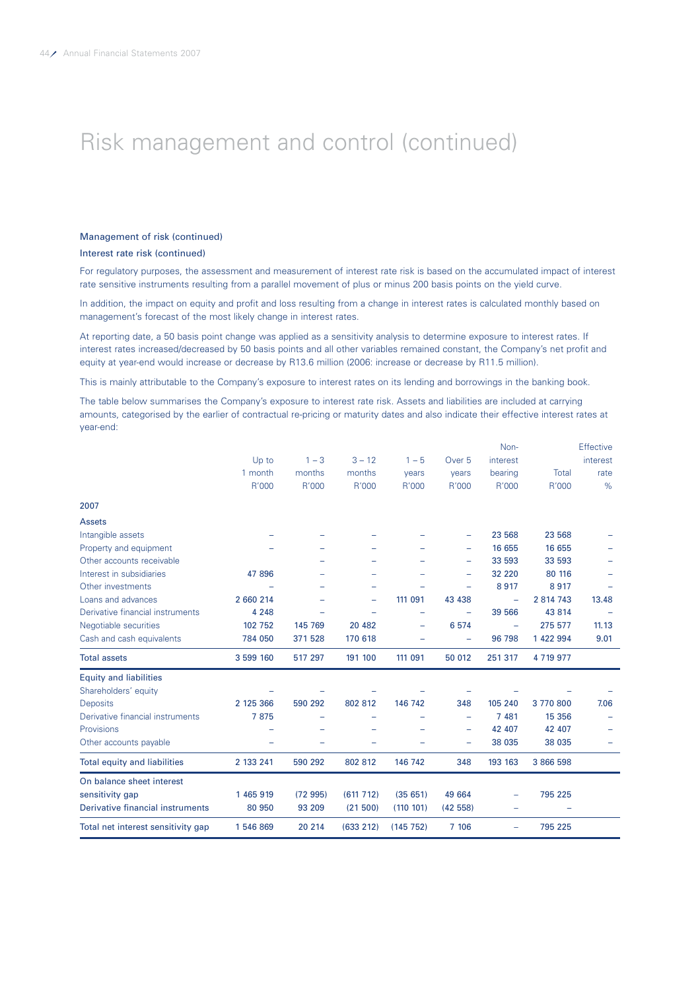#### Management of risk (continued)

#### Interest rate risk (continued)

For regulatory purposes, the assessment and measurement of interest rate risk is based on the accumulated impact of interest rate sensitive instruments resulting from a parallel movement of plus or minus 200 basis points on the yield curve.

In addition, the impact on equity and profit and loss resulting from a change in interest rates is calculated monthly based on management's forecast of the most likely change in interest rates.

At reporting date, a 50 basis point change was applied as a sensitivity analysis to determine exposure to interest rates. If interest rates increased/decreased by 50 basis points and all other variables remained constant, the Company's net profit and equity at year-end would increase or decrease by R13.6 million (2006: increase or decrease by R11.5 million).

This is mainly attributable to the Company's exposure to interest rates on its lending and borrowings in the banking book.

The table below summarises the Company's exposure to interest rate risk. Assets and liabilities are included at carrying amounts, categorised by the earlier of contractual re-pricing or maturity dates and also indicate their effective interest rates at year-end:

|                                     |           |         |           |                          |                          | Non-                     |             | <b>Effective</b> |
|-------------------------------------|-----------|---------|-----------|--------------------------|--------------------------|--------------------------|-------------|------------------|
|                                     | Up to     | $1 - 3$ | $3 - 12$  | $1 - 5$                  | Over <sub>5</sub>        | interest                 |             | interest         |
|                                     | 1 month   | months  | months    | years                    | vears                    | bearing                  | Total       | rate             |
|                                     | R'000     | R'000   | R'000     | R'000                    | R'000                    | R'000                    | R'000       | %                |
| 2007                                |           |         |           |                          |                          |                          |             |                  |
| <b>Assets</b>                       |           |         |           |                          |                          |                          |             |                  |
| Intangible assets                   |           |         |           |                          | -                        | 23 568                   | 23 568      |                  |
| Property and equipment              |           |         |           |                          | -                        | 16 655                   | 16 655      |                  |
| Other accounts receivable           |           |         |           |                          | $\overline{\phantom{0}}$ | 33 593                   | 33 593      |                  |
| Interest in subsidiaries            | 47 896    |         |           |                          | ÷                        | 32 220                   | 80 116      |                  |
| Other investments                   |           |         |           |                          |                          | 8917                     | 8917        |                  |
| Loans and advances                  | 2 660 214 |         |           | 111 091                  | 43 4 38                  | ÷,                       | 2 814 743   | 13.48            |
| Derivative financial instruments    | 4 2 4 8   |         |           | ۳                        |                          | 39 566                   | 43 8 14     |                  |
| Negotiable securities               | 102 752   | 145 769 | 20 482    | $\overline{\phantom{0}}$ | 6574                     | $\overline{\phantom{m}}$ | 275 577     | 11.13            |
| Cash and cash equivalents           | 784 050   | 371 528 | 170 618   |                          |                          | 96 798                   | 1 422 994   | 9.01             |
| <b>Total assets</b>                 | 3 599 160 | 517 297 | 191 100   | 111 091                  | 50 012                   | 251 317                  | 4 7 19 9 77 |                  |
| <b>Equity and liabilities</b>       |           |         |           |                          |                          |                          |             |                  |
| Shareholders' equity                |           |         |           |                          |                          |                          |             |                  |
| <b>Deposits</b>                     | 2 125 366 | 590 292 | 802 812   | 146 742                  | 348                      | 105 240                  | 3770800     | 7.06             |
| Derivative financial instruments    | 7875      |         |           |                          | -                        | 7481                     | 15 3 56     |                  |
| Provisions                          |           |         |           |                          | -                        | 42 407                   | 42 407      |                  |
| Other accounts payable              |           |         |           |                          |                          | 38 035                   | 38 035      |                  |
| <b>Total equity and liabilities</b> | 2 133 241 | 590 292 | 802 812   | 146 742                  | 348                      | 193 163                  | 3 866 598   |                  |
| On balance sheet interest           |           |         |           |                          |                          |                          |             |                  |
| sensitivity gap                     | 1 465 919 | (72995) | (611712)  | (35651)                  | 49 664                   | $\qquad \qquad$          | 795 225     |                  |
| Derivative financial instruments    | 80 950    | 93 209  | (21500)   | (110 101)                | (42558)                  | $\overline{\phantom{0}}$ |             |                  |
| Total net interest sensitivity gap  | 1546869   | 20 214  | (633 212) | (145752)                 | 7 106                    | $\qquad \qquad$          | 795 225     |                  |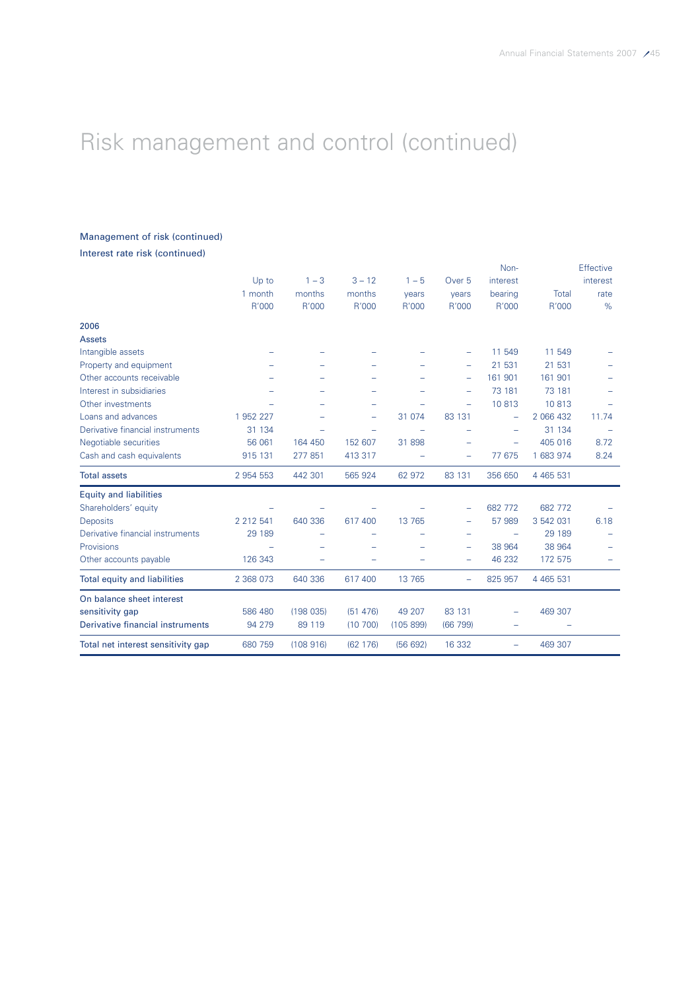# Management of risk (continued)

Interest rate risk (continued)

|                                     |               |          |          |           |                          | Non-                     |               | Effective |
|-------------------------------------|---------------|----------|----------|-----------|--------------------------|--------------------------|---------------|-----------|
|                                     | Up to         | $1 - 3$  | $3 - 12$ | $1 - 5$   | Over <sub>5</sub>        | interest                 |               | interest  |
|                                     | 1 month       | months   | months   | years     | years                    | bearing                  | Total         | rate      |
|                                     | R'000         | R'000    | R'000    | R'000     | R'000                    | R'000                    | R'000         | %         |
| 2006                                |               |          |          |           |                          |                          |               |           |
| <b>Assets</b>                       |               |          |          |           |                          |                          |               |           |
| Intangible assets                   |               |          |          |           |                          | 11 549                   | 11 549        |           |
| Property and equipment              |               |          |          |           | $\overline{\phantom{m}}$ | 21 531                   | 21 531        |           |
| Other accounts receivable           |               |          |          |           | $\overline{\phantom{m}}$ | 161 901                  | 161 901       |           |
| Interest in subsidiaries            |               |          |          |           | $\equiv$                 | 73 181                   | 73 181        |           |
| Other investments                   |               |          |          |           |                          | 10813                    | 10813         |           |
| Loans and advances                  | 1 952 227     |          | -        | 31 0 74   | 83 131                   | $\overline{\phantom{0}}$ | 2 066 432     | 11.74     |
| Derivative financial instruments    | 31 134        |          |          |           |                          | $\overline{\phantom{0}}$ | 31 134        |           |
| Negotiable securities               | 56 061        | 164 450  | 152 607  | 31 898    |                          | $\equiv$                 | 405 016       | 8.72      |
| Cash and cash equivalents           | 915 131       | 277 851  | 413 317  |           |                          | 77 675                   | 1 683 974     | 8.24      |
| <b>Total assets</b>                 | 2 954 553     | 442 301  | 565 924  | 62 972    | 83 131                   | 356 650                  | 4 4 6 5 5 3 1 |           |
| <b>Equity and liabilities</b>       |               |          |          |           |                          |                          |               |           |
| Shareholders' equity                |               |          |          |           |                          | 682 772                  | 682 772       |           |
| <b>Deposits</b>                     | 2 2 1 2 5 4 1 | 640 336  | 617 400  | 13 765    |                          | 57 989                   | 3 542 031     | 6.18      |
| Derivative financial instruments    | 29 189        |          |          |           |                          | $\equiv$                 | 29 189        |           |
| Provisions                          |               |          |          |           | $\qquad \qquad$          | 38 964                   | 38 964        |           |
| Other accounts payable              | 126 343       |          |          |           |                          | 46 232                   | 172 575       |           |
| <b>Total equity and liabilities</b> | 2 368 073     | 640 336  | 617 400  | 13 7 65   |                          | 825 957                  | 4 4 6 5 5 3 1 |           |
| On balance sheet interest           |               |          |          |           |                          |                          |               |           |
| sensitivity gap                     | 586 480       | (198035) | (51 476) | 49 207    | 83 131                   |                          | 469 307       |           |
| Derivative financial instruments    | 94 279        | 89 119   | (10700)  | (105 899) | (66799)                  |                          |               |           |
| Total net interest sensitivity gap  | 680 759       | (108916) | (62 176) | (56692)   | 16 3 32                  |                          | 469 307       |           |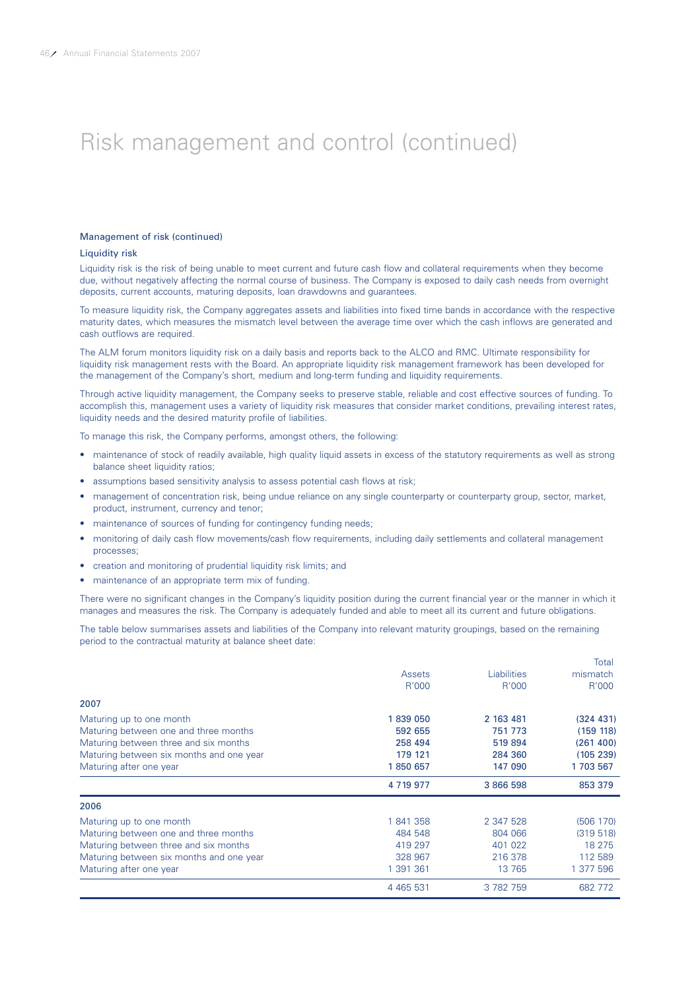### Management of risk (continued)

#### Liquidity risk

Liquidity risk is the risk of being unable to meet current and future cash flow and collateral requirements when they become due, without negatively affecting the normal course of business. The Company is exposed to daily cash needs from overnight deposits, current accounts, maturing deposits, loan drawdowns and guarantees.

To measure liquidity risk, the Company aggregates assets and liabilities into fixed time bands in accordance with the respective maturity dates, which measures the mismatch level between the average time over which the cash inflows are generated and cash outflows are required.

The ALM forum monitors liquidity risk on a daily basis and reports back to the ALCO and RMC. Ultimate responsibility for liquidity risk management rests with the Board. An appropriate liquidity risk management framework has been developed for the management of the Company's short, medium and long-term funding and liquidity requirements.

Through active liquidity management, the Company seeks to preserve stable, reliable and cost effective sources of funding. To accomplish this, management uses a variety of liquidity risk measures that consider market conditions, prevailing interest rates, liquidity needs and the desired maturity profile of liabilities.

To manage this risk, the Company performs, amongst others, the following:

- maintenance of stock of readily available, high quality liquid assets in excess of the statutory requirements as well as strong balance sheet liquidity ratios:
- assumptions based sensitivity analysis to assess potential cash flows at risk;
- management of concentration risk, being undue reliance on any single counterparty or counterparty group, sector, market, product, instrument, currency and tenor;
- maintenance of sources of funding for contingency funding needs;
- monitoring of daily cash flow movements/cash flow requirements, including daily settlements and collateral management processes;
- creation and monitoring of prudential liquidity risk limits; and
- maintenance of an appropriate term mix of funding.

There were no significant changes in the Company's liquidity position during the current financial year or the manner in which it manages and measures the risk. The Company is adequately funded and able to meet all its current and future obligations.

The table below summarises assets and liabilities of the Company into relevant maturity groupings, based on the remaining period to the contractual maturity at balance sheet date:

|                                          |               |                    | Total     |
|------------------------------------------|---------------|--------------------|-----------|
|                                          | Assets        | <b>Liabilities</b> | mismatch  |
|                                          | R'000         | R'000              | R'000     |
| 2007                                     |               |                    |           |
| Maturing up to one month                 | 1839 050      | 2 163 481          | (324 431) |
| Maturing between one and three months    | 592 655       | 751 773            | (159 118) |
| Maturing between three and six months    | 258 494       | 519894             | (261 400) |
| Maturing between six months and one year | 179 121       | 284 360            | (105 239) |
| Maturing after one year                  | 1850 657      | 147 090            | 1703 567  |
|                                          | 4 7 19 9 7 7  | 3 866 598          | 853 379   |
| 2006                                     |               |                    |           |
| Maturing up to one month                 | 1841358       | 2 347 528          | (506 170) |
| Maturing between one and three months    | 484 548       | 804 066            | (319518)  |
| Maturing between three and six months    | 419 297       | 401 022            | 18 275    |
| Maturing between six months and one year | 328 967       | 216 378            | 112 589   |
| Maturing after one year                  | 1 391 361     | 13 765             | 1 377 596 |
|                                          | 4 4 6 5 5 3 1 | 3 782 759          | 682 772   |
|                                          |               |                    |           |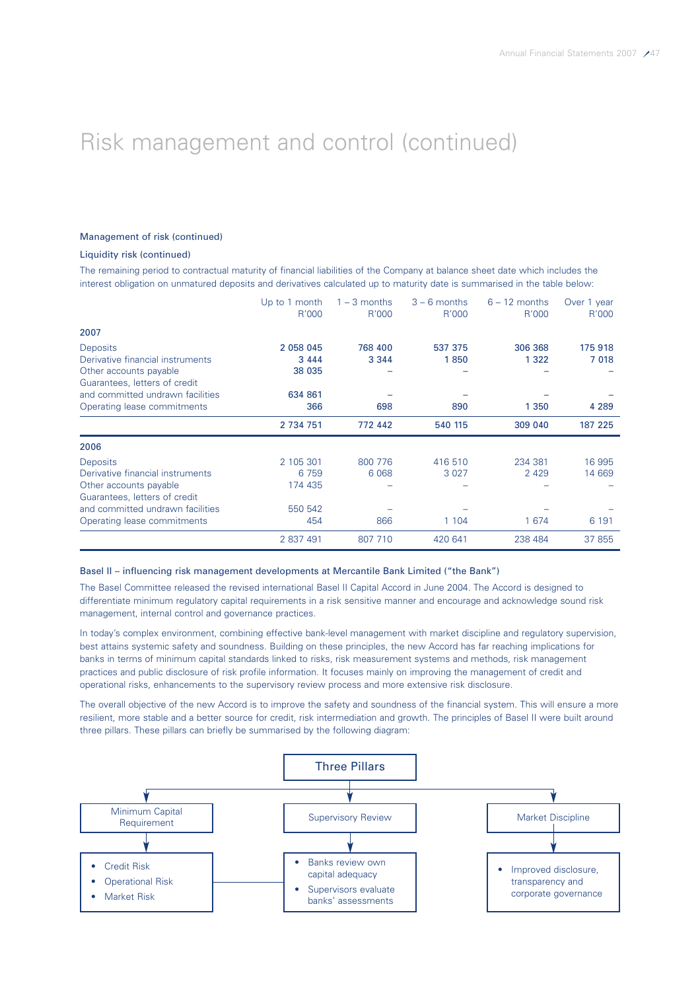### Management of risk (continued)

### Liquidity risk (continued)

The remaining period to contractual maturity of financial liabilities of the Company at balance sheet date which includes the interest obligation on unmatured deposits and derivatives calculated up to maturity date is summarised in the table below:

|                                                         | Up to 1 month<br>R'000 | $1 - 3$ months<br>R'000 | $3 - 6$ months<br>R'000 | $6 - 12$ months<br>R'000 | Over 1 year<br>R'000 |
|---------------------------------------------------------|------------------------|-------------------------|-------------------------|--------------------------|----------------------|
| 2007                                                    |                        |                         |                         |                          |                      |
| <b>Deposits</b>                                         | 2 058 045              | 768 400                 | 537 375                 | 306 368                  | 175918               |
| Derivative financial instruments                        | 3 4 4 4                | 3 3 4 4                 | 1850                    | 1 3 2 2                  | 7 018                |
| Other accounts payable<br>Guarantees, letters of credit | 38 035                 |                         |                         |                          |                      |
| and committed undrawn facilities                        | 634 861                |                         |                         |                          |                      |
| Operating lease commitments                             | 366                    | 698                     | 890                     | 1 3 5 0                  | 4 2 8 9              |
|                                                         | 2 734 751              | 772 442                 | 540 115                 | 309 040                  | 187 225              |
| 2006                                                    |                        |                         |                         |                          |                      |
| <b>Deposits</b>                                         | 2 105 301              | 800 776                 | 416 510                 | 234 381                  | 16 995               |
| Derivative financial instruments                        | 6 7 5 9                | 6 0 68                  | 3 0 2 7                 | 2 4 2 9                  | 14 669               |
| Other accounts payable                                  | 174 435                |                         |                         |                          |                      |
| Guarantees, letters of credit                           |                        |                         |                         |                          |                      |
| and committed undrawn facilities                        | 550 542                |                         |                         |                          |                      |
| Operating lease commitments                             | 454                    | 866                     | 1 1 0 4                 | 1 674                    | 6 1 9 1              |
|                                                         | 2 837 491              | 807 710                 | 420 641                 | 238 484                  | 37 855               |

#### Basel II – influencing risk management developments at Mercantile Bank Limited ("the Bank")

The Basel Committee released the revised international Basel II Capital Accord in June 2004. The Accord is designed to differentiate minimum regulatory capital requirements in a risk sensitive manner and encourage and acknowledge sound risk management, internal control and governance practices.

In today's complex environment, combining effective bank-level management with market discipline and regulatory supervision, best attains systemic safety and soundness. Building on these principles, the new Accord has far reaching implications for banks in terms of minimum capital standards linked to risks, risk measurement systems and methods, risk management practices and public disclosure of risk profile information. It focuses mainly on improving the management of credit and operational risks, enhancements to the supervisory review process and more extensive risk disclosure.

The overall objective of the new Accord is to improve the safety and soundness of the financial system. This will ensure a more resilient, more stable and a better source for credit, risk intermediation and growth. The principles of Basel II were built around three pillars. These pillars can briefly be summarised by the following diagram:

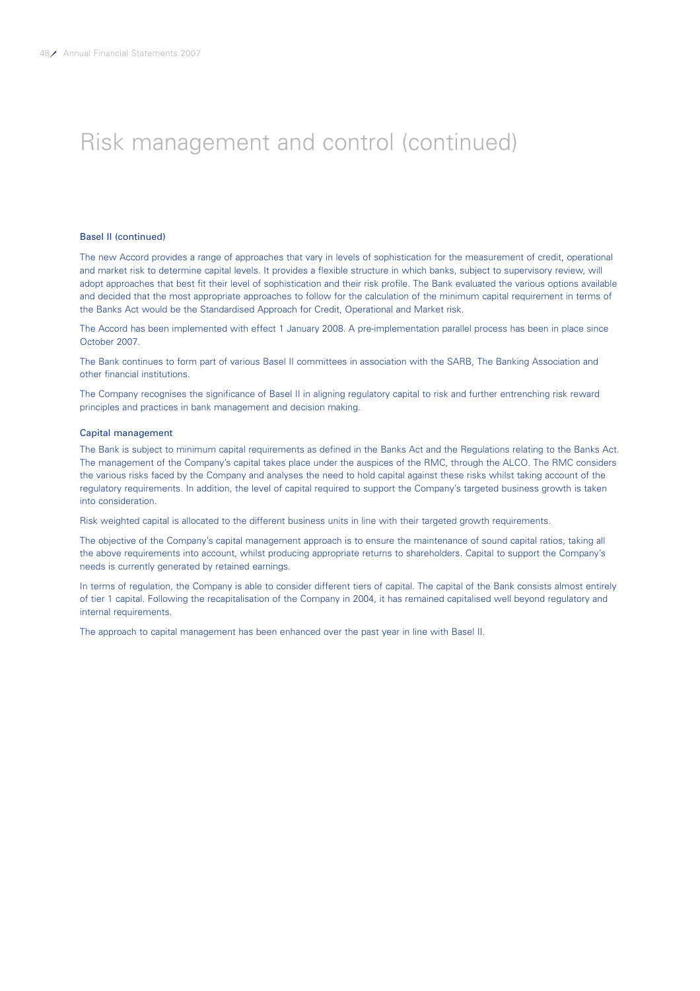#### Basel II (continued)

The new Accord provides a range of approaches that vary in levels of sophistication for the measurement of credit, operational and market risk to determine capital levels. It provides a flexible structure in which banks, subject to supervisory review, will adopt approaches that best fit their level of sophistication and their risk profile. The Bank evaluated the various options available and decided that the most appropriate approaches to follow for the calculation of the minimum capital requirement in terms of the Banks Act would be the Standardised Approach for Credit, Operational and Market risk.

The Accord has been implemented with effect 1 January 2008. A pre-implementation parallel process has been in place since October 2007.

The Bank continues to form part of various Basel II committees in association with the SARB, The Banking Association and other financial institutions.

The Company recognises the significance of Basel II in aligning regulatory capital to risk and further entrenching risk reward principles and practices in bank management and decision making.

### Capital management

The Bank is subject to minimum capital requirements as defined in the Banks Act and the Regulations relating to the Banks Act. The management of the Company's capital takes place under the auspices of the RMC, through the ALCO. The RMC considers the various risks faced by the Company and analyses the need to hold capital against these risks whilst taking account of the regulatory requirements. In addition, the level of capital required to support the Company's targeted business growth is taken into consideration.

Risk weighted capital is allocated to the different business units in line with their targeted growth requirements.

The objective of the Company's capital management approach is to ensure the maintenance of sound capital ratios, taking all the above requirements into account, whilst producing appropriate returns to shareholders. Capital to support the Company's needs is currently generated by retained earnings.

In terms of regulation, the Company is able to consider different tiers of capital. The capital of the Bank consists almost entirely of tier 1 capital. Following the recapitalisation of the Company in 2004, it has remained capitalised well beyond regulatory and internal requirements.

The approach to capital management has been enhanced over the past year in line with Basel II.